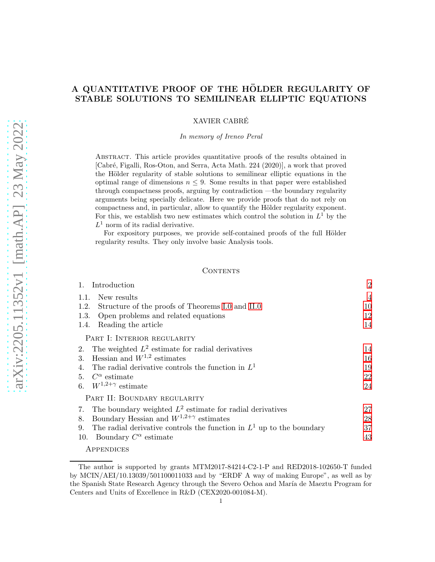### A QUANTITATIVE PROOF OF THE HÖLDER REGULARITY OF STABLE SOLUTIONS TO SEMILINEAR ELLIPTIC EQUATIONS

XAVIER CABRE´

In memory of Ireneo Peral

Abstract. This article provides quantitative proofs of the results obtained in [Cabr´e, Figalli, Ros-Oton, and Serra, Acta Math. 224 (2020)], a work that proved the Hölder regularity of stable solutions to semilinear elliptic equations in the optimal range of dimensions  $n \leq 9$ . Some results in that paper were established through compactness proofs, arguing by contradiction —the boundary regularity arguments being specially delicate. Here we provide proofs that do not rely on compactness and, in particular, allow to quantify the Hölder regularity exponent. For this, we establish two new estimates which control the solution in  $L^1$  by the  $L^1$  norm of its radial derivative.

For expository purposes, we provide self-contained proofs of the full Hölder regularity results. They only involve basic Analysis tools.

#### CONTENTS

| Introduction                                                                  | $\overline{2}$ |
|-------------------------------------------------------------------------------|----------------|
| New results<br>1.1.                                                           | $\overline{4}$ |
| Structure of the proofs of Theorems I.0 and II.0<br>1.2.                      | 10             |
| Open problems and related equations<br>1.3.                                   | 12             |
| Reading the article<br>1.4.                                                   | 14             |
| PART I: INTERIOR REGULARITY                                                   |                |
| The weighted $L^2$ estimate for radial derivatives<br>2.                      | 14             |
| Hessian and $W^{1,2}$ estimates<br>$3_{-}$                                    | 16             |
| The radial derivative controls the function in $L1$                           | 19             |
| $C^{\alpha}$ estimate<br>5.                                                   | 22             |
| $W^{1,2+\gamma}$ estimate<br>6.                                               | 24             |
| PART II: BOUNDARY REGULARITY                                                  |                |
| The boundary weighted $L^2$ estimate for radial derivatives<br>7.             | 27             |
| Boundary Hessian and $W^{1,2+\gamma}$ estimates<br>8.                         | 28             |
| The radial derivative controls the function in $L^1$ up to the boundary<br>9. | 37             |
| 10.<br>Boundary $C^{\alpha}$ estimate                                         | 43             |

**APPENDICES** 

The author is supported by grants MTM2017-84214-C2-1-P and RED2018-102650-T funded by MCIN/AEI/10.13039/501100011033 and by "ERDF A way of making Europe", as well as by the Spanish State Research Agency through the Severo Ochoa and María de Maeztu Program for Centers and Units of Excellence in R&D (CEX2020-001084-M).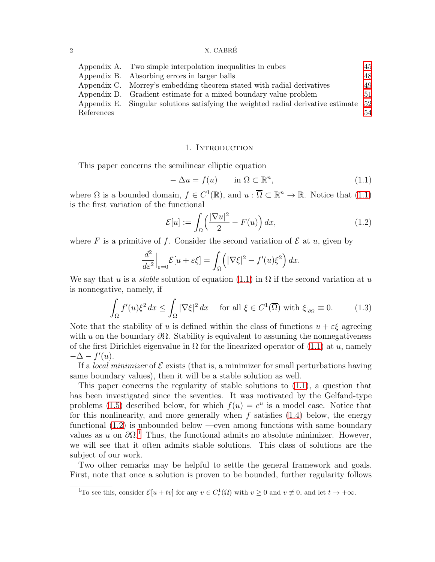#### $2 \times$  CABRÉ

|            | Appendix A. Two simple interpolation inequalities in cubes                           | 45 |
|------------|--------------------------------------------------------------------------------------|----|
|            | Appendix B. Absorbing errors in larger balls                                         | 48 |
|            | Appendix C. Morrey's embedding theorem stated with radial derivatives                | 49 |
|            | Appendix D. Gradient estimate for a mixed boundary value problem                     | 51 |
|            | Appendix E. Singular solutions satisfying the weighted radial derivative estimate 52 |    |
| References |                                                                                      | 54 |

### 1. Introduction

<span id="page-1-0"></span>This paper concerns the semilinear elliptic equation

<span id="page-1-1"></span>
$$
-\Delta u = f(u) \qquad \text{in } \Omega \subset \mathbb{R}^n,
$$
\n(1.1)

where  $\Omega$  is a bounded domain,  $f \in C^1(\mathbb{R})$ , and  $u : \overline{\Omega} \subset \mathbb{R}^n \to \mathbb{R}$ . Notice that  $(1.1)$ is the first variation of the functional

<span id="page-1-2"></span>
$$
\mathcal{E}[u] := \int_{\Omega} \left(\frac{|\nabla u|^2}{2} - F(u)\right) dx,\tag{1.2}
$$

where F is a primitive of f. Consider the second variation of  $\mathcal E$  at u, given by

$$
\frac{d^2}{d\varepsilon^2}\Big|_{\varepsilon=0}\mathcal{E}[u+\varepsilon\xi]=\int_{\Omega}\left(|\nabla\xi|^2-f'(u)\xi^2\right)dx.
$$

We say that u is a *stable* solution of equation  $(1.1)$  in  $\Omega$  if the second variation at u is nonnegative, namely, if

<span id="page-1-4"></span>
$$
\int_{\Omega} f'(u)\xi^2 dx \le \int_{\Omega} |\nabla \xi|^2 dx \quad \text{ for all } \xi \in C^1(\overline{\Omega}) \text{ with } \xi_{\text{on}} \equiv 0. \tag{1.3}
$$

Note that the stability of u is defined within the class of functions  $u + \varepsilon \xi$  agreeing with u on the boundary  $\partial\Omega$ . Stability is equivalent to assuming the nonnegativeness of the first Dirichlet eigenvalue in  $\Omega$  for the linearized operator of [\(1.1\)](#page-1-1) at u, namely  $-\Delta - f'(u)$ .

If a *local minimizer* of  $\mathcal E$  exists (that is, a minimizer for small perturbations having same boundary values), then it will be a stable solution as well.

This paper concerns the regularity of stable solutions to [\(1.1\)](#page-1-1), a question that has been investigated since the seventies. It was motivated by the Gelfand-type problems [\(1.5\)](#page-2-0) described below, for which  $f(u) = e^u$  is a model case. Notice that for this nonlinearity, and more generally when  $f$  satisfies  $(1.4)$  below, the energy functional [\(1.2\)](#page-1-2) is unbounded below —even among functions with same boundary values as u on  $\partial \Omega$ <sup>[1](#page-1-3)</sup>. Thus, the functional admits no absolute minimizer. However, we will see that it often admits stable solutions. This class of solutions are the subject of our work.

Two other remarks may be helpful to settle the general framework and goals. First, note that once a solution is proven to be bounded, further regularity follows

<span id="page-1-3"></span><sup>&</sup>lt;sup>1</sup>To see this, consider  $\mathcal{E}[u+tv]$  for any  $v \in C_c^1(\Omega)$  with  $v \ge 0$  and  $v \not\equiv 0$ , and let  $t \to +\infty$ .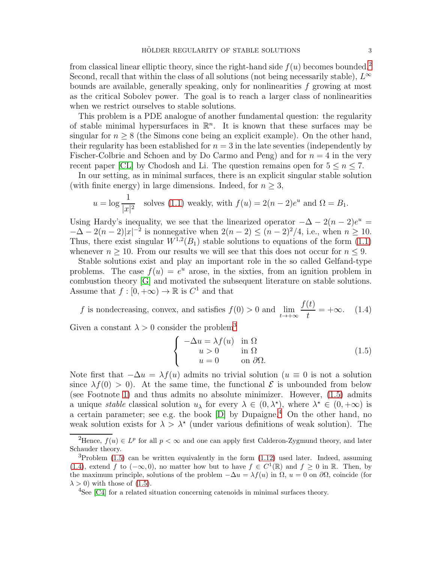from classical linear elliptic theory, since the right-hand side  $f(u)$  becomes bounded.<sup>[2](#page-2-2)</sup> Second, recall that within the class of all solutions (not being necessarily stable),  $L^{\infty}$ bounds are available, generally speaking, only for nonlinearities  $f$  growing at most as the critical Sobolev power. The goal is to reach a larger class of nonlinearities when we restrict ourselves to stable solutions.

This problem is a PDE analogue of another fundamental question: the regularity of stable minimal hypersurfaces in  $\mathbb{R}^n$ . It is known that these surfaces may be singular for  $n \geq 8$  (the Simons cone being an explicit example). On the other hand, their regularity has been established for  $n = 3$  in the late seventies (independently by Fischer-Colbrie and Schoen and by Do Carmo and Peng) and for  $n = 4$  in the very recent paper [\[CL\]](#page-54-0) by Chodosh and Li. The question remains open for  $5 \leq n \leq 7$ .

In our setting, as in minimal surfaces, there is an explicit singular stable solution (with finite energy) in large dimensions. Indeed, for  $n \geq 3$ ,

$$
u = \log \frac{1}{|x|^2}
$$
 solves (1.1) weakly, with  $f(u) = 2(n-2)e^u$  and  $\Omega = B_1$ .

Using Hardy's inequality, we see that the linearized operator  $-\Delta - 2(n-2)e^u =$  $-\Delta - 2(n-2)|x|^{-2}$  is nonnegative when  $2(n-2) \le (n-2)^2/4$ , i.e., when  $n \ge 10$ . Thus, there exist singular  $W^{1,2}(B_1)$  stable solutions to equations of the form  $(1.1)$ whenever  $n \geq 10$ . From our results we will see that this does not occur for  $n \leq 9$ .

Stable solutions exist and play an important role in the so called Gelfand-type problems. The case  $f(u) = e^u$  arose, in the sixties, from an ignition problem in combustion theory [\[G\]](#page-54-1) and motivated the subsequent literature on stable solutions. Assume that  $f : [0, +\infty) \to \mathbb{R}$  is  $C^1$  and that

<span id="page-2-1"></span>f is nondecreasing, convex, and satisfies 
$$
f(0) > 0
$$
 and  $\lim_{t \to +\infty} \frac{f(t)}{t} = +\infty$ . (1.4)

Given a constant  $\lambda > 0$  consider the problem<sup>[3](#page-2-3)</sup>

<span id="page-2-0"></span>
$$
\begin{cases}\n-\Delta u = \lambda f(u) & \text{in } \Omega \\
u > 0 & \text{in } \Omega \\
u = 0 & \text{on } \partial\Omega.\n\end{cases}
$$
\n(1.5)

Note first that  $-\Delta u = \lambda f(u)$  admits no trivial solution  $(u \equiv 0$  is not a solution since  $\lambda f(0) > 0$ . At the same time, the functional E is unbounded from below (see Footnote [1\)](#page-1-3) and thus admits no absolute minimizer. However,  $(1.5)$  admits a unique *stable* classical solution  $u_{\lambda}$  for every  $\lambda \in (0, \lambda^*)$ , where  $\lambda^* \in (0, +\infty)$  is a certain parameter; see e.g. the book  $[D]$  by Dupaigne.<sup>[4](#page-2-4)</sup> On the other hand, no weak solution exists for  $\lambda > \lambda^*$  (under various definitions of weak solution). The

<span id="page-2-2"></span><sup>&</sup>lt;sup>2</sup>Hence,  $f(u) \in L^p$  for all  $p < \infty$  and one can apply first Calderon-Zygmund theory, and later Schauder theory.

<span id="page-2-3"></span> ${}^{3}P$ roblem [\(1.5\)](#page-2-0) can be written equivalently in the form [\(1.12\)](#page-6-1) used later. Indeed, assuming [\(1.4\)](#page-2-1), extend f to  $(-\infty,0)$ , no matter how but to have  $f \in C^1(\mathbb{R})$  and  $f \ge 0$  in  $\mathbb{R}$ . Then, by the maximum principle, solutions of the problem  $-\Delta u = \lambda f(u)$  in  $\Omega$ ,  $u = 0$  on  $\partial \Omega$ , coincide (for  $\lambda > 0$ ) with those of [\(1.5\)](#page-2-0).

<span id="page-2-4"></span><sup>&</sup>lt;sup>4</sup>See [\[C4\]](#page-54-3) for a related situation concerning catenoids in minimal surfaces theory.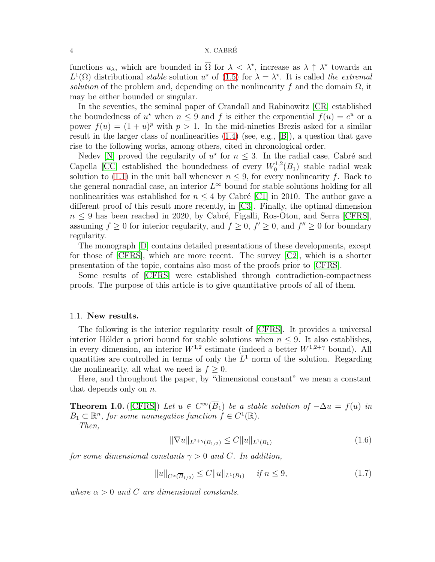#### 4 X. CABRE´

functions  $u_\lambda$ , which are bounded in  $\overline{\Omega}$  for  $\lambda < \lambda^*$ , increase as  $\lambda \uparrow \lambda^*$  towards an  $L^1(\Omega)$  distributional *stable* solution  $u^*$  of [\(1.5\)](#page-2-0) for  $\lambda = \lambda^*$ . It is called *the extremal solution* of the problem and, depending on the nonlinearity f and the domain  $\Omega$ , it may be either bounded or singular.

In the seventies, the seminal paper of Crandall and Rabinowitz [\[CR\]](#page-54-4) established the boundedness of  $u^*$  when  $n \leq 9$  and f is either the exponential  $f(u) = e^u$  or a power  $f(u) = (1 + u)^p$  with  $p > 1$ . In the mid-nineties Brezis asked for a similar result in the larger class of nonlinearities [\(1.4\)](#page-2-1) (see, e.g., [\[B\]](#page-53-1)), a question that gave rise to the following works, among others, cited in chronological order.

Nedev [\[N\]](#page-55-0) proved the regularity of  $u^*$  for  $n \leq 3$ . In the radial case, Cabré and Capella [\[CC\]](#page-54-5) established the boundedness of every  $W_0^{1,2}$  $C_0^{1,2}(B_1)$  stable radial weak solution to [\(1.1\)](#page-1-1) in the unit ball whenever  $n \leq 9$ , for every nonlinearity f. Back to the general nonradial case, an interior  $L^{\infty}$  bound for stable solutions holding for all nonlinearities was established for  $n \leq 4$  by Cabré [\[C1\]](#page-54-6) in 2010. The author gave a different proof of this result more recently, in [\[C3\]](#page-54-7). Finally, the optimal dimension  $n \leq 9$  has been reached in 2020, by Cabré, Figalli, Ros-Oton, and Serra [\[CFRS\]](#page-54-8), assuming  $f \geq 0$  for interior regularity, and  $f \geq 0$ ,  $f' \geq 0$ , and  $f'' \geq 0$  for boundary regularity.

The monograph [\[D\]](#page-54-2) contains detailed presentations of these developments, except for those of [\[CFRS\]](#page-54-8), which are more recent. The survey [\[C2\]](#page-54-9), which is a shorter presentation of the topic, contains also most of the proofs prior to [\[CFRS\]](#page-54-8).

Some results of [\[CFRS\]](#page-54-8) were established through contradiction-compactness proofs. The purpose of this article is to give quantitative proofs of all of them.

### <span id="page-3-0"></span>1.1. New results.

The following is the interior regularity result of [\[CFRS\]](#page-54-8). It provides a universal interior Hölder a priori bound for stable solutions when  $n \leq 9$ . It also establishes, in every dimension, an interior  $W^{1,2}$  estimate (indeed a better  $W^{1,2+\gamma}$  bound). All quantities are controlled in terms of only the  $L^1$  norm of the solution. Regarding the nonlinearity, all what we need is  $f \geq 0$ .

Here, and throughout the paper, by "dimensional constant" we mean a constant that depends only on n.

<span id="page-3-1"></span>**Theorem I.0.** ([\[CFRS\]](#page-54-8)) *Let*  $u \in C^{\infty}(B_1)$  *be a stable solution of*  $-\Delta u = f(u)$  *in*  $B_1 \subset \mathbb{R}^n$ , for some nonnegative function  $f \in C^1(\mathbb{R})$ .

*Then,*

<span id="page-3-2"></span>
$$
\|\nabla u\|_{L^{2+\gamma}(B_{1/2})} \le C \|u\|_{L^{1}(B_1)} \tag{1.6}
$$

*for some dimensional constants*  $\gamma > 0$  *and* C. In addition,

<span id="page-3-3"></span>
$$
||u||_{C^{\alpha}(\overline{B}_{1/2})} \leq C||u||_{L^{1}(B_{1})} \quad \text{if } n \leq 9,
$$
\n(1.7)

*where*  $\alpha > 0$  *and* C *are dimensional constants.*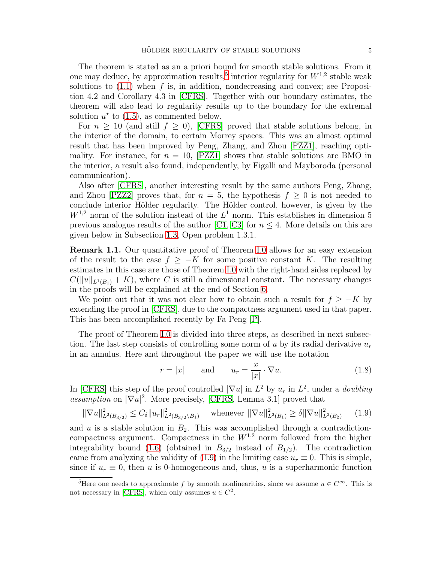The theorem is stated as an a priori bound for smooth stable solutions. From it one may deduce, by approximation results,<sup>[5](#page-4-0)</sup> interior regularity for  $W^{1,2}$  stable weak solutions to  $(1.1)$  when f is, in addition, nondecreasing and convex; see Proposition 4.2 and Corollary 4.3 in [\[CFRS\]](#page-54-8). Together with our boundary estimates, the theorem will also lead to regularity results up to the boundary for the extremal solution  $u^*$  to [\(1.5\)](#page-2-0), as commented below.

For  $n \geq 10$  (and still  $f \geq 0$ ), [\[CFRS\]](#page-54-8) proved that stable solutions belong, in the interior of the domain, to certain Morrey spaces. This was an almost optimal result that has been improved by Peng, Zhang, and Zhou [\[PZZ1\]](#page-55-1), reaching optimality. For instance, for  $n = 10$ , [\[PZZ1\]](#page-55-1) shows that stable solutions are BMO in the interior, a result also found, independently, by Figalli and Mayboroda (personal communication).

Also after [\[CFRS\]](#page-54-8), another interesting result by the same authors Peng, Zhang, and Zhou [\[PZZ2\]](#page-55-2) proves that, for  $n = 5$ , the hypothesis  $f \geq 0$  is not needed to conclude interior Hölder regularity. The Hölder control, however, is given by the  $W^{1,2}$  norm of the solution instead of the  $L^1$  norm. This establishes in dimension 5 previous analogue results of the author [\[C1,](#page-54-6) [C3\]](#page-54-7) for  $n \leq 4$ . More details on this are given below in Subsection [1.3,](#page-11-0) Open problem 1.3.1.

<span id="page-4-2"></span>Remark 1.1. Our quantitative proof of Theorem [I.0](#page-3-1) allows for an easy extension of the result to the case  $f \geq -K$  for some positive constant K. The resulting estimates in this case are those of Theorem [I.0](#page-3-1) with the right-hand sides replaced by  $C(||u||_{L^1(B_1)} + K)$ , where C is still a dimensional constant. The necessary changes in the proofs will be explained at the end of Section [6.](#page-23-0)

We point out that it was not clear how to obtain such a result for  $f \geq -K$  by extending the proof in [\[CFRS\]](#page-54-8), due to the compactness argument used in that paper. This has been accomplished recently by Fa Peng [\[P\]](#page-55-3).

The proof of Theorem [I.0](#page-3-1) is divided into three steps, as described in next subsection. The last step consists of controlling some norm of u by its radial derivative  $u_r$ in an annulus. Here and throughout the paper we will use the notation

<span id="page-4-3"></span>
$$
r = |x| \quad \text{and} \quad u_r = \frac{x}{|x|} \cdot \nabla u. \tag{1.8}
$$

In [\[CFRS\]](#page-54-8) this step of the proof controlled  $|\nabla u|$  in  $L^2$  by  $u_r$  in  $L^2$ , under a *doubling assumption* on  $|\nabla u|^2$ . More precisely, [\[CFRS,](#page-54-8) Lemma 3.1] proved that

<span id="page-4-1"></span>
$$
\|\nabla u\|_{L^2(B_{3/2})}^2 \le C_\delta \|u_r\|_{L^2(B_{3/2} \setminus B_1)}^2 \quad \text{whenever } \|\nabla u\|_{L^2(B_1)}^2 \ge \delta \|\nabla u\|_{L^2(B_2)}^2 \tag{1.9}
$$

and u is a stable solution in  $B_2$ . This was accomplished through a contradictioncompactness argument. Compactness in the  $W^{1,2}$  norm followed from the higher integrability bound [\(1.6\)](#page-3-2) (obtained in  $B_{3/2}$  instead of  $B_{1/2}$ ). The contradiction came from analyzing the validity of [\(1.9\)](#page-4-1) in the limiting case  $u_r \equiv 0$ . This is simple, since if  $u_r \equiv 0$ , then u is 0-homogeneous and, thus, u is a superharmonic function

<span id="page-4-0"></span><sup>&</sup>lt;sup>5</sup>Here one needs to approximate f by smooth nonlinearities, since we assume  $u \in C^{\infty}$ . This is not necessary in [\[CFRS\]](#page-54-8), which only assumes  $u \in C^2$ .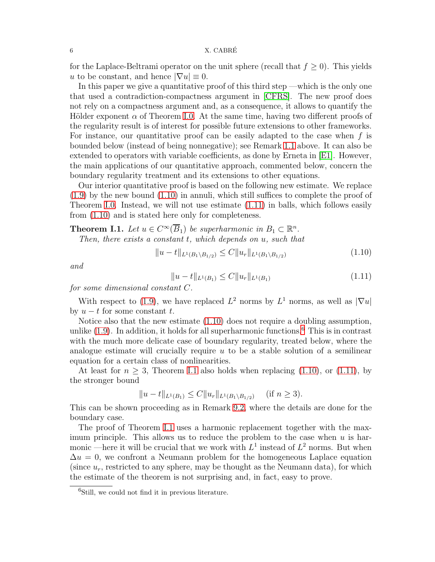for the Laplace-Beltrami operator on the unit sphere (recall that  $f \geq 0$ ). This yields u to be constant, and hence  $|\nabla u| \equiv 0$ .

In this paper we give a quantitative proof of this third step —which is the only one that used a contradiction-compactness argument in [\[CFRS\]](#page-54-8). The new proof does not rely on a compactness argument and, as a consequence, it allows to quantify the Hölder exponent  $\alpha$  of Theorem [I.0.](#page-3-1) At the same time, having two different proofs of the regularity result is of interest for possible future extensions to other frameworks. For instance, our quantitative proof can be easily adapted to the case when  $f$  is bounded below (instead of being nonnegative); see Remark [1.1](#page-4-2) above. It can also be extended to operators with variable coefficients, as done by Erneta in [\[E1\]](#page-54-10). However, the main applications of our quantitative approach, commented below, concern the boundary regularity treatment and its extensions to other equations.

Our interior quantitative proof is based on the following new estimate. We replace  $(1.9)$  by the new bound  $(1.10)$  in annuli, which still suffices to complete the proof of Theorem [I.0.](#page-3-1) Instead, we will not use estimate [\(1.11\)](#page-5-1) in balls, which follows easily from [\(1.10\)](#page-5-0) and is stated here only for completeness.

<span id="page-5-3"></span>**Theorem I.1.** Let  $u \in C^{\infty}(\overline{B}_1)$  be superharmonic in  $B_1 \subset \mathbb{R}^n$ . *Then, there exists a constant* t*, which depends on* u*, such that*

<span id="page-5-0"></span>
$$
||u - t||_{L^{1}(B_{1} \setminus B_{1/2})} \leq C||u_{r}||_{L^{1}(B_{1} \setminus B_{1/2})}
$$
\n(1.10)

*and*

<span id="page-5-1"></span>
$$
||u - t||_{L^{1}(B_1)} \leq C||u_r||_{L^{1}(B_1)}
$$
\n(1.11)

*for some dimensional constant* C*.*

With respect to [\(1.9\)](#page-4-1), we have replaced  $L^2$  norms by  $L^1$  norms, as well as  $|\nabla u|$ by  $u - t$  for some constant  $t$ .

Notice also that the new estimate [\(1.10\)](#page-5-0) does not require a doubling assumption, unlike  $(1.9)$ . In addition, it holds for all superharmonic functions.<sup>[6](#page-5-2)</sup> This is in contrast with the much more delicate case of boundary regularity, treated below, where the analogue estimate will crucially require  $u$  to be a stable solution of a semilinear equation for a certain class of nonlinearities.

At least for  $n \geq 3$ , Theorem [I.1](#page-5-3) also holds when replacing [\(1.10\)](#page-5-0), or [\(1.11\)](#page-5-1), by the stronger bound

$$
||u-t||_{L^1(B_1)} \leq C||u_r||_{L^1(B_1 \setminus B_{1/2})} \quad \text{(if } n \geq 3).
$$

This can be shown proceeding as in Remark [9.2,](#page-42-1) where the details are done for the boundary case.

The proof of Theorem [I.1](#page-5-3) uses a harmonic replacement together with the maximum principle. This allows us to reduce the problem to the case when  $u$  is harmonic —here it will be crucial that we work with  $L^1$  instead of  $L^2$  norms. But when  $\Delta u = 0$ , we confront a Neumann problem for the homogeneous Laplace equation (since  $u_r$ , restricted to any sphere, may be thought as the Neumann data), for which the estimate of the theorem is not surprising and, in fact, easy to prove.

<span id="page-5-2"></span><sup>&</sup>lt;sup>6</sup>Still, we could not find it in previous literature.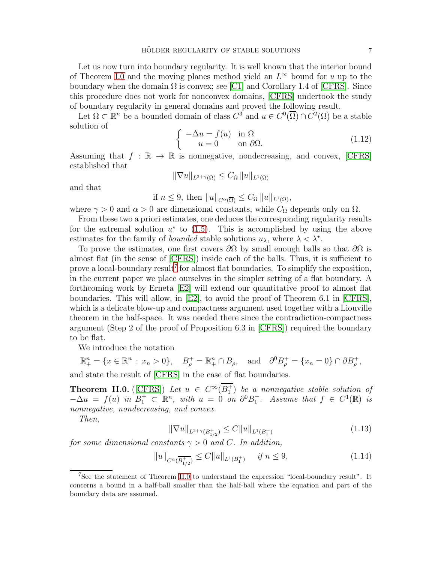Let us now turn into boundary regularity. It is well known that the interior bound of Theorem [I.0](#page-3-1) and the moving planes method yield an  $L^{\infty}$  bound for u up to the boundary when the domain  $\Omega$  is convex; see [\[C1\]](#page-54-6) and Corollary 1.4 of [\[CFRS\]](#page-54-8). Since this procedure does not work for nonconvex domains, [\[CFRS\]](#page-54-8) undertook the study of boundary regularity in general domains and proved the following result.

Let  $\Omega \subset \mathbb{R}^n$  be a bounded domain of class  $C^3$  and  $u \in C^0(\overline{\Omega}) \cap C^2(\Omega)$  be a stable solution of

<span id="page-6-1"></span>
$$
\begin{cases}\n-\Delta u = f(u) & \text{in } \Omega \\
u = 0 & \text{on } \partial\Omega.\n\end{cases}
$$
\n(1.12)

Assuming that  $f : \mathbb{R} \to \mathbb{R}$  is nonnegative, nondecreasing, and convex, [\[CFRS\]](#page-54-8) established that

$$
\|\nabla u\|_{L^{2+\gamma}(\Omega)} \leq C_{\Omega} \|u\|_{L^{1}(\Omega)}
$$

and that

if  $n \leq 9$ , then  $||u||_{C^{\alpha}(\overline{\Omega})} \leq C_{\Omega} ||u||_{L^{1}(\Omega)},$ 

where  $\gamma > 0$  and  $\alpha > 0$  are dimensional constants, while  $C_{\Omega}$  depends only on  $\Omega$ .

From these two a priori estimates, one deduces the corresponding regularity results for the extremal solution  $u^*$  to [\(1.5\)](#page-2-0). This is accomplished by using the above estimates for the family of *bounded* stable solutions  $u_{\lambda}$ , where  $\lambda < \lambda^*$ .

To prove the estimates, one first covers  $\partial\Omega$  by small enough balls so that  $\partial\Omega$  is almost flat (in the sense of [\[CFRS\]](#page-54-8)) inside each of the balls. Thus, it is sufficient to prove a local-boundary result<sup>[7](#page-6-2)</sup> for almost flat boundaries. To simplify the exposition, in the current paper we place ourselves in the simpler setting of a flat boundary. A forthcoming work by Erneta [\[E2\]](#page-54-11) will extend our quantitative proof to almost flat boundaries. This will allow, in [\[E2\]](#page-54-11), to avoid the proof of Theorem 6.1 in [\[CFRS\]](#page-54-8), which is a delicate blow-up and compactness argument used together with a Liouville theorem in the half-space. It was needed there since the contradiction-compactness argument (Step 2 of the proof of Proposition 6.3 in [\[CFRS\]](#page-54-8)) required the boundary to be flat.

We introduce the notation

$$
\mathbb{R}^n_+ = \{x \in \mathbb{R}^n : x_n > 0\}, \quad B^+_\rho = \mathbb{R}^n_+ \cap B_\rho, \quad \text{and} \quad \partial^0 B^+_\rho = \{x_n = 0\} \cap \partial B^+_\rho,
$$

and state the result of [\[CFRS\]](#page-54-8) in the case of flat boundaries.

<span id="page-6-0"></span>**Theorem II.0.** ([\[CFRS\]](#page-54-8)) Let  $u \in C^{\infty}(B_1^+)$  be a nonnegative stable solution of  $-\Delta u = f(u)$  in  $B_1^+ \subset \mathbb{R}^n$ , with  $u = 0$  on  $\partial^0 B_1^+$ . Assume that  $f \in C^1(\mathbb{R})$  is *nonnegative, nondecreasing, and convex.*

*Then,*

<span id="page-6-3"></span>
$$
\|\nabla u\|_{L^{2+\gamma}(B_{1/2}^+)} \le C \|u\|_{L^1(B_1^+)}
$$
\n(1.13)

*for some dimensional constants*  $\gamma > 0$  *and* C. In addition,

<span id="page-6-4"></span>
$$
||u||_{C^{\alpha}(\overline{B_{1/2}^+})} \leq C||u||_{L^1(B_1^+)} \quad \text{if } n \leq 9,
$$
\n(1.14)

<span id="page-6-2"></span><sup>7</sup>See the statement of Theorem [II.0](#page-6-0) to understand the expression "local-boundary result". It concerns a bound in a half-ball smaller than the half-ball where the equation and part of the boundary data are assumed.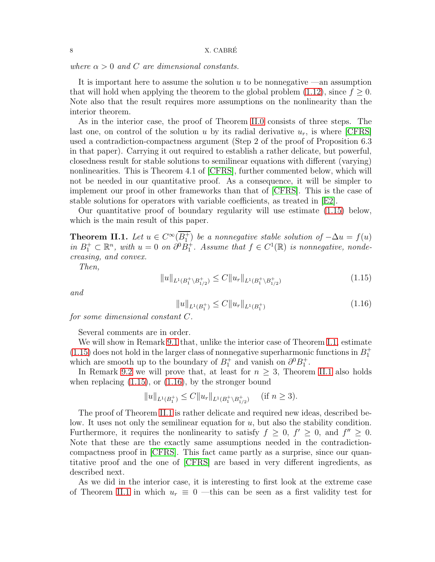*where*  $\alpha > 0$  *and C are dimensional constants.* 

It is important here to assume the solution  $u$  to be nonnegative —an assumption that will hold when applying the theorem to the global problem [\(1.12\)](#page-6-1), since  $f \geq 0$ . Note also that the result requires more assumptions on the nonlinearity than the interior theorem.

As in the interior case, the proof of Theorem [II.0](#page-6-0) consists of three steps. The last one, on control of the solution u by its radial derivative  $u_r$ , is where  $|CFRS|$ used a contradiction-compactness argument (Step 2 of the proof of Proposition 6.3 in that paper). Carrying it out required to establish a rather delicate, but powerful, closedness result for stable solutions to semilinear equations with different (varying) nonlinearities. This is Theorem 4.1 of [\[CFRS\]](#page-54-8), further commented below, which will not be needed in our quantitative proof. As a consequence, it will be simpler to implement our proof in other frameworks than that of [\[CFRS\]](#page-54-8). This is the case of stable solutions for operators with variable coefficients, as treated in [\[E2\]](#page-54-11).

Our quantitative proof of boundary regularity will use estimate [\(1.15\)](#page-7-0) below, which is the main result of this paper.

<span id="page-7-1"></span>**Theorem II.1.** *Let*  $u \in C^{\infty}(\overline{B_1^+})$  *be a nonnegative stable solution of*  $-\Delta u = f(u)$ *in*  $B_1^+$  ⊂  $\mathbb{R}^n$ , with  $u = 0$  *on*  $\partial^0 \dot{B}_1^+$ *. Assume that*  $f \in C^1(\mathbb{R})$  *is nonnegative, nondecreasing, and convex.*

*Then,*

<span id="page-7-0"></span>
$$
||u||_{L^{1}(B_{1}^{+}\setminus B_{1/2}^{+})} \leq C||u_{r}||_{L^{1}(B_{1}^{+}\setminus B_{1/2}^{+})}
$$
\n(1.15)

*and*

<span id="page-7-2"></span>
$$
||u||_{L^{1}(B_{1}^{+})} \leq C||u_{r}||_{L^{1}(B_{1}^{+})}
$$
\n(1.16)

*for some dimensional constant* C*.*

Several comments are in order.

We will show in Remark [9.1](#page-36-1) that, unlike the interior case of Theorem [I.1,](#page-5-3) estimate [\(1.15\)](#page-7-0) does not hold in the larger class of nonnegative superharmonic functions in  $B_1^+$ which are smooth up to the boundary of  $B_1^+$  and vanish on  $\partial^0 B_1^+$ .

In Remark [9.2](#page-42-1) we will prove that, at least for  $n \geq 3$ , Theorem [II.1](#page-7-1) also holds when replacing  $(1.15)$ , or  $(1.16)$ , by the stronger bound

$$
||u||_{L^1(B_1^+)} \leq C||u_r||_{L^1(B_1^+\setminus B_{1/2}^+)} \quad (\text{if } n \geq 3).
$$

The proof of Theorem [II.1](#page-7-1) is rather delicate and required new ideas, described below. It uses not only the semilinear equation for  $u$ , but also the stability condition. Furthermore, it requires the nonlinearity to satisfy  $f \geq 0$ ,  $f' \geq 0$ , and  $f'' \geq 0$ . Note that these are the exactly same assumptions needed in the contradictioncompactness proof in [\[CFRS\]](#page-54-8). This fact came partly as a surprise, since our quantitative proof and the one of [\[CFRS\]](#page-54-8) are based in very different ingredients, as described next.

As we did in the interior case, it is interesting to first look at the extreme case of Theorem [II.1](#page-7-1) in which  $u_r \equiv 0$  —this can be seen as a first validity test for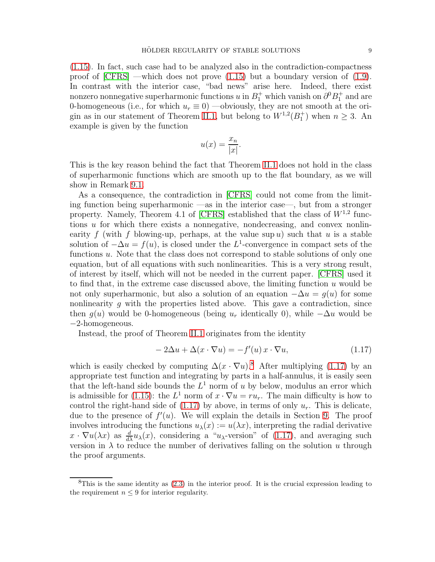[\(1.15\)](#page-7-0). In fact, such case had to be analyzed also in the contradiction-compactness proof of  $[CFRS]$  —which does not prove  $(1.15)$  but a boundary version of  $(1.9)$ . In contrast with the interior case, "bad news" arise here. Indeed, there exist nonzero nonnegative superharmonic functions  $u$  in  $B_1^+$  which vanish on  $\partial^0 B_1^+$  and are 0-homogeneous (i.e., for which  $u_r \equiv 0$ ) —obviously, they are not smooth at the ori-gin as in our statement of Theorem [II.1,](#page-7-1) but belong to  $W^{1,2}(B_1^+)$  when  $n \geq 3$ . An example is given by the function

$$
u(x) = \frac{x_n}{|x|}.
$$

This is the key reason behind the fact that Theorem [II.1](#page-7-1) does not hold in the class of superharmonic functions which are smooth up to the flat boundary, as we will show in Remark [9.1.](#page-36-1)

As a consequence, the contradiction in [\[CFRS\]](#page-54-8) could not come from the limiting function being superharmonic —as in the interior case—, but from a stronger property. Namely, Theorem 4.1 of [\[CFRS\]](#page-54-8) established that the class of  $W^{1,2}$  functions  $u$  for which there exists a nonnegative, nondecreasing, and convex nonlinearity f (with f blowing-up, perhaps, at the value  $\sup u$ ) such that u is a stable solution of  $-\Delta u = f(u)$ , is closed under the L<sup>1</sup>-convergence in compact sets of the functions u. Note that the class does not correspond to stable solutions of only one equation, but of all equations with such nonlinearities. This is a very strong result, of interest by itself, which will not be needed in the current paper. [\[CFRS\]](#page-54-8) used it to find that, in the extreme case discussed above, the limiting function u would be not only superharmonic, but also a solution of an equation  $-\Delta u = g(u)$  for some nonlinearity  $g$  with the properties listed above. This gave a contradiction, since then  $g(u)$  would be 0-homogeneous (being  $u_r$  identically 0), while  $-\Delta u$  would be −2-homogeneous.

Instead, the proof of Theorem [II.1](#page-7-1) originates from the identity

<span id="page-8-1"></span>
$$
-2\Delta u + \Delta(x \cdot \nabla u) = -f'(u)x \cdot \nabla u,\tag{1.17}
$$

which is easily checked by computing  $\Delta(x \cdot \nabla u)^8$  $\Delta(x \cdot \nabla u)^8$ . After multiplying [\(1.17\)](#page-8-1) by an appropriate test function and integrating by parts in a half-annulus, it is easily seen that the left-hand side bounds the  $L^1$  norm of u by below, modulus an error which is admissible for [\(1.15\)](#page-7-0): the  $L^1$  norm of  $x \cdot \nabla u = ru_r$ . The main difficulty is how to control the right-hand side of  $(1.17)$  by above, in terms of only  $u_r$ . This is delicate, due to the presence of  $f'(u)$ . We will explain the details in Section [9.](#page-36-0) The proof involves introducing the functions  $u_{\lambda}(x) := u(\lambda x)$ , interpreting the radial derivative  $x \cdot \nabla u(\lambda x)$  as  $\frac{d}{d\lambda} u_\lambda(x)$ , considering a "u<sub> $\lambda$ </sub>-version" of [\(1.17\)](#page-8-1), and averaging such version in  $\lambda$  to reduce the number of derivatives falling on the solution u through the proof arguments.

<span id="page-8-0"></span> ${}^{8}$ This is the same identity as  $(2.3)$  in the interior proof. It is the crucial expression leading to the requirement  $n \leq 9$  for interior regularity.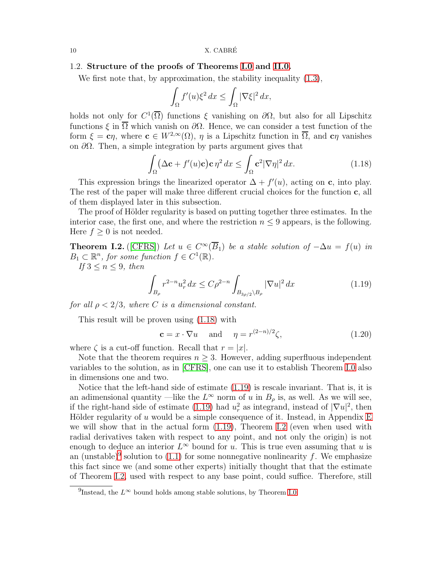#### 10  $X. CABRÉ$

### 1.2. Structure of the proofs of Theorems [I.0](#page-3-1) and [II.0.](#page-6-0)

We first note that, by approximation, the stability inequality  $(1.3)$ ,

$$
\int_{\Omega} f'(u)\xi^2 dx \le \int_{\Omega} |\nabla \xi|^2 dx,
$$

holds not only for  $C^1(\overline{\Omega})$  functions  $\xi$  vanishing on  $\partial\Omega$ , but also for all Lipschitz functions  $\xi$  in  $\overline{\Omega}$  which vanish on  $\partial\Omega$ . Hence, we can consider a test function of the form  $\xi = c\eta$ , where  $c \in W^{2,\infty}(\Omega)$ ,  $\eta$  is a Lipschitz function in  $\overline{\Omega}$ , and  $c\eta$  vanishes on  $\partial\Omega$ . Then, a simple integration by parts argument gives that

<span id="page-9-1"></span>
$$
\int_{\Omega} (\Delta \mathbf{c} + f'(u)\mathbf{c}) \mathbf{c} \eta^2 dx \le \int_{\Omega} \mathbf{c}^2 |\nabla \eta|^2 dx.
$$
 (1.18)

This expression brings the linearized operator  $\Delta + f'(u)$ , acting on c, into play. The rest of the paper will make three different crucial choices for the function c, all of them displayed later in this subsection.

The proof of Hölder regularity is based on putting together three estimates. In the interior case, the first one, and where the restriction  $n \leq 9$  appears, is the following. Here  $f \geq 0$  is not needed.

<span id="page-9-3"></span>**Theorem I.2.** ([\[CFRS\]](#page-54-8)) *Let*  $u \in C^{\infty}(B_1)$  *be a stable solution of*  $-\Delta u = f(u)$  *in*  $B_1 \subset \mathbb{R}^n$ , for some function  $f \in C^1(\mathbb{R})$ .

*If*  $3 \leq n \leq 9$ *, then* 

<span id="page-9-2"></span>
$$
\int_{B_{\rho}} r^{2-n} u_r^2 dx \le C\rho^{2-n} \int_{B_{3\rho/2} \backslash B_{\rho}} |\nabla u|^2 dx \tag{1.19}
$$

*for all*  $\rho < 2/3$ *, where C is a dimensional constant.* 

This result will be proven using [\(1.18\)](#page-9-1) with

<span id="page-9-5"></span> $\mathbf{c} = x \cdot \nabla u$  and  $\eta = r^{(2-n)/2}$  $(1.20)$ 

where  $\zeta$  is a cut-off function. Recall that  $r = |x|$ .

Note that the theorem requires  $n \geq 3$ . However, adding superfluous independent variables to the solution, as in [\[CFRS\]](#page-54-8), one can use it to establish Theorem [I.0](#page-3-1) also in dimensions one and two.

Notice that the left-hand side of estimate [\(1.19\)](#page-9-2) is rescale invariant. That is, it is an adimensional quantity —like the  $L^{\infty}$  norm of u in  $B_{\rho}$  is, as well. As we will see, if the right-hand side of estimate [\(1.19\)](#page-9-2) had  $u_r^2$  as integrand, instead of  $|\nabla u|^2$ , then Hölder regularity of u would be a simple consequence of it. Instead, in Appendix [E](#page-51-0) we will show that in the actual form [\(1.19\)](#page-9-2), Theorem [I.2](#page-9-3) (even when used with radial derivatives taken with respect to any point, and not only the origin) is not enough to deduce an interior  $L^{\infty}$  bound for u. This is true even assuming that u is an (unstable)<sup>[9](#page-9-4)</sup> solution to [\(1.1\)](#page-1-1) for some nonnegative nonlinearity f. We emphasize this fact since we (and some other experts) initially thought that that the estimate of Theorem [I.2,](#page-9-3) used with respect to any base point, could suffice. Therefore, still

<span id="page-9-0"></span>

<span id="page-9-4"></span><sup>&</sup>lt;sup>9</sup>Instead, the  $L^{\infty}$  bound holds among stable solutions, by Theorem [I.0.](#page-3-1)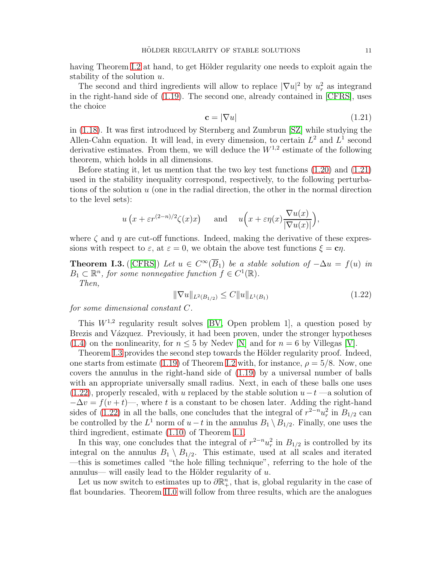having Theorem [I.2](#page-9-3) at hand, to get Hölder regularity one needs to exploit again the stability of the solution u.

The second and third ingredients will allow to replace  $|\nabla u|^2$  by  $u_r^2$  as integrand in the right-hand side of [\(1.19\)](#page-9-2). The second one, already contained in [\[CFRS\]](#page-54-8), uses the choice

<span id="page-10-0"></span>
$$
\mathbf{c} = |\nabla u| \tag{1.21}
$$

in [\(1.18\)](#page-9-1). It was first introduced by Sternberg and Zumbrun [\[SZ\]](#page-55-4) while studying the Allen-Cahn equation. It will lead, in every dimension, to certain  $L^2$  and  $L^1$  second derivative estimates. From them, we will deduce the  $W^{1,2}$  estimate of the following theorem, which holds in all dimensions.

Before stating it, let us mention that the two key test functions [\(1.20\)](#page-9-5) and [\(1.21\)](#page-10-0) used in the stability inequality correspond, respectively, to the following perturbations of the solution  $u$  (one in the radial direction, the other in the normal direction to the level sets):

$$
u\left(x+\varepsilon r^{(2-n)/2}\zeta(x)x\right)
$$
 and  $u\left(x+\varepsilon\eta(x)\frac{\nabla u(x)}{|\nabla u(x)|}\right)$ ,

where  $\zeta$  and  $\eta$  are cut-off functions. Indeed, making the derivative of these expressions with respect to  $\varepsilon$ , at  $\varepsilon = 0$ , we obtain the above test functions  $\xi = c\eta$ .

<span id="page-10-1"></span>**Theorem I.3.** ([\[CFRS\]](#page-54-8)) *Let*  $u \in C^{\infty}(B_1)$  *be a stable solution of*  $-\Delta u = f(u)$  *in*  $B_1 \subset \mathbb{R}^n$ , for some nonnegative function  $f \in C^1(\mathbb{R})$ . *Then,*

<span id="page-10-2"></span>
$$
\|\nabla u\|_{L^2(B_{1/2})} \le C \|u\|_{L^1(B_1)}\tag{1.22}
$$

*for some dimensional constant* C*.*

This  $W^{1,2}$  regularity result solves [\[BV,](#page-54-12) Open problem 1], a question posed by Brezis and Vázquez. Previously, it had been proven, under the stronger hypotheses [\(1.4\)](#page-2-1) on the nonlinearity, for  $n \leq 5$  by Nedev [\[N\]](#page-55-0) and for  $n = 6$  by Villegas [\[V\]](#page-55-5).

Theorem [I.3](#page-10-1) provides the second step towards the Hölder regularity proof. Indeed, one starts from estimate [\(1.19\)](#page-9-2) of Theorem [I.2](#page-9-3) with, for instance,  $\rho = 5/8$ . Now, one covers the annulus in the right-hand side of [\(1.19\)](#page-9-2) by a universal number of balls with an appropriate universally small radius. Next, in each of these balls one uses  $(1.22)$ , properly rescaled, with u replaced by the stable solution  $u-t$  —a solution of  $-\Delta v = f(v+t)$ , where t is a constant to be chosen later. Adding the right-hand sides of [\(1.22\)](#page-10-2) in all the balls, one concludes that the integral of  $r^{2-n}u_r^2$  in  $B_{1/2}$  can be controlled by the  $L^1$  norm of  $u - t$  in the annulus  $B_1 \setminus B_{1/2}$ . Finally, one uses the third ingredient, estimate [\(1.10\)](#page-5-0) of Theorem [I.1.](#page-5-3)

In this way, one concludes that the integral of  $r^{2-n}u_r^2$  in  $B_{1/2}$  is controlled by its integral on the annulus  $B_1 \setminus B_{1/2}$ . This estimate, used at all scales and iterated —this is sometimes called "the hole filling technique", referring to the hole of the annulus— will easily lead to the Hölder regularity of  $u$ .

Let us now switch to estimates up to  $\partial \mathbb{R}^n_+$ , that is, global regularity in the case of flat boundaries. Theorem [II.0](#page-6-0) will follow from three results, which are the analogues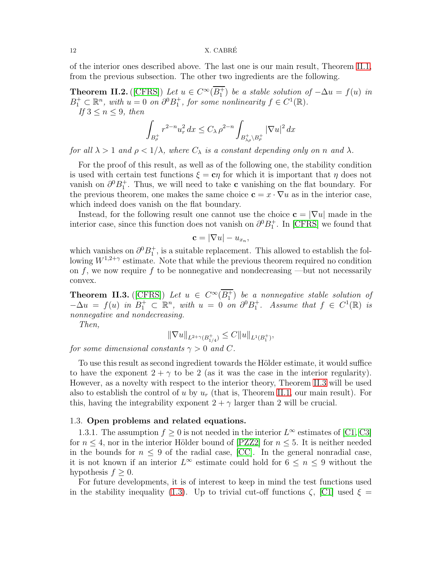#### 12 X. CABRÉ

of the interior ones described above. The last one is our main result, Theorem [II.1,](#page-7-1) from the previous subsection. The other two ingredients are the following.

<span id="page-11-2"></span>**Theorem II.2.** ([\[CFRS\]](#page-54-8)) *Let*  $u \in C^{\infty}(B_1^+)$  *be a stable solution of*  $-\Delta u = f(u)$  *in*  $B_1^+ \subset \mathbb{R}^n$ , with  $u = 0$  on  $\partial^0 B_1^+$ , for some nonlinearity  $f \in C^1(\mathbb{R})$ . *If*  $3 \leq n \leq 9$ *, then* 

$$
\int_{B_{\rho}^+} r^{2-n} u_r^2 dx \le C_\lambda \rho^{2-n} \int_{B_{\lambda_\rho}^+ \backslash B_{\rho}^+} |\nabla u|^2 dx
$$

*for all*  $\lambda > 1$  *and*  $\rho < 1/\lambda$ *, where*  $C_{\lambda}$  *is a constant depending only on n and*  $\lambda$ *.* 

For the proof of this result, as well as of the following one, the stability condition is used with certain test functions  $\xi = c\eta$  for which it is important that  $\eta$  does not vanish on  $\partial^0 B_1^+$ . Thus, we will need to take **c** vanishing on the flat boundary. For the previous theorem, one makes the same choice  $\mathbf{c} = x \cdot \nabla u$  as in the interior case, which indeed does vanish on the flat boundary.

Instead, for the following result one cannot use the choice  $c = |\nabla u|$  made in the interior case, since this function does not vanish on  $\partial^0 B_1^+$ . In [\[CFRS\]](#page-54-8) we found that

$$
\mathbf{c} = |\nabla u| - u_{x_n},
$$

which vanishes on  $\partial^0 B_1^+$ , is a suitable replacement. This allowed to establish the following  $W^{1,2+\gamma}$  estimate. Note that while the previous theorem required no condition on f, we now require f to be nonnegative and nondecreasing —but not necessarily convex.

<span id="page-11-1"></span>**Theorem II.3.** ([\[CFRS\]](#page-54-8)) Let  $u \in C^{\infty}(B_1^+)$  be a nonnegative stable solution of  $-\Delta u = f(u)$  in  $B_1^+ \subset \mathbb{R}^n$ , with  $u = 0$  on  $\partial^0 B_1^+$ . Assume that  $f \in C^1(\mathbb{R})$  is *nonnegative and nondecreasing.*

*Then,*

$$
\|\nabla u\|_{L^{2+\gamma}(B_{1/4}^+)} \leq C \|u\|_{L^1(B_1^+)},
$$

*for some dimensional constants*  $\gamma > 0$  *and* C.

To use this result as second ingredient towards the Hölder estimate, it would suffice to have the exponent  $2 + \gamma$  to be 2 (as it was the case in the interior regularity). However, as a novelty with respect to the interior theory, Theorem [II.3](#page-11-1) will be used also to establish the control of u by  $u_r$  (that is, Theorem [II.1,](#page-7-1) our main result). For this, having the integrability exponent  $2 + \gamma$  larger than 2 will be crucial.

### <span id="page-11-0"></span>1.3. Open problems and related equations.

1.3.1. The assumption  $f \geq 0$  is not needed in the interior  $L^{\infty}$  estimates of [\[C1,](#page-54-6) [C3\]](#page-54-7) for  $n \leq 4$ , nor in the interior Hölder bound of [\[PZZ2\]](#page-55-2) for  $n \leq 5$ . It is neither needed in the bounds for  $n \leq 9$  of the radial case, [\[CC\]](#page-54-5). In the general nonradial case, it is not known if an interior  $L^{\infty}$  estimate could hold for  $6 \leq n \leq 9$  without the hypothesis  $f \geq 0$ .

For future developments, it is of interest to keep in mind the test functions used in the stability inequality [\(1.3\)](#page-1-4). Up to trivial cut-off functions  $\zeta$ , [\[C1\]](#page-54-6) used  $\xi =$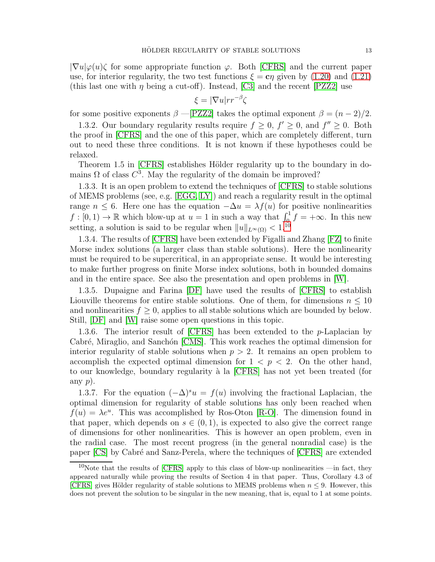$|\nabla u|\varphi(u)\zeta$  for some appropriate function  $\varphi$ . Both [\[CFRS\]](#page-54-8) and the current paper use, for interior regularity, the two test functions  $\xi = c\eta$  given by [\(1.20\)](#page-9-5) and [\(1.21\)](#page-10-0) (this last one with  $\eta$  being a cut-off). Instead, [\[C3\]](#page-54-7) and the recent [\[PZZ2\]](#page-55-2) use

$$
\xi = |\nabla u| r r^{-\beta} \zeta
$$

for some positive exponents  $\beta$  —[\[PZZ2\]](#page-55-2) takes the optimal exponent  $\beta = (n-2)/2$ .

1.3.2. Our boundary regularity results require  $f \geq 0$ ,  $f' \geq 0$ , and  $f'' \geq 0$ . Both the proof in [\[CFRS\]](#page-54-8) and the one of this paper, which are completely different, turn out to need these three conditions. It is not known if these hypotheses could be relaxed.

Theorem 1.5 in [\[CFRS\]](#page-54-8) establishes Hölder regularity up to the boundary in domains  $\Omega$  of class  $C^3$ . May the regularity of the domain be improved?

1.3.3. It is an open problem to extend the techniques of [\[CFRS\]](#page-54-8) to stable solutions of MEMS problems (see, e.g. [\[EGG,](#page-54-13) [LY\]](#page-54-14)) and reach a regularity result in the optimal range  $n \leq 6$ . Here one has the equation  $-\Delta u = \lambda f(u)$  for positive nonlinearities  $f: [0, 1) \to \mathbb{R}$  which blow-up at  $u = 1$  in such a way that  $\int_{0}^{1} f = +\infty$ . In this new setting, a solution is said to be regular when  $||u||_{L^{\infty}(\Omega)} < 1.1^{0}$ 

1.3.4. The results of [\[CFRS\]](#page-54-8) have been extended by Figalli and Zhang [\[FZ\]](#page-54-15) to finite Morse index solutions (a larger class than stable solutions). Here the nonlinearity must be required to be supercritical, in an appropriate sense. It would be interesting to make further progress on finite Morse index solutions, both in bounded domains and in the entire space. See also the presentation and open problems in [\[W\]](#page-55-6).

1.3.5. Dupaigne and Farina [\[DF\]](#page-54-16) have used the results of [\[CFRS\]](#page-54-8) to establish Liouville theorems for entire stable solutions. One of them, for dimensions  $n \leq 10$ and nonlinearities  $f \geq 0$ , applies to all stable solutions which are bounded by below. Still, [\[DF\]](#page-54-16) and [\[W\]](#page-55-6) raise some open questions in this topic.

1.3.6. The interior result of [\[CFRS\]](#page-54-8) has been extended to the p-Laplacian by Cabré, Miraglio, and Sanchón [\[CMS\]](#page-54-17). This work reaches the optimal dimension for interior regularity of stable solutions when  $p > 2$ . It remains an open problem to accomplish the expected optimal dimension for  $1 < p < 2$ . On the other hand, to our knowledge, boundary regularity à la [\[CFRS\]](#page-54-8) has not yet been treated (for any  $p$ ).

1.3.7. For the equation  $(-\Delta)^{s}u = f(u)$  involving the fractional Laplacian, the optimal dimension for regularity of stable solutions has only been reached when  $f(u) = \lambda e^u$ . This was accomplished by Ros-Oton [\[R-O\]](#page-55-7). The dimension found in that paper, which depends on  $s \in (0, 1)$ , is expected to also give the correct range of dimensions for other nonlinearities. This is however an open problem, even in the radial case. The most recent progress (in the general nonradial case) is the paper [\[CS\]](#page-54-18) by Cabré and Sanz-Perela, where the techniques of [\[CFRS\]](#page-54-8) are extended

<span id="page-12-0"></span><sup>&</sup>lt;sup>10</sup>Note that the results of  $[CFRS]$  apply to this class of blow-up nonlinearities —in fact, they appeared naturally while proving the results of Section 4 in that paper. Thus, Corollary 4.3 of [\[CFRS\]](#page-54-8) gives Hölder regularity of stable solutions to MEMS problems when  $n \leq 9$ . However, this does not prevent the solution to be singular in the new meaning, that is, equal to 1 at some points.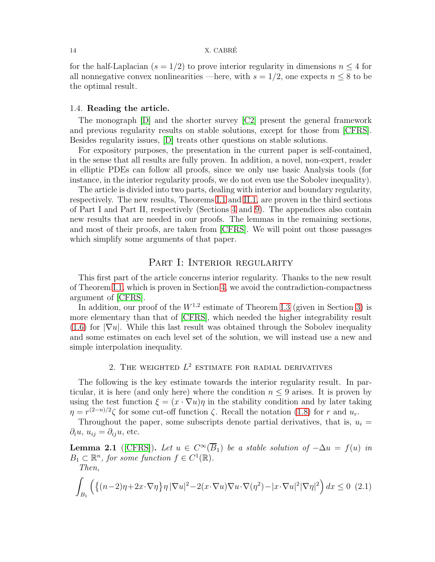#### 14 X. CABRÉ

for the half-Laplacian ( $s = 1/2$ ) to prove interior regularity in dimensions  $n \leq 4$  for all nonnegative convex nonlinearities —here, with  $s = 1/2$ , one expects  $n \leq 8$  to be the optimal result.

### <span id="page-13-0"></span>1.4. Reading the article.

The monograph [\[D\]](#page-54-2) and the shorter survey [\[C2\]](#page-54-9) present the general framework and previous regularity results on stable solutions, except for those from [\[CFRS\]](#page-54-8). Besides regularity issues, [\[D\]](#page-54-2) treats other questions on stable solutions.

For expository purposes, the presentation in the current paper is self-contained, in the sense that all results are fully proven. In addition, a novel, non-expert, reader in elliptic PDEs can follow all proofs, since we only use basic Analysis tools (for instance, in the interior regularity proofs, we do not even use the Sobolev inequality).

The article is divided into two parts, dealing with interior and boundary regularity, respectively. The new results, Theorems [I.1](#page-5-3) and [II.1,](#page-7-1) are proven in the third sections of Part I and Part II, respectively (Sections [4](#page-18-0) and [9\)](#page-36-0). The appendices also contain new results that are needed in our proofs. The lemmas in the remaining sections, and most of their proofs, are taken from [\[CFRS\]](#page-54-8). We will point out those passages which simplify some arguments of that paper.

### PART I: INTERIOR REGULARITY

This first part of the article concerns interior regularity. Thanks to the new result of Theorem [I.1,](#page-5-3) which is proven in Section [4,](#page-18-0) we avoid the contradiction-compactness argument of [\[CFRS\]](#page-54-8).

In addition, our proof of the  $W^{1,2}$  estimate of Theorem [I.3](#page-10-1) (given in Section [3\)](#page-15-0) is more elementary than that of [\[CFRS\]](#page-54-8), which needed the higher integrability result [\(1.6\)](#page-3-2) for  $|\nabla u|$ . While this last result was obtained through the Sobolev inequality and some estimates on each level set of the solution, we will instead use a new and simple interpolation inequality.

### 2. THE WEIGHTED  $L^2$  estimate for radial derivatives

<span id="page-13-1"></span>The following is the key estimate towards the interior regularity result. In particular, it is here (and only here) where the condition  $n \leq 9$  arises. It is proven by using the test function  $\xi = (x \cdot \nabla u)\eta$  in the stability condition and by later taking  $\eta = r^{(2-n)/2}\zeta$  for some cut-off function  $\zeta$ . Recall the notation [\(1.8\)](#page-4-3) for r and  $u_r$ .

Throughout the paper, some subscripts denote partial derivatives, that is,  $u_i =$  $\partial_i u, u_{ij} = \partial_{ij} u$ , etc.

**Lemma 2.1** ([\[CFRS\]](#page-54-8)). Let  $u \in C^{\infty}(\overline{B}_1)$  be a stable solution of  $-\Delta u = f(u)$  in  $B_1 \subset \mathbb{R}^n$ , for some function  $f \in C^1(\mathbb{R})$ .

*Then,*

<span id="page-13-2"></span>
$$
\int_{B_1} \left( \left\{ (n-2)\eta + 2\boldsymbol{x} \cdot \nabla \eta \right\} \eta \, |\nabla u|^2 - 2(\boldsymbol{x} \cdot \nabla u) \nabla u \cdot \nabla (\eta^2) - |\boldsymbol{x} \cdot \nabla u|^2 |\nabla \eta|^2 \right) dx \le 0 \tag{2.1}
$$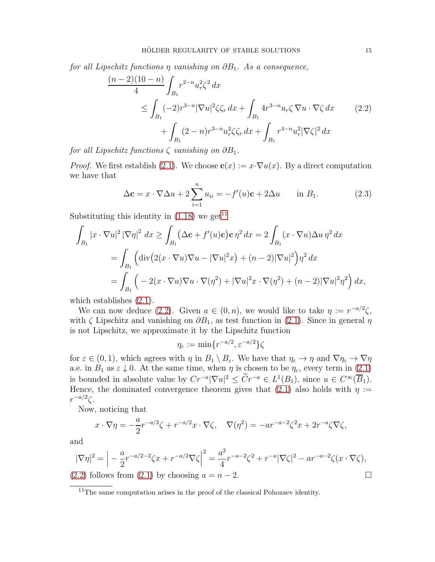<span id="page-14-2"></span>*for all Lipschitz functions* η *vanishing on* ∂B<sub>1</sub>. As a consequence,

$$
\frac{(n-2)(10-n)}{4} \int_{B_1} r^{2-n} u_r^2 \zeta^2 dx
$$
  
\n
$$
\leq \int_{B_1} (-2)r^{3-n} |\nabla u|^2 \zeta \zeta_r dx + \int_{B_1} 4r^{3-n} u_r \zeta \nabla u \cdot \nabla \zeta dx \qquad (2.2)
$$
  
\n
$$
+ \int_{B_1} (2-n)r^{3-n} u_r^2 \zeta \zeta_r dx + \int_{B_1} r^{4-n} u_r^2 |\nabla \zeta|^2 dx
$$

*for all Lipschitz functions*  $\zeta$  *vanishing on*  $\partial B_1$ *.* 

*Proof.* We first establish [\(2.1\)](#page-13-2). We choose  $\mathbf{c}(x) := x \cdot \nabla u(x)$ . By a direct computation we have that

<span id="page-14-0"></span>
$$
\Delta \mathbf{c} = x \cdot \nabla \Delta u + 2 \sum_{i=1}^{n} u_{ii} = -f'(u)\mathbf{c} + 2\Delta u \quad \text{in } B_1.
$$
 (2.3)

Substituting this identity in  $(1.18)$  we get<sup>[11](#page-14-1)</sup>

$$
\int_{B_1} |x \cdot \nabla u|^2 |\nabla \eta|^2 dx \ge \int_{B_1} (\Delta \mathbf{c} + f'(u)\mathbf{c}) \mathbf{c} \eta^2 dx = 2 \int_{B_1} (x \cdot \nabla u) \Delta u \eta^2 dx
$$
  
= 
$$
\int_{B_1} (\text{div}(2(x \cdot \nabla u)\nabla u - |\nabla u|^2 x) + (n-2)|\nabla u|^2) \eta^2 dx
$$
  
= 
$$
\int_{B_1} (-2(x \cdot \nabla u)\nabla u \cdot \nabla (\eta^2) + |\nabla u|^2 x \cdot \nabla (\eta^2) + (n-2)|\nabla u|^2 \eta^2) dx,
$$

which establishes  $(2.1)$ .

We can now deduce [\(2.2\)](#page-14-2). Given  $a \in (0, n)$ , we would like to take  $\eta := r^{-a/2}\zeta$ , with  $\zeta$  Lipschitz and vanishing on  $\partial B_1$ , as test function in [\(2.1\)](#page-13-2). Since in general  $\eta$ is not Lipschitz, we approximate it by the Lipschitz function

$$
\eta_{\varepsilon}:=\min\{r^{-a/2},\varepsilon^{-a/2}\}\zeta
$$

for  $\varepsilon \in (0, 1)$ , which agrees with  $\eta$  in  $B_1 \setminus B_{\varepsilon}$ . We have that  $\eta_{\varepsilon} \to \eta$  and  $\nabla \eta_{\varepsilon} \to \nabla \eta$ a.e. in  $B_1$  as  $\varepsilon \downarrow 0$ . At the same time, when  $\eta$  is chosen to be  $\eta_{\varepsilon}$ , every term in [\(2.1\)](#page-13-2) is bounded in absolute value by  $Cr^{-a}|\nabla u|^2 \leq Cr^{-a} \in L^1(B_1)$ , since  $u \in C^{\infty}(\overline{B_1})$ . Hence, the dominated convergence theorem gives that [\(2.1\)](#page-13-2) also holds with  $\eta :=$  $r^{-a/2}\zeta$ .

Now, noticing that

$$
x \cdot \nabla \eta = -\frac{a}{2} r^{-a/2} \zeta + r^{-a/2} x \cdot \nabla \zeta, \quad \nabla(\eta^2) = -ar^{-a-2} \zeta^2 x + 2r^{-a} \zeta \nabla \zeta,
$$

and

$$
|\nabla \eta|^2 = \left| -\frac{a}{2} r^{-a/2 - 2} \zeta x + r^{-a/2} \nabla \zeta \right|^2 = \frac{a^2}{4} r^{-a-2} \zeta^2 + r^{-a} |\nabla \zeta|^2 - ar^{-a-2} \zeta (x \cdot \nabla \zeta),
$$

[\(2.2\)](#page-14-2) follows from [\(2.1\)](#page-13-2) by choosing  $a = n - 2$ .

<span id="page-14-1"></span><sup>11</sup>The same computation arises in the proof of the classical Pohozaev identity.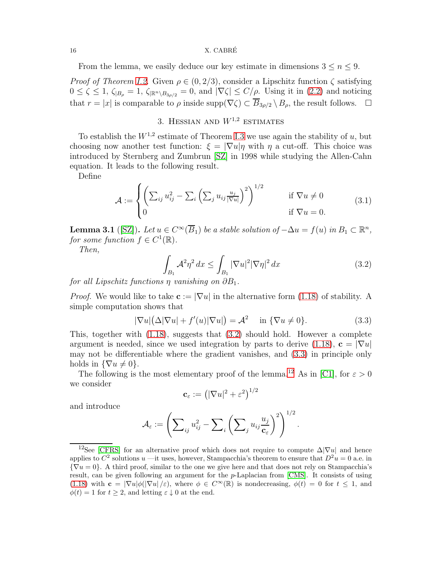#### 16 X. CABRÉ

From the lemma, we easily deduce our key estimate in dimensions  $3 \leq n \leq 9$ .

*Proof of Theorem [I.2.](#page-9-3)* Given  $\rho \in (0, 2/3)$ , consider a Lipschitz function  $\zeta$  satisfying  $0 \leq \zeta \leq 1$ ,  $\zeta_{|B_\rho} = 1$ ,  $\zeta_{|\mathbb{R}^n \setminus B_{3\rho/2}} = 0$ , and  $|\nabla \zeta| \leq C/\rho$ . Using it in [\(2.2\)](#page-14-2) and noticing that  $r = |x|$  is comparable to  $\rho$  inside supp $(\nabla \zeta) \subset \overline{B}_{3\rho/2} \setminus B_\rho$ , the result follows.  $\square$ 

## 3. HESSIAN AND  $W^{1,2}$  ESTIMATES

<span id="page-15-0"></span>To establish the  $W^{1,2}$  estimate of Theorem [I.3](#page-10-1) we use again the stability of u, but choosing now another test function:  $\xi = |\nabla u| \eta$  with  $\eta$  a cut-off. This choice was introduced by Sternberg and Zumbrun [\[SZ\]](#page-55-4) in 1998 while studying the Allen-Cahn equation. It leads to the following result.

Define

<span id="page-15-4"></span>
$$
\mathcal{A} := \begin{cases} \left( \sum_{ij} u_{ij}^2 - \sum_i \left( \sum_j u_{ij} \frac{u_j}{|\nabla u|} \right)^2 \right)^{1/2} & \text{if } \nabla u \neq 0\\ 0 & \text{if } \nabla u = 0. \end{cases}
$$
(3.1)

<span id="page-15-5"></span>**Lemma 3.1** ([\[SZ\]](#page-55-4)). Let  $u \in C^{\infty}(\overline{B}_1)$  be a stable solution of  $-\Delta u = f(u)$  in  $B_1 \subset \mathbb{R}^n$ , *for some function*  $f \in C^1(\mathbb{R})$ .

*Then,*

<span id="page-15-1"></span>
$$
\int_{B_1} \mathcal{A}^2 \eta^2 dx \le \int_{B_1} |\nabla u|^2 |\nabla \eta|^2 dx \tag{3.2}
$$

*for all Lipschitz functions*  $\eta$  *vanishing on*  $\partial B_1$ *.* 

*Proof.* We would like to take  $c := |\nabla u|$  in the alternative form [\(1.18\)](#page-9-1) of stability. A simple computation shows that

<span id="page-15-2"></span>
$$
|\nabla u|(\Delta|\nabla u| + f'(u)|\nabla u|) = \mathcal{A}^2 \quad \text{in } \{\nabla u \neq 0\}.
$$
 (3.3)

This, together with  $(1.18)$ , suggests that  $(3.2)$  should hold. However a complete argument is needed, since we used integration by parts to derive [\(1.18\)](#page-9-1),  $\mathbf{c} = |\nabla u|$ may not be differentiable where the gradient vanishes, and [\(3.3\)](#page-15-2) in principle only holds in  $\{\nabla u \neq 0\}$ .

The following is the most elementary proof of the lemma.<sup>[12](#page-15-3)</sup> As in [\[C1\]](#page-54-6), for  $\varepsilon > 0$ we consider

$$
\mathbf{c}_{\varepsilon}:=\left(|\nabla u|^2+\varepsilon^2\right)^{1/2}
$$

and introduce

$$
\mathcal{A}_{\varepsilon} := \left( \sum_{ij} u_{ij}^2 - \sum_i \left( \sum_j u_{ij} \frac{u_j}{c_{\varepsilon}} \right)^2 \right)^{1/2}.
$$

<span id="page-15-3"></span><sup>&</sup>lt;sup>12</sup>See [\[CFRS\]](#page-54-8) for an alternative proof which does not require to compute  $\Delta |\nabla u|$  and hence applies to  $C^2$  solutions u —it uses, however, Stampacchia's theorem to ensure that  $D^2u = 0$  a.e. in  ${\nabla u = 0}$ . A third proof, similar to the one we give here and that does not rely on Stampacchia's result, can be given following an argument for the p-Laplacian from [\[CMS\]](#page-54-17). It consists of using [\(1.18\)](#page-9-1) with  $\mathbf{c} = |\nabla u| \phi(|\nabla u|/\varepsilon)$ , where  $\phi \in C^{\infty}(\mathbb{R})$  is nondecreasing,  $\phi(t) = 0$  for  $t \leq 1$ , and  $\phi(t) = 1$  for  $t \geq 2$ , and letting  $\varepsilon \downarrow 0$  at the end.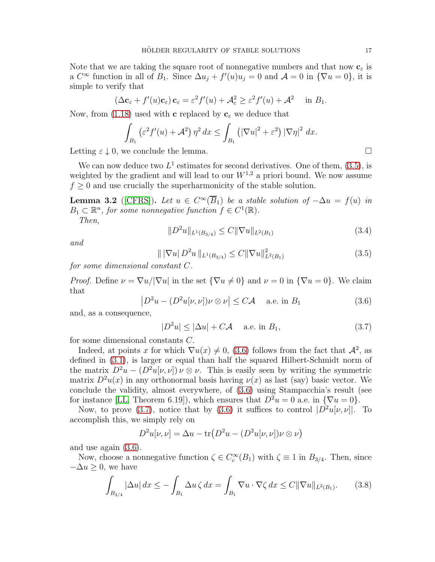Note that we are taking the square root of nonnegative numbers and that now  $\mathbf{c}_\varepsilon$  is a  $C^{\infty}$  function in all of  $B_1$ . Since  $\Delta u_j + f'(u)u_j = 0$  and  $\mathcal{A} = 0$  in  $\{\nabla u = 0\}$ , it is simple to verify that

$$
(\Delta \mathbf{c}_{\varepsilon} + f'(u)\mathbf{c}_{\varepsilon}) \mathbf{c}_{\varepsilon} = \varepsilon^2 f'(u) + \mathcal{A}_{\varepsilon}^2 \ge \varepsilon^2 f'(u) + \mathcal{A}^2 \quad \text{in } B_1.
$$

Now, from [\(1.18\)](#page-9-1) used with **c** replaced by  $c_{\varepsilon}$  we deduce that

$$
\int_{B_1} \left( \varepsilon^2 f'(u) + \mathcal{A}^2 \right) \eta^2 dx \le \int_{B_1} \left( |\nabla u|^2 + \varepsilon^2 \right) |\nabla \eta|^2 dx.
$$

Letting  $\varepsilon \downarrow 0$ , we conclude the lemma.

We can now deduce two  $L^1$  estimates for second derivatives. One of them,  $(3.5)$ , is weighted by the gradient and will lead to our  $W^{1,2}$  a priori bound. We now assume  $f \geq 0$  and use crucially the superharmonicity of the stable solution.

<span id="page-16-4"></span>**Lemma 3.2** ([\[CFRS\]](#page-54-8)). Let  $u \in C^{\infty}(B_1)$  be a stable solution of  $-\Delta u = f(u)$  in  $B_1 \subset \mathbb{R}^n$ , for some nonnegative function  $f \in C^1(\mathbb{R})$ . *Then,*

<span id="page-16-3"></span>
$$
||D^2u||_{L^1(B_{3/4})} \leq C||\nabla u||_{L^2(B_1)}
$$
\n(3.4)

*and*

<span id="page-16-0"></span>
$$
\| |\nabla u| D^2 u \|_{L^1(B_{3/4})} \le C \| \nabla u \|_{L^2(B_1)}^2 \tag{3.5}
$$

*for some dimensional constant* C*.*

*Proof.* Define  $\nu = \nabla u / |\nabla u|$  in the set  ${\nabla u \neq 0}$  and  $\nu = 0$  in  ${\nabla u = 0}$ . We claim that

<span id="page-16-1"></span>
$$
\left|D^2u - (D^2u[\nu, \nu])\nu \otimes \nu\right| \le C\mathcal{A} \quad \text{a.e. in } B_1 \tag{3.6}
$$

and, as a consequence,

<span id="page-16-2"></span>
$$
|D^2u| \le |\Delta u| + C\mathcal{A} \quad \text{a.e. in } B_1,\tag{3.7}
$$

for some dimensional constants C.

Indeed, at points x for which  $\nabla u(x) \neq 0$ , [\(3.6\)](#page-16-1) follows from the fact that  $\mathcal{A}^2$ , as defined in [\(3.1\)](#page-15-4), is larger or equal than half the squared Hilbert-Schmidt norm of the matrix  $D^2u - (D^2u[\nu, \nu]) \nu \otimes \nu$ . This is easily seen by writing the symmetric matrix  $D^2u(x)$  in any orthonormal basis having  $\nu(x)$  as last (say) basic vector. We conclude the validity, almost everywhere, of [\(3.6\)](#page-16-1) using Stampacchia's result (see for instance [\[LL,](#page-54-19) Theorem 6.19]), which ensures that  $D^2u = 0$  a.e. in  $\{\nabla u = 0\}$ .

Now, to prove [\(3.7\)](#page-16-2), notice that by [\(3.6\)](#page-16-1) it suffices to control  $|D^2u[\nu, \nu]|$ . To accomplish this, we simply rely on

$$
D^{2}u[\nu,\nu] = \Delta u - \text{tr}\left(D^{2}u - (D^{2}u[\nu,\nu])\nu \otimes \nu\right)
$$

and use again [\(3.6\)](#page-16-1).

Now, choose a nonnegative function  $\zeta \in C_c^{\infty}(B_1)$  with  $\zeta \equiv 1$  in  $B_{3/4}$ . Then, since  $-\Delta u \geq 0$ , we have

<span id="page-16-5"></span>
$$
\int_{B_{3/4}} |\Delta u| dx \le - \int_{B_1} \Delta u \zeta dx = \int_{B_1} \nabla u \cdot \nabla \zeta dx \le C ||\nabla u||_{L^2(B_1)}.
$$
 (3.8)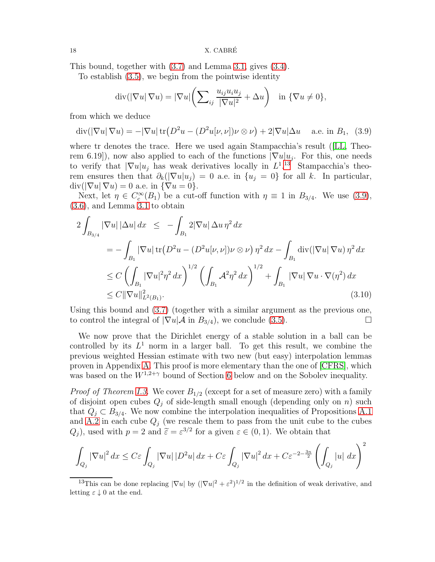This bound, together with [\(3.7\)](#page-16-2) and Lemma [3.1,](#page-15-5) gives [\(3.4\)](#page-16-3).

To establish [\(3.5\)](#page-16-0), we begin from the pointwise identity

$$
\operatorname{div}(|\nabla u| \nabla u) = |\nabla u| \left( \sum_{ij} \frac{u_{ij} u_i u_j}{|\nabla u|^2} + \Delta u \right) \quad \text{in } \{ \nabla u \neq 0 \},
$$

from which we deduce

<span id="page-17-1"></span>
$$
\operatorname{div}(|\nabla u| \nabla u) = -|\nabla u| \operatorname{tr}(D^2 u - (D^2 u[\nu, \nu]) \nu \otimes \nu) + 2|\nabla u| \Delta u \quad \text{a.e. in } B_1, \tag{3.9}
$$

where tr denotes the trace. Here we used again Stampacchia's result ([\[LL,](#page-54-19) Theorem 6.19]), now also applied to each of the functions  $|\nabla u|u_j$ . For this, one needs to verify that  $|\nabla u| u_j$  has weak derivatives locally in  $L^{1,13}$  $L^{1,13}$  $L^{1,13}$  Stampacchia's theorem ensures then that  $\partial_k(|\nabla u|u_i) = 0$  a.e. in  $\{u_i = 0\}$  for all k. In particular,  $div(|\nabla u| \nabla u) = 0$  a.e. in  ${\nabla u = 0}.$ 

Next, let  $\eta \in C_c^{\infty}(B_1)$  be a cut-off function with  $\eta \equiv 1$  in  $B_{3/4}$ . We use [\(3.9\)](#page-17-1), [\(3.6\)](#page-16-1), and Lemma [3.1](#page-15-5) to obtain

<span id="page-17-2"></span>
$$
2\int_{B_{3/4}} |\nabla u| |\Delta u| dx \leq -\int_{B_1} 2|\nabla u| \Delta u \eta^2 dx
$$
  
=  $-\int_{B_1} |\nabla u| \operatorname{tr} (D^2 u - (D^2 u[\nu, \nu]) \nu \otimes \nu) \eta^2 dx - \int_{B_1} \operatorname{div} (|\nabla u| \nabla u) \eta^2 dx$   
 $\leq C \left( \int_{B_1} |\nabla u|^2 \eta^2 dx \right)^{1/2} \left( \int_{B_1} \mathcal{A}^2 \eta^2 dx \right)^{1/2} + \int_{B_1} |\nabla u| \nabla u \cdot \nabla (\eta^2) dx$   
 $\leq C ||\nabla u||^2_{L^2(B_1)}.$  (3.10)

Using this bound and [\(3.7\)](#page-16-2) (together with a similar argument as the previous one, to control the integral of  $|\nabla u| \mathcal{A}$  in  $B_{3/4}$ , we conclude [\(3.5\)](#page-16-0).

We now prove that the Dirichlet energy of a stable solution in a ball can be controlled by its  $L^1$  norm in a larger ball. To get this result, we combine the previous weighted Hessian estimate with two new (but easy) interpolation lemmas proven in Appendix [A.](#page-44-0) This proof is more elementary than the one of [\[CFRS\]](#page-54-8), which was based on the  $W^{1,2+\gamma}$  bound of Section [6](#page-23-0) below and on the Sobolev inequality.

*Proof of Theorem [I.3.](#page-10-1)* We cover  $B_{1/2}$  (except for a set of measure zero) with a family of disjoint open cubes  $Q_i$  of side-length small enough (depending only on n) such that  $Q_j \subset B_{3/4}$ . We now combine the interpolation inequalities of Propositions [A.1](#page-45-0) and [A.2](#page-46-0) in each cube  $Q_j$  (we rescale them to pass from the unit cube to the cubes  $(Q_j)$ , used with  $p = 2$  and  $\tilde{\varepsilon} = \varepsilon^{3/2}$  for a given  $\varepsilon \in (0, 1)$ . We obtain that

$$
\int_{Q_j} |\nabla u|^2 dx \le C\varepsilon \int_{Q_j} |\nabla u| |D^2 u| dx + C\varepsilon \int_{Q_j} |\nabla u|^2 dx + C\varepsilon^{-2-\frac{3n}{2}} \left( \int_{Q_j} |u| dx \right)^2
$$

<span id="page-17-0"></span><sup>&</sup>lt;sup>13</sup>This can be done replacing  $|\nabla u|$  by  $(|\nabla u|^2 + \varepsilon^2)^{1/2}$  in the definition of weak derivative, and letting  $\varepsilon \downarrow 0$  at the end.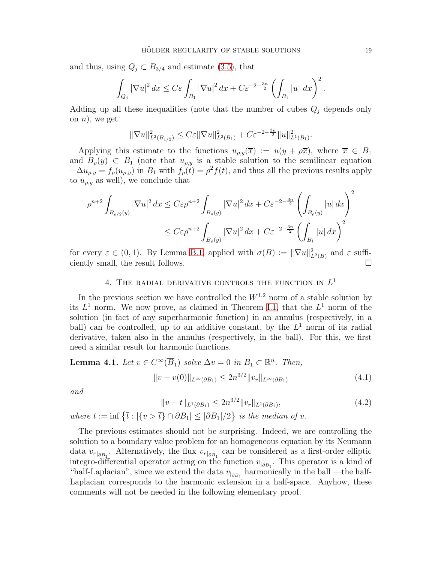and thus, using  $Q_j \subset B_{3/4}$  and estimate [\(3.5\)](#page-16-0), that

$$
\int_{Q_j} |\nabla u|^2 dx \leq C\varepsilon \int_{B_1} |\nabla u|^2 dx + C\varepsilon^{-2-\frac{3n}{2}} \left( \int_{B_1} |u| dx \right)^2.
$$

Adding up all these inequalities (note that the number of cubes  $Q_i$  depends only on  $n$ , we get

$$
\|\nabla u\|_{L^2(B_{1/2})}^2 \leq C\varepsilon \|\nabla u\|_{L^2(B_1)}^2 + C\varepsilon^{-2-\frac{3n}{2}} \|u\|_{L^1(B_1)}^2.
$$

Applying this estimate to the functions  $u_{\rho,y}(\overline{x}) := u(y + \rho \overline{x})$ , where  $\overline{x} \in B_1$ and  $B_{\rho}(y) \subset B_1$  (note that  $u_{\rho,y}$  is a stable solution to the semilinear equation  $-\Delta u_{\rho,y} = f_{\rho}(u_{\rho,y})$  in  $B_1$  with  $f_{\rho}(t) = \rho^2 f(t)$ , and thus all the previous results apply to  $u_{\rho, y}$  as well), we conclude that

$$
\rho^{n+2} \int_{B_{\rho/2}(y)} |\nabla u|^2 dx \le C \varepsilon \rho^{n+2} \int_{B_{\rho}(y)} |\nabla u|^2 dx + C \varepsilon^{-2-\frac{3n}{2}} \left( \int_{B_{\rho}(y)} |u| dx \right)^2
$$
  

$$
\le C \varepsilon \rho^{n+2} \int_{B_{\rho}(y)} |\nabla u|^2 dx + C \varepsilon^{-2-\frac{3n}{2}} \left( \int_{B_1} |u| dx \right)^2
$$

<span id="page-18-0"></span>for every  $\varepsilon \in (0,1)$ . By Lemma [B.1,](#page-47-1) applied with  $\sigma(B) := \|\nabla u\|_{L^2(B)}^2$  and  $\varepsilon$  sufficiently small, the result follows.  $\Box$ 

### 4. THE RADIAL DERIVATIVE CONTROLS THE FUNCTION IN  $L^1$

In the previous section we have controlled the  $W^{1,2}$  norm of a stable solution by its  $L^1$  norm. We now prove, as claimed in Theorem [I.1,](#page-5-3) that the  $L^1$  norm of the solution (in fact of any superharmonic function) in an annulus (respectively, in a ball) can be controlled, up to an additive constant, by the  $L<sup>1</sup>$  norm of its radial derivative, taken also in the annulus (respectively, in the ball). For this, we first need a similar result for harmonic functions.

<span id="page-18-1"></span>**Lemma 4.1.** Let 
$$
v \in C^{\infty}(\overline{B}_1)
$$
 solve  $\Delta v = 0$  in  $B_1 \subset \mathbb{R}^n$ . Then,  

$$
||v - v(0)||_{L^{\infty}(\partial B_1)} \leq 2n^{3/2} ||v_r||_{L^{\infty}(\partial B_1)}
$$
(4.1)

*and*

<span id="page-18-3"></span><span id="page-18-2"></span>
$$
||v - t||_{L^{1}(\partial B_1)} \le 2n^{3/2} ||v_r||_{L^{1}(\partial B_1)},
$$
\n(4.2)

*where*  $t := \inf \{ \overline{t} : |\{v > \overline{t}\} \cap \partial B_1| \leq |\partial B_1|/2 \}$  *is the median of v.* 

The previous estimates should not be surprising. Indeed, we are controlling the solution to a boundary value problem for an homogeneous equation by its Neumann data  $v_{r|_{\partial B_1}}$ . Alternatively, the flux  $v_{r|_{\partial B_1}}$  can be considered as a first-order elliptic integro-differential operator acting on the function  $v_{|_{\partial B_1}}$ . This operator is a kind of "half-Laplacian", since we extend the data  $v_{|_{\partial B_1}}$  harmonically in the ball —the half-Laplacian corresponds to the harmonic extension in a half-space. Anyhow, these comments will not be needed in the following elementary proof.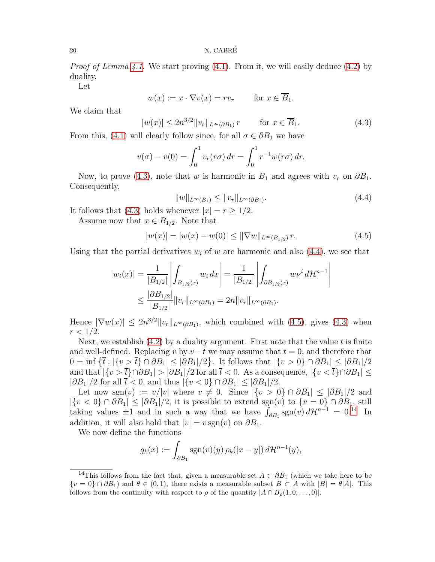*Proof of Lemma [4.1.](#page-18-1)* We start proving [\(4.1\)](#page-18-2). From it, we will easily deduce [\(4.2\)](#page-18-3) by duality.

Let

$$
w(x) := x \cdot \nabla v(x) = rv_r \qquad \text{for } x \in \overline{B}_1.
$$

We claim that

<span id="page-19-0"></span>
$$
|w(x)| \le 2n^{3/2} \|v_r\|_{L^\infty(\partial B_1)} r \qquad \text{for } x \in \overline{B}_1.
$$
 (4.3)

From this, [\(4.1\)](#page-18-2) will clearly follow since, for all  $\sigma \in \partial B_1$  we have

$$
v(\sigma) - v(0) = \int_0^1 v_r(r\sigma) dr = \int_0^1 r^{-1} w(r\sigma) dr.
$$

Now, to prove [\(4.3\)](#page-19-0), note that w is harmonic in  $B_1$  and agrees with  $v_r$  on  $\partial B_1$ . Consequently,

<span id="page-19-1"></span>
$$
||w||_{L^{\infty}(B_1)} \le ||v_r||_{L^{\infty}(\partial B_1)}.
$$
\n(4.4)

It follows that [\(4.3\)](#page-19-0) holds whenever  $|x| = r \geq 1/2$ .

Assume now that  $x \in B_{1/2}$ . Note that

<span id="page-19-2"></span>
$$
|w(x)| = |w(x) - w(0)| \le ||\nabla w||_{L^{\infty}(B_{1/2})} r.
$$
 (4.5)

Using that the partial derivatives  $w_i$  of w are harmonic and also [\(4.4\)](#page-19-1), we see that

$$
|w_i(x)| = \frac{1}{|B_{1/2}|} \left| \int_{B_{1/2}(x)} w_i dx \right| = \frac{1}{|B_{1/2}|} \left| \int_{\partial B_{1/2}(x)} w v^i d\mathcal{H}^{n-1} \right|
$$
  

$$
\leq \frac{|\partial B_{1/2}|}{|B_{1/2}|} ||v_r||_{L^{\infty}(\partial B_1)} = 2n ||v_r||_{L^{\infty}(\partial B_1)}.
$$

Hence  $|\nabla w(x)| \leq 2n^{3/2} ||v_r||_{L^{\infty}(\partial B_1)}$ , which combined with  $(4.5)$ , gives  $(4.3)$  when  $r < 1/2$ .

Next, we establish  $(4.2)$  by a duality argument. First note that the value t is finite and well-defined. Replacing v by  $v-t$  we may assume that  $t = 0$ , and therefore that  $0 = \inf \{ \overline{t} : |\{v > \overline{t}\} \cap \partial B_1| \leq |\partial B_1|/2 \}.$  It follows that  $|\{v > 0\} \cap \partial B_1| \leq |\partial B_1|/2$ and that  $|\{v > \overline{t}\} \cap \partial B_1| > |\partial B_1|/2$  for all  $\overline{t} < 0$ . As a consequence,  $|\{v < \overline{t}\} \cap \partial B_1| \le$  $|\partial B_1|/2$  for all  $\bar{t} < 0$ , and thus  $|\{v < 0\} \cap \partial B_1| \leq |\partial B_1|/2$ .

Let now sgn(v) :=  $v/|v|$  where  $v \neq 0$ . Since  $|\{v > 0\} \cap \partial B_1| \leq |\partial B_1|/2$  and  $|\{v < 0\} \cap \partial B_1| \leq |\partial B_1|/2$ , it is possible to extend sgn(v) to  $\{v = 0\} \cap \partial B_1$ , still taking values  $\pm 1$  and in such a way that we have  $\int_{\partial B_1}$  sgn(v)  $d\mathcal{H}^{n-1} = 0.14$  $d\mathcal{H}^{n-1} = 0.14$  In addition, it will also hold that  $|v| = v \operatorname{sgn}(v)$  on  $\partial B_1$ .

We now define the functions

$$
g_k(x) := \int_{\partial B_1} \operatorname{sgn}(v)(y) \, \rho_k(|x - y|) \, d\mathcal{H}^{n-1}(y),
$$

<span id="page-19-3"></span><sup>&</sup>lt;sup>14</sup>This follows from the fact that, given a measurable set  $A \subset \partial B_1$  (which we take here to be  $\{v = 0\} \cap \partial B_1$  and  $\theta \in (0, 1)$ , there exists a measurable subset  $B \subset A$  with  $|B| = \theta |A|$ . This follows from the continuity with respect to  $\rho$  of the quantity  $|A \cap B_{\rho}(1,0,\ldots,0)|$ .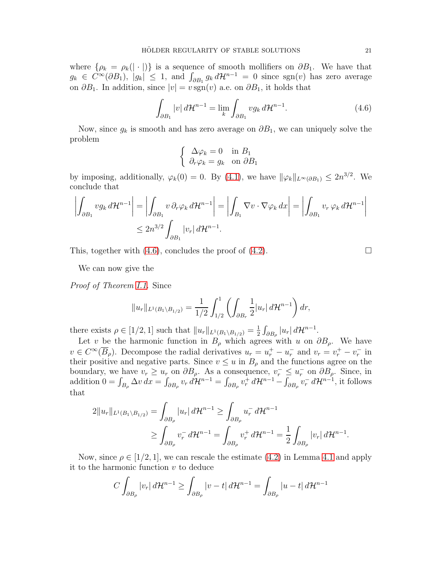where  $\{\rho_k = \rho_k(|\cdot|)\}\$ is a sequence of smooth mollifiers on  $\partial B_1$ . We have that  $g_k \in C^{\infty}(\partial B_1)$ ,  $|g_k| \leq 1$ , and  $\int_{\partial B_1} g_k d\mathcal{H}^{n-1} = 0$  since  $sgn(v)$  has zero average on  $\partial B_1$ . In addition, since  $|v| = v \operatorname{sgn}(v)$  a.e. on  $\partial B_1$ , it holds that

<span id="page-20-0"></span>
$$
\int_{\partial B_1} |v| d\mathcal{H}^{n-1} = \lim_{k} \int_{\partial B_1} v g_k d\mathcal{H}^{n-1}.
$$
\n(4.6)

Now, since  $g_k$  is smooth and has zero average on  $\partial B_1$ , we can uniquely solve the problem

$$
\begin{cases} \Delta \varphi_k = 0 & \text{in } B_1 \\ \partial_r \varphi_k = g_k & \text{on } \partial B_1 \end{cases}
$$

by imposing, additionally,  $\varphi_k(0) = 0$ . By [\(4.1\)](#page-18-2), we have  $\|\varphi_k\|_{L^{\infty}(\partial B_1)} \leq 2n^{3/2}$ . We conclude that

$$
\left| \int_{\partial B_1} v g_k \, d\mathcal{H}^{n-1} \right| = \left| \int_{\partial B_1} v \, \partial_r \varphi_k \, d\mathcal{H}^{n-1} \right| = \left| \int_{B_1} \nabla v \cdot \nabla \varphi_k \, dx \right| = \left| \int_{\partial B_1} v_r \, \varphi_k \, d\mathcal{H}^{n-1} \right|
$$
  

$$
\leq 2n^{3/2} \int_{\partial B_1} |v_r| \, d\mathcal{H}^{n-1}.
$$

This, together with [\(4.6\)](#page-20-0), concludes the proof of [\(4.2\)](#page-18-3).

We can now give the

*Proof of Theorem [I.1.](#page-5-3)* Since

$$
||u_r||_{L^1(B_1 \setminus B_{1/2})} = \frac{1}{1/2} \int_{1/2}^1 \left( \int_{\partial B_r} \frac{1}{2} |u_r| d\mathcal{H}^{n-1} \right) dr,
$$

there exists  $\rho \in [1/2, 1]$  such that  $||u_r||_{L^1(B_1 \setminus B_{1/2})} = \frac{1}{2}$  $\frac{1}{2}\int_{\partial B_\rho}|u_r|\,d\mathcal{H}^{n-1}.$ 

Let v be the harmonic function in  $B_\rho$  which agrees with u on  $\partial B_\rho$ . We have  $v \in C^{\infty}(\overline{B}_{\rho})$ . Decompose the radial derivatives  $u_r = u_r^+ - u_r^-$  and  $v_r = v_r^+ - v_r^-$  in their positive and negative parts. Since  $v \leq u$  in  $B_{\rho}$  and the functions agree on the boundary, we have  $v_r \geq u_r$  on  $\partial B_\rho$ . As a consequence,  $v_r^- \leq u_r^-$  on  $\partial B_\rho$ . Since, in addition  $0 = \int_{B_\rho} \Delta v \, dx = \int_{\partial B_\rho} v_r \, d\mathcal{H}^{n-1} = \int_{\partial B_\rho} v_r^+ \, d\mathcal{H}^{n-1} - \int_{\partial B_\rho} v_r^- \, d\mathcal{H}^{n-1}$ , it follows that

$$
2\|u_r\|_{L^1(B_1 \setminus B_{1/2})} = \int_{\partial B_{\rho}} |u_r| d\mathcal{H}^{n-1} \ge \int_{\partial B_{\rho}} u_r^- d\mathcal{H}^{n-1} \ge \int_{\partial B_{\rho}} v_r^- d\mathcal{H}^{n-1} = \int_{\partial B_{\rho}} v_r^+ d\mathcal{H}^{n-1} = \frac{1}{2} \int_{\partial B_{\rho}} |v_r| d\mathcal{H}^{n-1}.
$$

Now, since  $\rho \in [1/2, 1]$ , we can rescale the estimate [\(4.2\)](#page-18-3) in Lemma [4.1](#page-18-1) and apply it to the harmonic function  $v$  to deduce

$$
C\int_{\partial B_{\rho}}|v_r|\,d\mathcal{H}^{n-1}\geq \int_{\partial B_{\rho}}|v-t|\,d\mathcal{H}^{n-1}=\int_{\partial B_{\rho}}|u-t|\,d\mathcal{H}^{n-1}
$$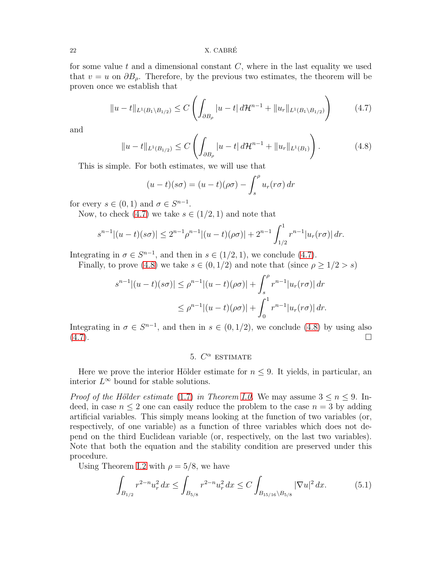22 X. CABRE´

for some value t and a dimensional constant  $C$ , where in the last equality we used that  $v = u$  on  $\partial B_{\rho}$ . Therefore, by the previous two estimates, the theorem will be proven once we establish that

<span id="page-21-1"></span>
$$
||u - t||_{L^{1}(B_{1} \setminus B_{1/2})} \leq C \left( \int_{\partial B_{\rho}} |u - t| d\mathcal{H}^{n-1} + ||u_{r}||_{L^{1}(B_{1} \setminus B_{1/2})} \right) \tag{4.7}
$$

and

<span id="page-21-2"></span>
$$
||u - t||_{L^{1}(B_{1/2})} \leq C \left( \int_{\partial B_{\rho}} |u - t| \, d\mathcal{H}^{n-1} + ||u_r||_{L^{1}(B_1)} \right). \tag{4.8}
$$

This is simple. For both estimates, we will use that

$$
(u-t)(s\sigma) = (u-t)(\rho\sigma) - \int_s^\rho u_r(r\sigma) dr
$$

for every  $s \in (0,1)$  and  $\sigma \in S^{n-1}$ .

Now, to check [\(4.7\)](#page-21-1) we take  $s \in (1/2, 1)$  and note that

$$
s^{n-1}|(u-t)(s\sigma)| \le 2^{n-1}\rho^{n-1}|(u-t)(\rho\sigma)| + 2^{n-1}\int_{1/2}^1 r^{n-1}|u_r(r\sigma)| dr.
$$

Integrating in  $\sigma \in S^{n-1}$ , and then in  $s \in (1/2, 1)$ , we conclude [\(4.7\)](#page-21-1).

Finally, to prove [\(4.8\)](#page-21-2) we take  $s \in (0, 1/2)$  and note that (since  $\rho \geq 1/2 > s$ )

$$
s^{n-1}|(u-t)(s\sigma)| \le \rho^{n-1}|(u-t)(\rho\sigma)| + \int_s^\rho r^{n-1}|u_r(r\sigma)| dr
$$
  

$$
\le \rho^{n-1}|(u-t)(\rho\sigma)| + \int_0^1 r^{n-1}|u_r(r\sigma)| dr.
$$

<span id="page-21-0"></span>Integrating in  $\sigma \in S^{n-1}$ , and then in  $s \in (0,1/2)$ , we conclude [\(4.8\)](#page-21-2) by using also  $(4.7)$ .

### 5.  $C^{\alpha}$  estimate

Here we prove the interior Hölder estimate for  $n \leq 9$ . It yields, in particular, an interior  $L^{\infty}$  bound for stable solutions.

*Proof of the Hölder estimate* [\(1.7\)](#page-3-3) *in Theorem [I.0.](#page-3-1)* We may assume  $3 \le n \le 9$ . Indeed, in case  $n \leq 2$  one can easily reduce the problem to the case  $n = 3$  by adding artificial variables. This simply means looking at the function of two variables (or, respectively, of one variable) as a function of three variables which does not depend on the third Euclidean variable (or, respectively, on the last two variables). Note that both the equation and the stability condition are preserved under this procedure.

Using Theorem [I.2](#page-9-3) with  $\rho = 5/8$ , we have

<span id="page-21-3"></span>
$$
\int_{B_{1/2}} r^{2-n} u_r^2 dx \le \int_{B_{5/8}} r^{2-n} u_r^2 dx \le C \int_{B_{15/16} \backslash B_{5/8}} |\nabla u|^2 dx.
$$
 (5.1)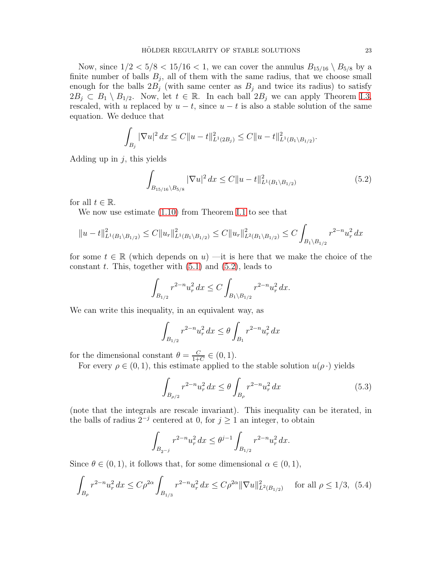Now, since  $1/2 < 5/8 < 15/16 < 1$ , we can cover the annulus  $B_{15/16} \setminus B_{5/8}$  by a finite number of balls  $B_j$ , all of them with the same radius, that we choose small enough for the balls  $2B_i$  (with same center as  $B_i$  and twice its radius) to satisfy  $2B_j \subset B_1 \setminus B_{1/2}$ . Now, let  $t \in \mathbb{R}$ . In each ball  $2B_j$  we can apply Theorem [I.3,](#page-10-1) rescaled, with u replaced by  $u - t$ , since  $u - t$  is also a stable solution of the same equation. We deduce that

$$
\int_{B_j} |\nabla u|^2 dx \le C \|u - t\|_{L^1(2B_j)}^2 \le C \|u - t\|_{L^1(B_1 \setminus B_{1/2})}^2.
$$

Adding up in  $j$ , this yields

<span id="page-22-0"></span>
$$
\int_{B_{15/16}\backslash B_{5/8}} |\nabla u|^2 dx \le C \|u - t\|_{L^1(B_1 \backslash B_{1/2})}^2
$$
\n(5.2)

for all  $t \in \mathbb{R}$ .

We now use estimate [\(1.10\)](#page-5-0) from Theorem [I.1](#page-5-3) to see that

$$
||u-t||_{L^{1}(B_{1}\setminus B_{1/2})}^{2} \leq C||u_{r}||_{L^{1}(B_{1}\setminus B_{1/2})}^{2} \leq C||u_{r}||_{L^{2}(B_{1}\setminus B_{1/2})}^{2} \leq C\int_{B_{1}\setminus B_{1/2}} r^{2-n}u_{r}^{2} dx
$$

for some  $t \in \mathbb{R}$  (which depends on u) —it is here that we make the choice of the constant t. This, together with  $(5.1)$  and  $(5.2)$ , leads to

$$
\int_{B_{1/2}} r^{2-n} u_r^2 dx \le C \int_{B_1 \backslash B_{1/2}} r^{2-n} u_r^2 dx.
$$

We can write this inequality, in an equivalent way, as

$$
\int_{B_{1/2}} r^{2-n} u_r^2 dx \le \theta \int_{B_1} r^{2-n} u_r^2 dx
$$

for the dimensional constant  $\theta = \frac{C}{1+\epsilon}$  $\frac{C}{1+C} \in (0,1).$ 

For every  $\rho \in (0,1)$ , this estimate applied to the stable solution  $u(\rho \cdot)$  yields

<span id="page-22-1"></span>
$$
\int_{B_{\rho/2}} r^{2-n} u_r^2 dx \le \theta \int_{B_{\rho}} r^{2-n} u_r^2 dx \tag{5.3}
$$

(note that the integrals are rescale invariant). This inequality can be iterated, in the balls of radius  $2^{-j}$  centered at 0, for  $j \geq 1$  an integer, to obtain

$$
\int_{B_{2^{-j}}} r^{2-n} u_r^2 dx \leq \theta^{j-1} \int_{B_{1/2}} r^{2-n} u_r^2 dx.
$$

Since  $\theta \in (0, 1)$ , it follows that, for some dimensional  $\alpha \in (0, 1)$ ,

<span id="page-22-2"></span>
$$
\int_{B_{\rho}} r^{2-n} u_r^2 dx \le C\rho^{2\alpha} \int_{B_{1/3}} r^{2-n} u_r^2 dx \le C\rho^{2\alpha} \|\nabla u\|_{L^2(B_{1/2})}^2 \quad \text{for all } \rho \le 1/3, \tag{5.4}
$$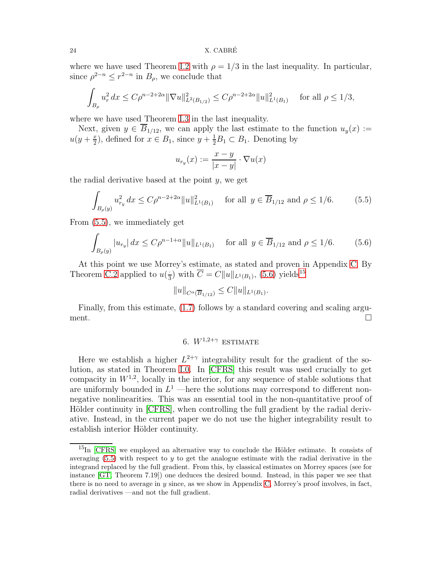#### 24 X. CABRE´

where we have used Theorem [I.2](#page-9-3) with  $\rho = 1/3$  in the last inequality. In particular, since  $\rho^{2-n} \leq r^{2-n}$  in  $B_\rho$ , we conclude that

$$
\int_{B_{\rho}} u_r^2 dx \le C\rho^{n-2+2\alpha} \|\nabla u\|_{L^2(B_{1/2})}^2 \le C\rho^{n-2+2\alpha} \|u\|_{L^1(B_1)}^2 \quad \text{for all } \rho \le 1/3,
$$

where we have used Theorem [I.3](#page-10-1) in the last inequality.

Next, given  $y \in \overline{B}_{1/12}$ , we can apply the last estimate to the function  $u_y(x) :=$  $u(y+\frac{x}{2})$  $(\frac{x}{2})$ , defined for  $x \in B_1$ , since  $y + \frac{1}{2}B_1 \subset B_1$ . Denoting by

$$
u_{r_y}(x) := \frac{x - y}{|x - y|} \cdot \nabla u(x)
$$

the radial derivative based at the point  $y$ , we get

<span id="page-23-1"></span>
$$
\int_{B_{\rho}(y)} u_{r_y}^2 dx \le C\rho^{n-2+2\alpha} \|u\|_{L^1(B_1)}^2 \quad \text{for all } y \in \overline{B}_{1/12} \text{ and } \rho \le 1/6. \tag{5.5}
$$

From [\(5.5\)](#page-23-1), we immediately get

<span id="page-23-2"></span>
$$
\int_{B_{\rho}(y)} |u_{r_y}| dx \le C\rho^{n-1+\alpha} \|u\|_{L^1(B_1)} \quad \text{for all } y \in \overline{B}_{1/12} \text{ and } \rho \le 1/6. \tag{5.6}
$$

At this point we use Morrey's estimate, as stated and proven in Appendix [C.](#page-48-0) By Theorem [C.2](#page-49-0) applied to  $u(\frac{1}{3})$  with  $\overline{C} = C||u||_{L^1(B_1)}$ , [\(5.6\)](#page-23-2) yields<sup>[15](#page-23-3)</sup>

$$
||u||_{C^{\alpha}(\overline{B}_{1/12})} \leq C||u||_{L^{1}(B_1)}.
$$

<span id="page-23-0"></span>Finally, from this estimate, [\(1.7\)](#page-3-3) follows by a standard covering and scaling argument.  $\Box$ 

# 6.  $W^{1,2+\gamma}$  estimate

Here we establish a higher  $L^{2+\gamma}$  integrability result for the gradient of the solution, as stated in Theorem [I.0.](#page-3-1) In [\[CFRS\]](#page-54-8) this result was used crucially to get compacity in  $W^{1,2}$ , locally in the interior, for any sequence of stable solutions that are uniformly bounded in  $L^1$  —here the solutions may correspond to different nonnegative nonlinearities. This was an essential tool in the non-quantitative proof of Hölder continuity in [\[CFRS\]](#page-54-8), when controlling the full gradient by the radial derivative. Instead, in the current paper we do not use the higher integrability result to establish interior Hölder continuity.

<span id="page-23-3"></span> $^{15}$ In [\[CFRS\]](#page-54-8) we employed an alternative way to conclude the Hölder estimate. It consists of averaging  $(5.5)$  with respect to y to get the analogue estimate with the radial derivative in the integrand replaced by the full gradient. From this, by classical estimates on Morrey spaces (see for instance [\[GT,](#page-54-20) Theorem 7.19]) one deduces the desired bound. Instead, in this paper we see that there is no need to average in y since, as we show in Appendix [C,](#page-48-0) Morrey's proof involves, in fact, radial derivatives —and not the full gradient.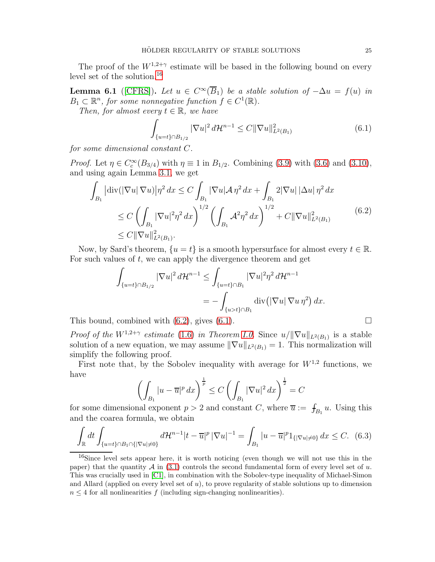The proof of the  $W^{1,2+\gamma}$  estimate will be based in the following bound on every level set of the solution.<sup>[16](#page-24-0)</sup>

**Lemma 6.1** ([\[CFRS\]](#page-54-8)). Let  $u \in C^{\infty}(\overline{B}_1)$  be a stable solution of  $-\Delta u = f(u)$  in  $B_1 \subset \mathbb{R}^n$ , for some nonnegative function  $f \in C^1(\mathbb{R})$ .

*Then, for almost every*  $t \in \mathbb{R}$ *, we have* 

<span id="page-24-2"></span>
$$
\int_{\{u=t\}\cap B_{1/2}} |\nabla u|^2 d\mathcal{H}^{n-1} \leq C ||\nabla u||^2_{L^2(B_1)}
$$
\n(6.1)

*for some dimensional constant* C*.*

*Proof.* Let  $\eta \in C_c^{\infty}(B_{3/4})$  with  $\eta \equiv 1$  in  $B_{1/2}$ . Combining [\(3.9\)](#page-17-1) with [\(3.6\)](#page-16-1) and [\(3.10\)](#page-17-2), and using again Lemma [3.1,](#page-15-5) we get

<span id="page-24-1"></span>
$$
\int_{B_1} |\text{div}(|\nabla u| \nabla u)| \eta^2 dx \le C \int_{B_1} |\nabla u| \mathcal{A} \eta^2 dx + \int_{B_1} 2|\nabla u| |\Delta u| \eta^2 dx
$$
\n
$$
\le C \left( \int_{B_1} |\nabla u|^2 \eta^2 dx \right)^{1/2} \left( \int_{B_1} \mathcal{A}^2 \eta^2 dx \right)^{1/2} + C \|\nabla u\|_{L^2(B_1)}^2 \le C \|\nabla u\|_{L^2(B_1)}^2. \tag{6.2}
$$

Now, by Sard's theorem,  $\{u = t\}$  is a smooth hypersurface for almost every  $t \in \mathbb{R}$ . For such values of  $t$ , we can apply the divergence theorem and get

$$
\int_{\{u=t\}\cap B_{1/2}} |\nabla u|^2 d\mathcal{H}^{n-1} \leq \int_{\{u=t\}\cap B_1} |\nabla u|^2 \eta^2 d\mathcal{H}^{n-1}
$$
  
= 
$$
-\int_{\{u>t\}\cap B_1} \operatorname{div} (|\nabla u| \nabla u \eta^2) dx.
$$

This bound, combined with  $(6.2)$ , gives  $(6.1)$ .

*Proof of the*  $W^{1,2+\gamma}$  *estimate* [\(1.6\)](#page-3-2) *in Theorem [I.0.](#page-3-1)* Since  $u/||\nabla u||_{L^2(B_1)}$  is a stable solution of a new equation, we may assume  $\|\nabla u\|_{L^2(B_1)} = 1$ . This normalization will simplify the following proof.

First note that, by the Sobolev inequality with average for  $W^{1,2}$  functions, we have

$$
\left(\int_{B_1} |u - \overline{u}|^p dx\right)^{\frac{1}{p}} \le C \left(\int_{B_1} |\nabla u|^2 dx\right)^{\frac{1}{2}} = C
$$

for some dimensional exponent  $p > 2$  and constant C, where  $\overline{u} := \int_{B_1} u$ . Using this and the coarea formula, we obtain

<span id="page-24-3"></span>
$$
\int_{\mathbb{R}} dt \int_{\{u=t\}\cap B_1 \cap \{|\nabla u| \neq 0\}} d\mathcal{H}^{n-1} |t-\overline{u}|^p |\nabla u|^{-1} = \int_{B_1} |u-\overline{u}|^p 1_{\{|\nabla u| \neq 0\}} dx \le C. \tag{6.3}
$$

<span id="page-24-0"></span><sup>16</sup>Since level sets appear here, it is worth noticing (even though we will not use this in the paper) that the quantity  $\mathcal A$  in [\(3.1\)](#page-15-4) controls the second fundamental form of every level set of u. This was crucially used in [\[C1\]](#page-54-6), in combination with the Sobolev-type inequality of Michael-Simon and Allard (applied on every level set of  $u$ ), to prove regularity of stable solutions up to dimension  $n \leq 4$  for all nonlinearities f (including sign-changing nonlinearities).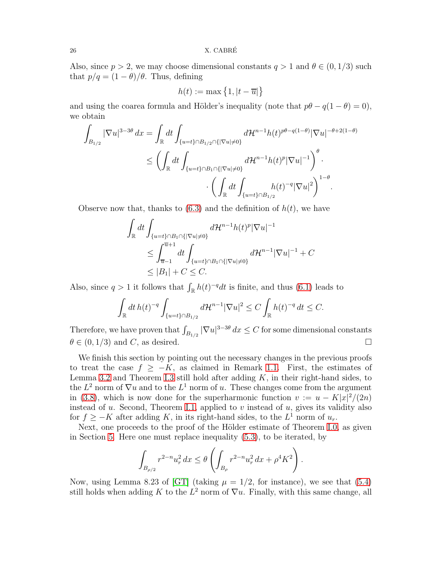Also, since  $p > 2$ , we may choose dimensional constants  $q > 1$  and  $\theta \in (0, 1/3)$  such that  $p/q = (1 - \theta)/\theta$ . Thus, defining

$$
h(t):=\max\left\{1,\left|t-\overline{u}\right|\right\}
$$

and using the coarea formula and Hölder's inequality (note that  $p\theta - q(1 - \theta) = 0$ ), we obtain

$$
\int_{B_{1/2}} |\nabla u|^{3-3\theta} dx = \int_{\mathbb{R}} dt \int_{\{u=t\} \cap B_{1/2} \cap \{|\nabla u| \neq 0\}} d\mathcal{H}^{n-1} h(t)^{p\theta - q(1-\theta)} |\nabla u|^{-\theta + 2(1-\theta)}
$$
\n
$$
\leq \left( \int_{\mathbb{R}} dt \int_{\{u=t\} \cap B_1 \cap \{|\nabla u| \neq 0\}} d\mathcal{H}^{n-1} h(t)^p |\nabla u|^{-1} \right)^{\theta}.
$$
\n
$$
\cdot \left( \int_{\mathbb{R}} dt \int_{\{u=t\} \cap B_{1/2}} h(t)^{-q} |\nabla u|^2 \right)^{1-\theta}.
$$

Observe now that, thanks to  $(6.3)$  and the definition of  $h(t)$ , we have

$$
\int_{\mathbb{R}} dt \int_{\{u=t\}\cap B_1 \cap \{|\nabla u|\neq 0\}} d\mathcal{H}^{n-1} h(t)^p |\nabla u|^{-1}
$$
\n
$$
\leq \int_{\overline{u}-1}^{\overline{u}+1} dt \int_{\{u=t\}\cap B_1 \cap \{|\nabla u|\neq 0\}} d\mathcal{H}^{n-1} |\nabla u|^{-1} + C
$$
\n
$$
\leq |B_1| + C \leq C.
$$

Also, since  $q > 1$  it follows that  $\int_{\mathbb{R}} h(t)^{-q} dt$  is finite, and thus [\(6.1\)](#page-24-2) leads to

$$
\int_{\mathbb{R}} dt \, h(t)^{-q} \int_{\{u=t\} \cap B_{1/2}} d\mathcal{H}^{n-1} |\nabla u|^2 \le C \int_{\mathbb{R}} h(t)^{-q} \, dt \le C.
$$

Therefore, we have proven that  $\int_{B_{1/2}} |\nabla u|^{3-3\theta} dx \leq C$  for some dimensional constants  $\theta \in (0, 1/3)$  and C, as desired.

We finish this section by pointing out the necessary changes in the previous proofs to treat the case  $f \geq -K$ , as claimed in Remark [1.1.](#page-4-2) First, the estimates of Lemma [3.2](#page-16-4) and Theorem [I.3](#page-10-1) still hold after adding  $K$ , in their right-hand sides, to the  $L^2$  norm of  $\nabla u$  and to the  $L^1$  norm of u. These changes come from the argument in [\(3.8\)](#page-16-5), which is now done for the superharmonic function  $v := u - K|x|^2/(2n)$ instead of  $u$ . Second, Theorem [I.1,](#page-5-3) applied to  $v$  instead of  $u$ , gives its validity also for  $f \geq -K$  after adding K, in its right-hand sides, to the  $L^1$  norm of  $u_r$ .

Next, one proceeds to the proof of the Hölder estimate of Theorem [I.0,](#page-3-1) as given in Section [5.](#page-21-0) Here one must replace inequality [\(5.3\)](#page-22-1), to be iterated, by

$$
\int_{B_{\rho/2}} r^{2-n} u_r^2 dx \le \theta \left( \int_{B_{\rho}} r^{2-n} u_r^2 dx + \rho^4 K^2 \right).
$$

Now, using Lemma 8.23 of [\[GT\]](#page-54-20) (taking  $\mu = 1/2$ , for instance), we see that [\(5.4\)](#page-22-2) still holds when adding K to the  $L^2$  norm of  $\nabla u$ . Finally, with this same change, all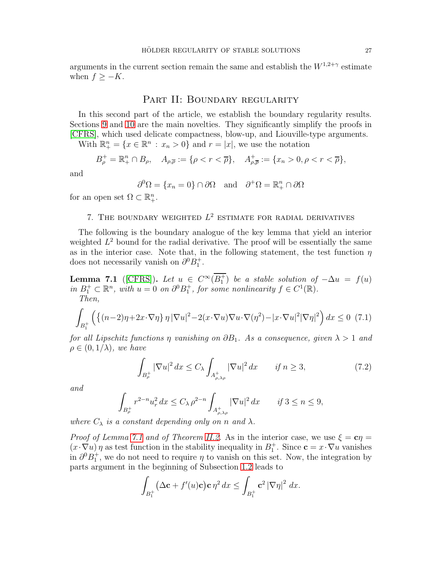arguments in the current section remain the same and establish the  $W^{1,2+\gamma}$  estimate when  $f \geq -K$ .

### PART II: BOUNDARY REGULARITY

In this second part of the article, we establish the boundary regularity results. Sections [9](#page-36-0) and [10](#page-42-0) are the main novelties. They significantly simplify the proofs in [\[CFRS\]](#page-54-8), which used delicate compactness, blow-up, and Liouville-type arguments.

With  $\mathbb{R}^n_+ = \{x \in \mathbb{R}^n : x_n > 0\}$  and  $r = |x|$ , we use the notation

$$
B_{\rho}^+ = \mathbb{R}^n_+ \cap B_{\rho}, \quad A_{\rho,\overline{\rho}} := \{ \rho < r < \overline{\rho} \}, \quad A_{\rho,\overline{\rho}}^+ := \{ x_n > 0, \rho < r < \overline{\rho} \},
$$

and

$$
\partial^0 \Omega = \{x_n = 0\} \cap \partial \Omega \text{ and } \partial^+ \Omega = \mathbb{R}^n_+ \cap \partial \Omega
$$

<span id="page-26-0"></span>for an open set  $\Omega \subset \mathbb{R}^n_+$ .

### 7. THE BOUNDARY WEIGHTED  $L^2$  estimate for radial derivatives

The following is the boundary analogue of the key lemma that yield an interior weighted  $L^2$  bound for the radial derivative. The proof will be essentially the same as in the interior case. Note that, in the following statement, the test function  $\eta$ does not necessarily vanish on  $\partial^0 B_1^+$ .

<span id="page-26-1"></span>**Lemma 7.1** ([\[CFRS\]](#page-54-8)). Let  $u \in C^{\infty}(B_1^+)$  be a stable solution of  $-\Delta u = f(u)$ *in*  $B_1^+ \subset \mathbb{R}^n$ , with  $u = 0$  on  $\partial^0 B_1^+$ , for some nonlinearity  $f \in C^1(\mathbb{R})$ . *Then,*

<span id="page-26-2"></span>
$$
\int_{B_1^+} \left( \left\{ (n-2)\eta + 2\boldsymbol{x} \cdot \nabla \eta \right\} \eta \, |\nabla u|^2 - 2(\boldsymbol{x} \cdot \nabla u) \nabla u \cdot \nabla (\eta^2) - |\boldsymbol{x} \cdot \nabla u|^2 |\nabla \eta|^2 \right) d\boldsymbol{x} \le 0 \tag{7.1}
$$

*for all Lipschitz functions*  $\eta$  *vanishing on*  $\partial B_1$ *. As a consequence, given*  $\lambda > 1$  *and*  $\rho \in (0, 1/\lambda)$ *, we have* 

<span id="page-26-3"></span>
$$
\int_{B_{\rho}^+} |\nabla u|^2 dx \le C_{\lambda} \int_{A_{\rho,\lambda\rho}^+} |\nabla u|^2 dx \qquad \text{if } n \ge 3,
$$
\n(7.2)

*and*

$$
\int_{B_{\rho}^+} r^{2-n} u_r^2 dx \le C_{\lambda} \rho^{2-n} \int_{A_{\rho,\lambda\rho}^+} |\nabla u|^2 dx \qquad \text{if } 3 \le n \le 9,
$$

*where*  $C_{\lambda}$  *is a constant depending only on n and*  $\lambda$ *.* 

*Proof of Lemma [7.1](#page-26-1) and of Theorem [II.2.](#page-11-2)* As in the interior case, we use  $\xi = c\eta =$  $(x \cdot \nabla u)\eta$  as test function in the stability inequality in  $B_1^+$ . Since  $\mathbf{c} = x \cdot \nabla u$  vanishes in  $\partial^0 B_1^+$ , we do not need to require  $\eta$  to vanish on this set. Now, the integration by parts argument in the beginning of Subsection [1.2](#page-9-0) leads to

$$
\int_{B_1^+} \left(\Delta \mathbf{c} + f'(u)\mathbf{c}\right) \mathbf{c} \,\eta^2\,dx \leq \int_{B_1^+} \mathbf{c}^2 \left|\nabla \eta\right|^2\,dx.
$$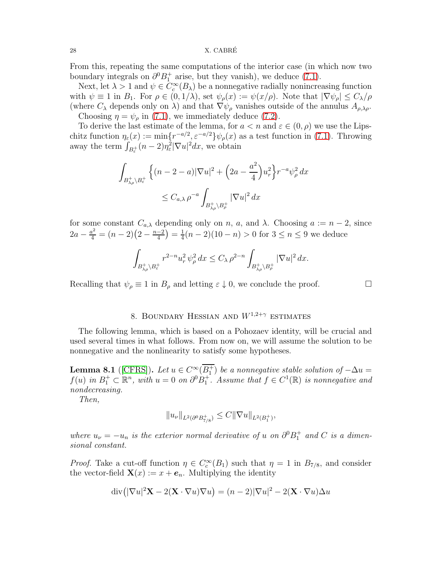28 X. CABRÉ

From this, repeating the same computations of the interior case (in which now two boundary integrals on  $\partial^0 B_1^+$  arise, but they vanish), we deduce [\(7.1\)](#page-26-2).

Next, let  $\lambda > 1$  and  $\psi \in C_c^{\infty}(B_{\lambda})$  be a nonnegative radially nonincreasing function with  $\psi \equiv 1$  in  $B_1$ . For  $\rho \in (0, 1/\lambda)$ , set  $\psi_{\rho}(x) := \psi(x/\rho)$ . Note that  $|\nabla \psi_{\rho}| \leq C_{\lambda}/\rho$ (where  $C_{\lambda}$  depends only on  $\lambda$ ) and that  $\nabla \psi_{\rho}$  vanishes outside of the annulus  $A_{\rho,\lambda\rho}$ . Choosing  $\eta = \psi_{\rho}$  in [\(7.1\)](#page-26-2), we immediately deduce [\(7.2\)](#page-26-3).

To derive the last estimate of the lemma, for  $a < n$  and  $\varepsilon \in (0, \rho)$  we use the Lipschitz function  $\eta_{\varepsilon}(x) := \min\{r^{-a/2}, \varepsilon^{-a/2}\}\psi_{\rho}(x)$  as a test function in [\(7.1\)](#page-26-2). Throwing away the term  $\int_{B_{\varepsilon}^+} (n-2)\eta_{\varepsilon}^2 |\nabla u|^2 dx$ , we obtain

$$
\int_{B_{\lambda\rho}^+\backslash B_{\varepsilon}^+} \left\{(n-2-a)|\nabla u|^2 + \left(2a - \frac{a^2}{4}\right)u_r^2\right\} r^{-a}\psi_\rho^2 dx
$$
  

$$
\leq C_{a,\lambda} \rho^{-a} \int_{B_{\lambda\rho}^+\backslash B_\rho^+} |\nabla u|^2 dx
$$

for some constant  $C_{a,\lambda}$  depending only on n, a, and  $\lambda$ . Choosing  $a := n-2$ , since  $2a - \frac{a^2}{4} = (n-2)(2 - \frac{n-2}{4}) = \frac{1}{4}$  $\frac{1}{4}(n-2)(10-n) > 0$  for  $3 \le n \le 9$  we deduce

$$
\int_{B_{\lambda\rho}^+\backslash B_{\varepsilon}^+} r^{2-n} u_r^2\,\psi_\rho^2\,dx\leq C_{\lambda}\,\rho^{2-n}\int_{B_{\lambda\rho}^+\backslash B_{\rho}^+} |\nabla u|^2\,dx.
$$

<span id="page-27-0"></span>Recalling that  $\psi_{\rho} \equiv 1$  in  $B_{\rho}$  and letting  $\varepsilon \downarrow 0$ , we conclude the proof.

### 8. BOUNDARY HESSIAN AND  $W^{1,2+\gamma}$  estimates

The following lemma, which is based on a Pohozaev identity, will be crucial and used several times in what follows. From now on, we will assume the solution to be nonnegative and the nonlinearity to satisfy some hypotheses.

<span id="page-27-1"></span>**Lemma 8.1** ([\[CFRS\]](#page-54-8)). Let  $u \in C^{\infty}(B_1^+)$  be a nonnegative stable solution of  $-\Delta u =$  $f(u)$  in  $B_1^+ \subset \mathbb{R}^n$ , with  $u = 0$  on  $\partial^0 B_1^+$ . Assume that  $f \in C^1(\mathbb{R})$  is nonnegative and *nondecreasing.*

*Then,*

$$
||u_{\nu}||_{L^{2}(\partial^{0}B_{7/8}^{+})}\leq C||\nabla u||_{L^{2}(B_{1}^{+})},
$$

*where*  $u_{\nu} = -u_n$  *is the exterior normal derivative of* u *on*  $\partial^0 B_1^+$  *and* C *is a dimensional constant.*

*Proof.* Take a cut-off function  $\eta \in C_c^{\infty}(B_1)$  such that  $\eta = 1$  in  $B_{7/8}$ , and consider the vector-field  $\mathbf{X}(x) := x + e_n$ . Multiplying the identity

$$
\operatorname{div}(|\nabla u|^2 \mathbf{X} - 2(\mathbf{X} \cdot \nabla u) \nabla u) = (n-2)|\nabla u|^2 - 2(\mathbf{X} \cdot \nabla u) \Delta u
$$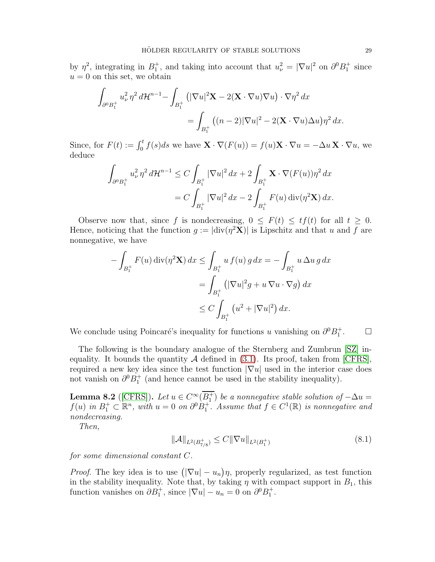by  $\eta^2$ , integrating in  $B_1^+$ , and taking into account that  $u^2_{\nu} = |\nabla u|^2$  on  $\partial^0 B_1^+$  since  $u = 0$  on this set, we obtain

$$
\int_{\partial^0 B_1^+} u_\nu^2 \eta^2 d\mathcal{H}^{n-1} - \int_{B_1^+} \left( |\nabla u|^2 \mathbf{X} - 2(\mathbf{X} \cdot \nabla u) \nabla u \right) \cdot \nabla \eta^2 dx
$$
  
= 
$$
\int_{B_1^+} \left( (n-2) |\nabla u|^2 - 2(\mathbf{X} \cdot \nabla u) \Delta u \right) \eta^2 dx.
$$

Since, for  $F(t) := \int_0^t f(s)ds$  we have  $\mathbf{X} \cdot \nabla (F(u)) = f(u)\mathbf{X} \cdot \nabla u = -\Delta u \mathbf{X} \cdot \nabla u$ , we deduce

$$
\int_{\partial^0 B_1^+} u_\nu^2 \, \eta^2 \, d\mathcal{H}^{n-1} \le C \int_{B_1^+} |\nabla u|^2 \, dx + 2 \int_{B_1^+} \mathbf{X} \cdot \nabla (F(u)) \eta^2 \, dx
$$
  
=  $C \int_{B_1^+} |\nabla u|^2 \, dx - 2 \int_{B_1^+} F(u) \operatorname{div} (\eta^2 \mathbf{X}) \, dx.$ 

Observe now that, since f is nondecreasing,  $0 \leq F(t) \leq tf(t)$  for all  $t \geq 0$ . Hence, noticing that the function  $g := |div(\eta^2 X)|$  is Lipschitz and that u and f are nonnegative, we have

$$
-\int_{B_1^+} F(u) \operatorname{div}(\eta^2 \mathbf{X}) dx \le \int_{B_1^+} u f(u) g dx = -\int_{B_1^+} u \Delta u g dx
$$
  
= 
$$
\int_{B_1^+} \left( |\nabla u|^2 g + u \nabla u \cdot \nabla g \right) dx
$$
  

$$
\le C \int_{B_1^+} \left( u^2 + |\nabla u|^2 \right) dx.
$$

We conclude using Poincaré's inequality for functions u vanishing on  $\partial^0 B_1^+$  $\Box$ 

The following is the boundary analogue of the Sternberg and Zumbrun [\[SZ\]](#page-55-4) inequality. It bounds the quantity  $A$  defined in [\(3.1\)](#page-15-4). Its proof, taken from [\[CFRS\]](#page-54-8), required a new key idea since the test function  $|\nabla u|$  used in the interior case does not vanish on  $\partial^0 B_1^+$  (and hence cannot be used in the stability inequality).

<span id="page-28-1"></span>**Lemma 8.2** ([\[CFRS\]](#page-54-8)). Let  $u \in C^{\infty}(B_1^+)$  be a nonnegative stable solution of  $-\Delta u =$  $f(u)$  in  $B_1^+ \subset \mathbb{R}^n$ , with  $u = 0$  on  $\partial^0 B_1^+$ . Assume that  $f \in C^1(\mathbb{R})$  is nonnegative and *nondecreasing.*

*Then,*

<span id="page-28-0"></span>
$$
\|\mathcal{A}\|_{L^2(B_{7/8}^+)} \le C \|\nabla u\|_{L^2(B_1^+)}\tag{8.1}
$$

*for some dimensional constant* C*.*

*Proof.* The key idea is to use  $(|\nabla u| - u_n)\eta$ , properly regularized, as test function in the stability inequality. Note that, by taking  $\eta$  with compact support in  $B_1$ , this function vanishes on  $\partial B_1^+$ , since  $|\nabla u| - u_n = 0$  on  $\partial^0 B_1^+$ .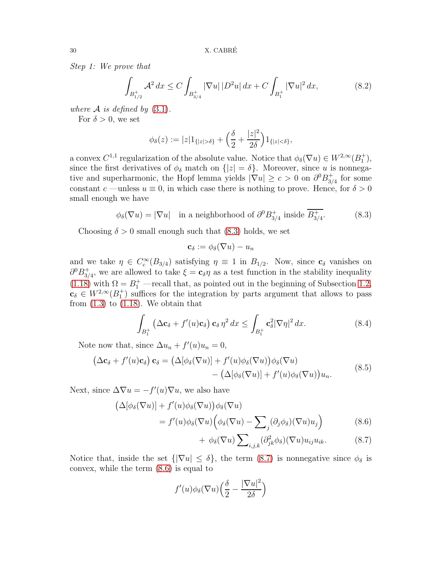*Step 1: We prove that*

<span id="page-29-5"></span>
$$
\int_{B_{1/2}^+} \mathcal{A}^2 \, dx \le C \int_{B_{3/4}^+} |\nabla u| \, |D^2 u| \, dx + C \int_{B_1^+} |\nabla u|^2 \, dx,\tag{8.2}
$$

*where*  $\mathcal A$  *is defined by* [\(3.1\)](#page-15-4).

For  $\delta > 0$ , we set

$$
\phi_{\delta}(z) := |z| 1_{\{|z| > \delta\}} + \left(\frac{\delta}{2} + \frac{|z|^2}{2\delta}\right) 1_{\{|z| < \delta\}},
$$

a convex  $C^{1,1}$  regularization of the absolute value. Notice that  $\phi_{\delta}(\nabla u) \in W^{2,\infty}(B_1^+),$ since the first derivatives of  $\phi_{\delta}$  match on  $\{|z| = \delta\}$ . Moreover, since u is nonnegative and superharmonic, the Hopf lemma yields  $|\nabla u| \geq c > 0$  on  $\partial^0 B_{3d}^+$  $_{3/4}^+$  for some constant c —unless  $u \equiv 0$ , in which case there is nothing to prove. Hence, for  $\delta > 0$ small enough we have

<span id="page-29-0"></span>
$$
\phi_{\delta}(\nabla u) = |\nabla u| \quad \text{in a neighborhood of } \partial^0 B_{3/4}^+ \text{ inside } B_{3/4}^+.
$$
 (8.3)

Choosing  $\delta > 0$  small enough such that [\(8.3\)](#page-29-0) holds, we set

$$
\mathbf{c}_\delta:=\phi_\delta(\nabla u)-u_n
$$

and we take  $\eta \in C_c^{\infty}(B_{3/4})$  satisfying  $\eta \equiv 1$  in  $B_{1/2}$ . Now, since  $c_{\delta}$  vanishes on  $\partial^0 B^+_{3}$ <sup>+</sup><sub>3/4</sub>, we are allowed to take  $\xi = \mathbf{c}_{\delta} \eta$  as a test function in the stability inequality [\(1.18\)](#page-9-1) with  $\Omega = B_1^+$  —recall that, as pointed out in the beginning of Subsection [1.2,](#page-9-0)  $c_{\delta} \in W^{2,\infty}(B_1^+)$  suffices for the integration by parts argument that allows to pass from  $(1.3)$  to  $(1.18)$ . We obtain that

<span id="page-29-4"></span>
$$
\int_{B_1^+} \left( \Delta \mathbf{c}_{\delta} + f'(u)\mathbf{c}_{\delta} \right) \mathbf{c}_{\delta} \eta^2 dx \le \int_{B_1^+} \mathbf{c}_{\delta}^2 |\nabla \eta|^2 dx. \tag{8.4}
$$

Note now that, since  $\Delta u_n + f'(u)u_n = 0$ ,

$$
\begin{aligned} \left(\Delta \mathbf{c}_{\delta} + f'(u)\mathbf{c}_{\delta}\right)\mathbf{c}_{\delta} &= \left(\Delta[\phi_{\delta}(\nabla u)] + f'(u)\phi_{\delta}(\nabla u)\right)\phi_{\delta}(\nabla u) \\ &- \left(\Delta[\phi_{\delta}(\nabla u)] + f'(u)\phi_{\delta}(\nabla u)\right)u_{n}. \end{aligned} \tag{8.5}
$$

<span id="page-29-3"></span>Next, since  $\Delta \nabla u = -f'(u)\nabla u$ , we also have

$$
\begin{aligned} \left(\Delta[\phi_{\delta}(\nabla u)] + f'(u)\phi_{\delta}(\nabla u)\right)\phi_{\delta}(\nabla u) \\ &= f'(u)\phi_{\delta}(\nabla u)\left(\phi_{\delta}(\nabla u) - \sum_{\alpha}(\partial_{i}\phi_{\delta})(\nabla u)u_{i}\right) \end{aligned} \tag{8.6}
$$

$$
= f'(u)\phi_{\delta}(\nabla u) \Big(\phi_{\delta}(\nabla u) - \sum_{j} (\partial_{j}\phi_{\delta})(\nabla u)u_{j}\Big) \tag{8.6}
$$

<span id="page-29-2"></span><span id="page-29-1"></span>+ 
$$
\phi_{\delta}(\nabla u) \sum_{i,j,k} (\partial^2_{jk} \phi_{\delta})(\nabla u) u_{ij} u_{ik}.
$$
 (8.7)

Notice that, inside the set  $\{|\nabla u| \leq \delta\}$ , the term  $(8.7)$  is nonnegative since  $\phi_{\delta}$  is convex, while the term [\(8.6\)](#page-29-2) is equal to

$$
f'(u)\phi_\delta(\nabla u)\left(\frac{\delta}{2}-\frac{|\nabla u|^2}{2\delta}\right)
$$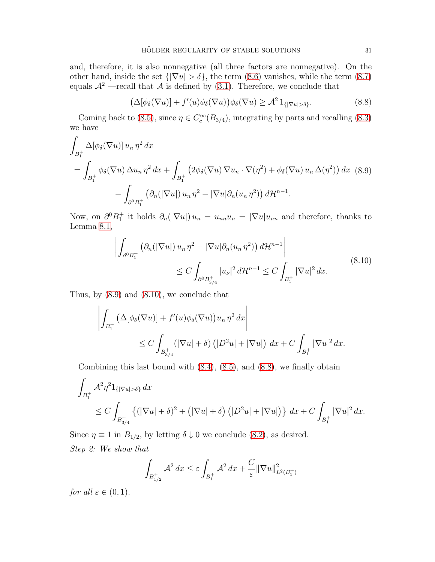and, therefore, it is also nonnegative (all three factors are nonnegative). On the other hand, inside the set  $\{|\nabla u| > \delta\}$ , the term  $(8.6)$  vanishes, while the term  $(8.7)$ equals  $\mathcal{A}^2$  —recall that  $\mathcal A$  is defined by [\(3.1\)](#page-15-4). Therefore, we conclude that

<span id="page-30-2"></span>
$$
\left(\Delta[\phi_{\delta}(\nabla u)] + f'(u)\phi_{\delta}(\nabla u)\right)\phi_{\delta}(\nabla u) \geq \mathcal{A}^2 1_{\{|\nabla u| > \delta\}}.\tag{8.8}
$$

Coming back to [\(8.5\)](#page-29-3), since  $\eta \in C_c^{\infty}(B_{3/4})$ , integrating by parts and recalling [\(8.3\)](#page-29-0) we have

<span id="page-30-0"></span>
$$
\int_{B_1^+} \Delta[\phi_\delta(\nabla u)] u_n \eta^2 dx
$$
\n
$$
= \int_{B_1^+} \phi_\delta(\nabla u) \Delta u_n \eta^2 dx + \int_{B_1^+} \left(2\phi_\delta(\nabla u) \nabla u_n \cdot \nabla(\eta^2) + \phi_\delta(\nabla u) u_n \Delta(\eta^2)\right) dx \tag{8.9}
$$
\n
$$
- \int_{\partial^0 B_1^+} \left(\partial_n(|\nabla u|) u_n \eta^2 - |\nabla u| \partial_n(u_n \eta^2)\right) d\mathcal{H}^{n-1}.
$$

Now, on  $\partial^0 B_1^+$  it holds  $\partial_n(|\nabla u|) u_n = u_{nn}u_n = |\nabla u|u_{nn}$  and therefore, thanks to Lemma [8.1,](#page-27-1)

$$
\left| \int_{\partial^0 B_1^+} \left( \partial_n (|\nabla u|) u_n \eta^2 - |\nabla u| \partial_n (u_n \eta^2) \right) d\mathcal{H}^{n-1} \right|
$$
\n
$$
\leq C \int_{\partial^0 B_{3/4}^+} |u_\nu|^2 d\mathcal{H}^{n-1} \leq C \int_{B_1^+} |\nabla u|^2 dx. \tag{8.10}
$$

<span id="page-30-1"></span>Thus, by [\(8.9\)](#page-30-0) and [\(8.10\)](#page-30-1), we conclude that

$$
\left| \int_{B_1^+} \left( \Delta[\phi_\delta(\nabla u)] + f'(u)\phi_\delta(\nabla u) \right) u_n \eta^2 dx \right|
$$
  
 
$$
\leq C \int_{B_{3/4}^+} (\left| \nabla u \right| + \delta) \left( |D^2 u| + \left| \nabla u \right| \right) dx + C \int_{B_1^+} \left| \nabla u \right|^2 dx.
$$

Combining this last bound with  $(8.4)$ ,  $(8.5)$ , and  $(8.8)$ , we finally obtain

$$
\int_{B_1^+} A^2 \eta^2 1_{\{|\nabla u| > \delta\}} dx
$$
\n
$$
\leq C \int_{B_{3/4}^+} \left\{ (|\nabla u| + \delta)^2 + (|\nabla u| + \delta) \left( |D^2 u| + |\nabla u| \right) \right\} dx + C \int_{B_1^+} |\nabla u|^2 dx.
$$

Since  $\eta \equiv 1$  in  $B_{1/2}$ , by letting  $\delta \downarrow 0$  we conclude [\(8.2\)](#page-29-5), as desired. *Step 2: We show that*

$$
\int_{B_{1/2}^+} \mathcal{A}^2 dx \le \varepsilon \int_{B_1^+} \mathcal{A}^2 dx + \frac{C}{\varepsilon} ||\nabla u||^2_{L^2(B_1^+)}
$$

*for all*  $\varepsilon \in (0,1)$ *.*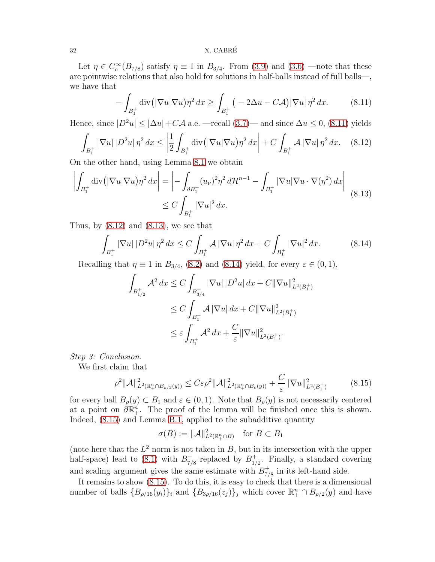#### $32$  X. CABRÉ

Let  $\eta \in C_c^{\infty}(B_{7/8})$  satisfy  $\eta \equiv 1$  in  $B_{3/4}$ . From [\(3.9\)](#page-17-1) and [\(3.6\)](#page-16-1) —note that these are pointwise relations that also hold for solutions in half-balls instead of full balls—, we have that

<span id="page-31-0"></span>
$$
-\int_{B_1^+} \operatorname{div} \left( |\nabla u| \nabla u \right) \eta^2 dx \ge \int_{B_1^+} \left( -2\Delta u - C\mathcal{A} \right) |\nabla u| \eta^2 dx. \tag{8.11}
$$

Hence, since  $|D^2u| \leq |\Delta u| + C\mathcal{A}$  a.e. —recall  $(3.7)$ — and since  $\Delta u \leq 0$ ,  $(8.11)$  yields

<span id="page-31-1"></span>
$$
\int_{B_1^+} |\nabla u| |D^2 u| \eta^2 dx \le \left| \frac{1}{2} \int_{B_1^+} \operatorname{div} \left( |\nabla u| \nabla u \right) \eta^2 dx \right| + C \int_{B_1^+} \mathcal{A} |\nabla u| \eta^2 dx. \tag{8.12}
$$

On the other hand, using Lemma [8.1](#page-27-1) we obtain

<span id="page-31-2"></span>
$$
\left| \int_{B_1^+} \operatorname{div} \left( |\nabla u| \nabla u \right) \eta^2 dx \right| = \left| - \int_{\partial B_1^+} (u_\nu)^2 \eta^2 d\mathcal{H}^{n-1} - \int_{B_1^+} |\nabla u| \nabla u \cdot \nabla (\eta^2) dx \right|
$$
\n
$$
\leq C \int_{B_1^+} |\nabla u|^2 dx.
$$
\n(8.13)

Thus, by  $(8.12)$  and  $(8.13)$ , we see that

<span id="page-31-3"></span>
$$
\int_{B_1^+} |\nabla u| \, |D^2 u| \, \eta^2 \, dx \le C \int_{B_1^+} \mathcal{A} \, |\nabla u| \, \eta^2 \, dx + C \int_{B_1^+} |\nabla u|^2 \, dx. \tag{8.14}
$$

Recalling that  $\eta \equiv 1$  in  $B_{3/4}$ , [\(8.2\)](#page-29-5) and [\(8.14\)](#page-31-3) yield, for every  $\varepsilon \in (0,1)$ ,

$$
\int_{B_{1/2}^+} \mathcal{A}^2 dx \le C \int_{B_{3/4}^+} |\nabla u| |D^2 u| dx + C ||\nabla u||_{L^2(B_1^+)}^2
$$
  
\n
$$
\le C \int_{B_1^+} \mathcal{A} |\nabla u| dx + C ||\nabla u||_{L^2(B_1^+)}^2
$$
  
\n
$$
\le \varepsilon \int_{B_1^+} \mathcal{A}^2 dx + \frac{C}{\varepsilon} ||\nabla u||_{L^2(B_1^+)}^2.
$$

*Step 3: Conclusion.*

We first claim that

<span id="page-31-4"></span>
$$
\rho^2 \| \mathcal{A} \|^2_{L^2(\mathbb{R}_+^n \cap B_{\rho/2}(y))} \le C \varepsilon \rho^2 \| \mathcal{A} \|^2_{L^2(\mathbb{R}_+^n \cap B_{\rho}(y))} + \frac{C}{\varepsilon} \| \nabla u \|^2_{L^2(B_1^+)} \tag{8.15}
$$

for every ball  $B_{\rho}(y) \subset B_1$  and  $\varepsilon \in (0,1)$ . Note that  $B_{\rho}(y)$  is not necessarily centered at a point on  $\partial \mathbb{R}^n_+$ . The proof of the lemma will be finished once this is shown. Indeed, [\(8.15\)](#page-31-4) and Lemma [B.1,](#page-47-1) applied to the subadditive quantity

$$
\sigma(B) := \|\mathcal{A}\|_{L^2(\mathbb{R}^n_+\cap B)}^2 \quad \text{for } B \subset B_1
$$

(note here that the  $L^2$  norm is not taken in B, but in its intersection with the upper half-space) lead to  $(8.1)$  with  $B_{7/2}^+$  $_{7/8}^+$  replaced by  $B_{1/8}^+$  $_{1/2}^+$ . Finally, a standard covering and scaling argument gives the same estimate with  $B_7^+$  $_{7/8}^+$  in its left-hand side.

It remains to show [\(8.15\)](#page-31-4). To do this, it is easy to check that there is a dimensional number of balls  $\{B_{\rho/16}(y_i)\}_i$  and  $\{B_{3\rho/16}(z_j)\}_j$  which cover  $\mathbb{R}^n_+\cap B_{\rho/2}(y)$  and have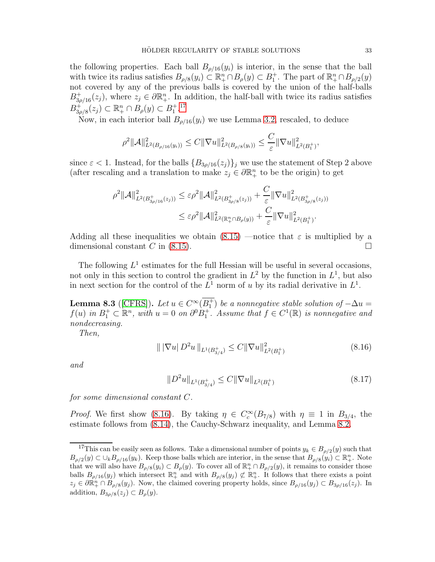the following properties. Each ball  $B_{\rho/16}(y_i)$  is interior, in the sense that the ball with twice its radius satisfies  $B_{\rho/8}(y_i) \subset \mathbb{R}^n_+ \cap B_{\rho}(y) \subset B_1^+$ . The part of  $\mathbb{R}^n_+ \cap B_{\rho/2}(y)$ not covered by any of the previous balls is covered by the union of the half-balls  $B_{3\rho/16}^+(z_j)$ , where  $z_j \in \partial \mathbb{R}^n_+$ . In addition, the half-ball with twice its radius satisfies  $B_{36}^{+}$  $\mathbb{R}^+_{3\rho/8}(z_j) \subset \mathbb{R}^n_+ \cap B_{\rho}(y) \subset B_1^{+.17}$  $\mathbb{R}^+_{3\rho/8}(z_j) \subset \mathbb{R}^n_+ \cap B_{\rho}(y) \subset B_1^{+.17}$  $\mathbb{R}^+_{3\rho/8}(z_j) \subset \mathbb{R}^n_+ \cap B_{\rho}(y) \subset B_1^{+.17}$ 

Now, in each interior ball  $B_{\rho/16}(y_i)$  we use Lemma [3.2,](#page-15-1) rescaled, to deduce

$$
\rho^2 ||\mathcal{A}||_{L^2(B_{\rho/16}(y_i))}^2 \le C ||\nabla u||_{L^2(B_{\rho/8}(y_i))}^2 \le \frac{C}{\varepsilon} ||\nabla u||_{L^2(B_1^+)}^2
$$

since  $\varepsilon$  < 1. Instead, for the balls  $\{B_{3\rho/16}(z_j)\}_j$  we use the statement of Step 2 above (after rescaling and a translation to make  $z_j \in \partial \mathbb{R}^n_+$  to be the origin) to get

$$
\rho^2 ||\mathcal{A}||_{L^2(B_{3\rho/16}^+(z_j))}^2 \leq \varepsilon \rho^2 ||\mathcal{A}||_{L^2(B_{3\rho/8}^+(z_j))}^2 + \frac{C}{\varepsilon} ||\nabla u||_{L^2(B_{3\rho/8}^+(z_j))}^2
$$
  

$$
\leq \varepsilon \rho^2 ||\mathcal{A}||_{L^2(\mathbb{R}_+^n \cap B_\rho(y))}^2 + \frac{C}{\varepsilon} ||\nabla u||_{L^2(B_1^+)}^2.
$$

Adding all these inequalities we obtain [\(8.15\)](#page-31-4) —notice that  $\varepsilon$  is multiplied by a dimensional constant C in [\(8.15\)](#page-31-4).

The following  $L^1$  estimates for the full Hessian will be useful in several occasions, not only in this section to control the gradient in  $L^2$  by the function in  $L^1$ , but also in next section for the control of the  $L^1$  norm of u by its radial derivative in  $L^1$ .

<span id="page-32-3"></span>**Lemma 8.3** ([\[CFRS\]](#page-54-8)). Let  $u \in C^{\infty}(B_1^+)$  be a nonnegative stable solution of  $-\Delta u =$  $f(u)$  in  $B_1^+ \subset \mathbb{R}^n$ , with  $u = 0$  on  $\partial^0 B_1^+$ . Assume that  $f \in C^1(\mathbb{R})$  is nonnegative and *nondecreasing.*

*Then,*

<span id="page-32-1"></span>
$$
\| |\nabla u| \, D^2 u \|_{L^1(B_{3/4}^+)} \le C \| \nabla u \|_{L^2(B_1^+)}^2 \tag{8.16}
$$

*and*

<span id="page-32-2"></span>
$$
||D^2u||_{L^1(B_{3/4}^+)} \leq C||\nabla u||_{L^2(B_1^+)}\tag{8.17}
$$

*for some dimensional constant* C*.*

*Proof.* We first show [\(8.16\)](#page-32-1). By taking  $\eta \in C_c^{\infty}(B_{7/8})$  with  $\eta \equiv 1$  in  $B_{3/4}$ , the estimate follows from [\(8.14\)](#page-31-3), the Cauchy-Schwarz inequality, and Lemma [8.2.](#page-28-1)

,

<span id="page-32-0"></span><sup>&</sup>lt;sup>17</sup>This can be easily seen as follows. Take a dimensional number of points  $y_k \in B_{\rho/2}(y)$  such that  $B_{\rho/2}(y) \subset \bigcup_k B_{\rho/16}(y_k)$ . Keep those balls which are interior, in the sense that  $B_{\rho/8}(y_i) \subset \mathbb{R}^n_+$ . Note that we will also have  $B_{\rho/8}(y_i) \subset B_{\rho}(y)$ . To cover all of  $\mathbb{R}^n_+ \cap B_{\rho/2}(y)$ , it remains to consider those balls  $B_{\rho/16}(y_j)$  which intersect  $\mathbb{R}^n_+$  and with  $B_{\rho/8}(y_j) \not\subset \mathbb{R}^n_+$ . It follows that there exists a point  $z_j \in \partial \mathbb{R}^n_+ \cap B_{\rho/8}(y_j)$ . Now, the claimed covering property holds, since  $B_{\rho/16}(y_j) \subset B_{3\rho/16}(z_j)$ . In addition,  $B_{3\rho/8}(z_j) \subset B_{\rho}(y)$ .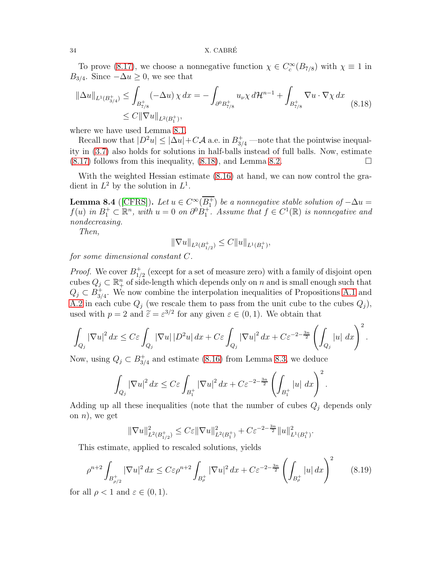To prove [\(8.17\)](#page-32-2), we choose a nonnegative function  $\chi \in C_c^{\infty}(B_{7/8})$  with  $\chi \equiv 1$  in  $B_{3/4}$ . Since  $-\Delta u \geq 0$ , we see that

<span id="page-33-0"></span>
$$
\|\Delta u\|_{L^{1}(B^{+}_{3/4})} \leq \int_{B^{+}_{7/8}} (-\Delta u) \chi \, dx = -\int_{\partial^{0} B^{+}_{7/8}} u_{\nu} \chi \, d\mathcal{H}^{n-1} + \int_{B^{+}_{7/8}} \nabla u \cdot \nabla \chi \, dx
$$
\n
$$
\leq C \|\nabla u\|_{L^{2}(B^{+}_{1})},
$$
\n(8.18)

where we have used Lemma [8.1.](#page-27-1)

Recall now that  $|D^2u| \leq |\Delta u| + C\mathcal{A}$  a.e. in  $B_{3/4}^+$  —note that the pointwise inequality in [\(3.7\)](#page-16-2) also holds for solutions in half-balls instead of full balls. Now, estimate  $(8.17)$  follows from this inequality,  $(8.18)$ , and Lemma [8.2.](#page-28-1)

With the weighted Hessian estimate [\(8.16\)](#page-32-1) at hand, we can now control the gradient in  $L^2$  by the solution in  $L^1$ .

<span id="page-33-2"></span>**Lemma 8.4** ([\[CFRS\]](#page-54-8)). Let  $u \in C^{\infty}(B_1^+)$  be a nonnegative stable solution of  $-\Delta u =$  $f(u)$  in  $B_1^+ \subset \mathbb{R}^n$ , with  $u = 0$  on  $\partial^0 B_1^+$ . Assume that  $f \in C^1(\mathbb{R})$  is nonnegative and *nondecreasing.*

*Then,*

$$
\|\nabla u\|_{L^2(B_{1/2}^+)} \leq C \|u\|_{L^1(B_1^+)},
$$

*for some dimensional constant* C*.*

*Proof.* We cover  $B_1^+$  $_{1/2}^+$  (except for a set of measure zero) with a family of disjoint open cubes  $Q_j \subset \mathbb{R}^n_+$  of side-length which depends only on n and is small enough such that  $Q_j \subset B_{3}^+$  $_{3/4}^+$ . We now combine the interpolation inequalities of Propositions [A.1](#page-45-0) and [A.2](#page-46-0) in each cube  $Q_j$  (we rescale them to pass from the unit cube to the cubes  $Q_j$ ), used with  $p = 2$  and  $\tilde{\varepsilon} = \varepsilon^{3/2}$  for any given  $\varepsilon \in (0, 1)$ . We obtain that

$$
\int_{Q_j} |\nabla u|^2 dx \le C\varepsilon \int_{Q_j} |\nabla u| |D^2 u| dx + C\varepsilon \int_{Q_j} |\nabla u|^2 dx + C\varepsilon^{-2-\frac{3n}{2}} \left( \int_{Q_j} |u| dx \right)^2.
$$

Now, using  $Q_j \subset B_{3/2}^+$  $_{3/4}^+$  and estimate [\(8.16\)](#page-32-1) from Lemma [8.3,](#page-32-3) we deduce

$$
\int_{Q_j} |\nabla u|^2 dx \le C\varepsilon \int_{B_1^+} |\nabla u|^2 dx + C\varepsilon^{-2-\frac{3n}{2}} \left( \int_{B_1^+} |u| dx \right)^2.
$$

Adding up all these inequalities (note that the number of cubes  $Q_j$  depends only on  $n$ , we get

$$
\|\nabla u\|_{L^2(B_{1/2}^+)}^2 \leq C\varepsilon \|\nabla u\|_{L^2(B_1^+)}^2 + C\varepsilon^{-2-\frac{3n}{2}} \|u\|_{L^1(B_1^+)}^2.
$$

This estimate, applied to rescaled solutions, yields

<span id="page-33-1"></span>
$$
\rho^{n+2} \int_{B_{\rho/2}^+} |\nabla u|^2 dx \le C\varepsilon \rho^{n+2} \int_{B_{\rho}^+} |\nabla u|^2 dx + C\varepsilon^{-2-\frac{3n}{2}} \left( \int_{B_{\rho}^+} |u| dx \right)^2 \tag{8.19}
$$

for all  $\rho < 1$  and  $\varepsilon \in (0, 1)$ .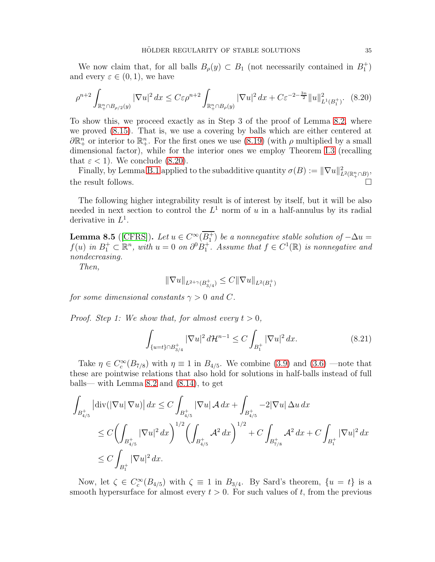We now claim that, for all balls  $B_{\rho}(y) \subset B_1$  (not necessarily contained in  $B_1^+$ ) and every  $\varepsilon \in (0,1)$ , we have

<span id="page-34-0"></span>
$$
\rho^{n+2} \int_{\mathbb{R}_+^n \cap B_{\rho/2}(y)} |\nabla u|^2 \, dx \le C \varepsilon \rho^{n+2} \int_{\mathbb{R}_+^n \cap B_{\rho}(y)} |\nabla u|^2 \, dx + C \varepsilon^{-2 - \frac{3n}{2}} \|u\|_{L^1(B_1^+)}^2. \tag{8.20}
$$

To show this, we proceed exactly as in Step 3 of the proof of Lemma [8.2,](#page-28-1) where we proved [\(8.15\)](#page-31-4). That is, we use a covering by balls which are either centered at  $\partial \mathbb{R}^n_+$  or interior to  $\mathbb{R}^n_+$ . For the first ones we use [\(8.19\)](#page-33-1) (with  $\rho$  multiplied by a small dimensional factor), while for the interior ones we employ Theorem [I.3](#page-10-1) (recalling that  $\varepsilon < 1$ ). We conclude [\(8.20\)](#page-34-0).

Finally, by Lemma [B.1](#page-47-1) applied to the subadditive quantity  $\sigma(B) := \|\nabla u\|_{L^2(\mathbb{R}^n_+\cap B)}^2$ , the result follows.

The following higher integrability result is of interest by itself, but it will be also needed in next section to control the  $L^1$  norm of u in a half-annulus by its radial derivative in  $L^1$ .

<span id="page-34-2"></span>**Lemma 8.5** ([\[CFRS\]](#page-54-8)). Let  $u \in C^{\infty}(\overline{B_1^+})$  be a nonnegative stable solution of  $-\Delta u =$  $f(u)$  in  $B_1^+ \subset \mathbb{R}^n$ , with  $u = 0$  on  $\partial^0 B_1^+$ . Assume that  $f \in C^1(\mathbb{R})$  is nonnegative and *nondecreasing.*

*Then,*

$$
\|\nabla u\|_{L^{2+\gamma}(B_{3/4}^+)}\leq C\|\nabla u\|_{L^2(B_1^+)}
$$

*for some dimensional constants*  $\gamma > 0$  *and* C.

*Proof. Step 1:* We show that, for almost every  $t > 0$ ,

<span id="page-34-1"></span>
$$
\int_{\{u=t\}\cap B_{3/4}^+} |\nabla u|^2 d\mathcal{H}^{n-1} \le C \int_{B_1^+} |\nabla u|^2 dx.
$$
\n(8.21)

Take  $\eta \in C_c^{\infty}(B_{7/8})$  with  $\eta \equiv 1$  in  $B_{4/5}$ . We combine [\(3.9\)](#page-17-1) and [\(3.6\)](#page-16-1) —note that these are pointwise relations that also hold for solutions in half-balls instead of full balls— with Lemma [8.2](#page-28-1) and [\(8.14\)](#page-31-3), to get

$$
\int_{B_{4/5}^+} |\text{div}(|\nabla u| \nabla u)| dx \le C \int_{B_{4/5}^+} |\nabla u| A dx + \int_{B_{4/5}^+} -2|\nabla u| \Delta u dx
$$
\n
$$
\le C \left( \int_{B_{4/5}^+} |\nabla u|^2 dx \right)^{1/2} \left( \int_{B_{4/5}^+} A^2 dx \right)^{1/2} + C \int_{B_{7/8}^+} A^2 dx + C \int_{B_1^+} |\nabla u|^2 dx
$$
\n
$$
\le C \int_{B_1^+} |\nabla u|^2 dx.
$$

Now, let  $\zeta \in C_c^{\infty}(B_{4/5})$  with  $\zeta \equiv 1$  in  $B_{3/4}$ . By Sard's theorem,  $\{u = t\}$  is a smooth hypersurface for almost every  $t > 0$ . For such values of t, from the previous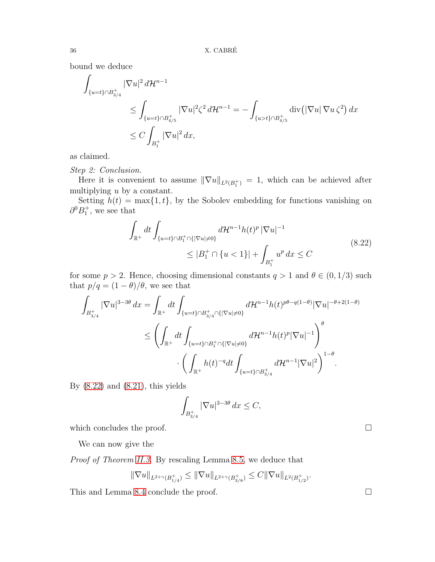bound we deduce

$$
\int_{\{u=t\}\cap B_{3/4}^+} |\nabla u|^2 d\mathcal{H}^{n-1} \leq \int_{\{u=t\}\cap B_{4/5}^+} |\nabla u|^2 \zeta^2 d\mathcal{H}^{n-1} = -\int_{\{u>t\}\cap B_{4/5}^+} \operatorname{div} (|\nabla u| \nabla u \zeta^2) dx \leq C \int_{B_1^+} |\nabla u|^2 dx,
$$

as claimed.

*Step 2: Conclusion.*

Here it is convenient to assume  $\|\nabla u\|_{L^2(B_1^+)} = 1$ , which can be achieved after multiplying u by a constant.

Setting  $h(t) = \max\{1, t\}$ , by the Sobolev embedding for functions vanishing on  $\partial^0 B_1^+$ , we see that

$$
\int_{\mathbb{R}^+} dt \int_{\{u=t\}\cap B_1^+\cap\{|\nabla u|\neq 0\}} d\mathcal{H}^{n-1} h(t)^p \, |\nabla u|^{-1} \leq |B_1^+\cap\{u<1\}| + \int_{B_1^+} u^p \, dx \leq C \tag{8.22}
$$

<span id="page-35-0"></span>for some  $p > 2$ . Hence, choosing dimensional constants  $q > 1$  and  $\theta \in (0, 1/3)$  such that  $p/q = (1 - \theta)/\theta$ , we see that

$$
\int_{B_{3/4}^+} |\nabla u|^{3-3\theta} dx = \int_{\mathbb{R}^+} dt \int_{\{u=t\} \cap B_{3/4}^+ \cap \{|\nabla u| \neq 0\}} d\mathcal{H}^{n-1} h(t)^{p\theta - q(1-\theta)} |\nabla u|^{-\theta + 2(1-\theta)} \n\leq \left( \int_{\mathbb{R}^+} dt \int_{\{u=t\} \cap B_1^+ \cap \{|\nabla u| \neq 0\}} d\mathcal{H}^{n-1} h(t)^p |\nabla u|^{-1} \right)^{\theta} \n\cdot \left( \int_{\mathbb{R}^+} h(t)^{-q} dt \int_{\{u=t\} \cap B_{3/4}^+} d\mathcal{H}^{n-1} |\nabla u|^2 \right)^{1-\theta}.
$$

By  $(8.22)$  and  $(8.21)$ , this yields

$$
\int_{B_{3/4}^+} |\nabla u|^{3-3\theta} dx \le C,
$$

which concludes the proof.  $\Box$ 

We can now give the

*Proof of Theorem II.3.* By rescaling Lemma 8.5, we deduce that\n
$$
\frac{d}{dx} \frac{d}{dx} \frac{d}{dx} \frac{d}{dx} \frac{d}{dx} \frac{d}{dx} \frac{d}{dx} \frac{d}{dx} \frac{d}{dx} \frac{d}{dx} \frac{d}{dx} \frac{d}{dx} \frac{d}{dx} \frac{d}{dx} \frac{d}{dx} \frac{d}{dx} \frac{d}{dx} \frac{d}{dx} \frac{d}{dx} \frac{d}{dx} \frac{d}{dx} \frac{d}{dx} \frac{d}{dx} \frac{d}{dx} \frac{d}{dx} \frac{d}{dx} \frac{d}{dx} \frac{d}{dx} \frac{d}{dx} \frac{d}{dx} \frac{d}{dx} \frac{d}{dx} \frac{d}{dx} \frac{d}{dx} \frac{d}{dx} \frac{d}{dx} \frac{d}{dx} \frac{d}{dx} \frac{d}{dx} \frac{d}{dx} \frac{d}{dx} \frac{d}{dx} \frac{d}{dx} \frac{d}{dx} \frac{d}{dx} \frac{d}{dx} \frac{d}{dx} \frac{d}{dx} \frac{d}{dx} \frac{d}{dx} \frac{d}{dx} \frac{d}{dx} \frac{d}{dx} \frac{d}{dx} \frac{d}{dx} \frac{d}{dx} \frac{d}{dx} \frac{d}{dx} \frac{d}{dx} \frac{d}{dx} \frac{d}{dx} \frac{d}{dx} \frac{d}{dx} \frac{d}{dx} \frac{d}{dx} \frac{d}{dx} \frac{d}{dx} \frac{d}{dx} \frac{d}{dx} \frac{d}{dx} \frac{d}{dx} \frac{d}{dx} \frac{d}{dx} \frac{d}{dx} \frac{d}{dx} \frac{d}{dx} \frac{d}{dx} \frac{d}{dx} \frac{d}{dx} \frac{d}{dx} \frac{d}{dx} \frac{d}{dx} \frac{d}{dx} \frac{d}{dx} \frac{d}{dx} \frac{d}{dx} \frac{d}{dx} \frac{d}{dx} \frac{d}{dx} \frac{d}{dx} \frac{d}{dx} \frac{d}{dx} \frac{d}{dx} \frac{d}{dx} \frac{d}{dx} \frac{d}{dx} \frac{d}{dx} \frac{d}{dx} \frac{d}{dx} \frac{d}{dx} \frac{d}{dx} \frac{d}{dx} \frac{d}{dx} \frac{d}{dx} \frac{d}{dx} \frac
$$

$$
\|\nabla u\|_{L^{2+\gamma}(B_{1/4}^+)}\leq \|\nabla u\|_{L^{2+\gamma}(B_{3/8}^+)}\leq C\|\nabla u\|_{L^2(B_{1/2}^+)}.
$$

This and Lemma [8.4](#page-33-2) conclude the proof.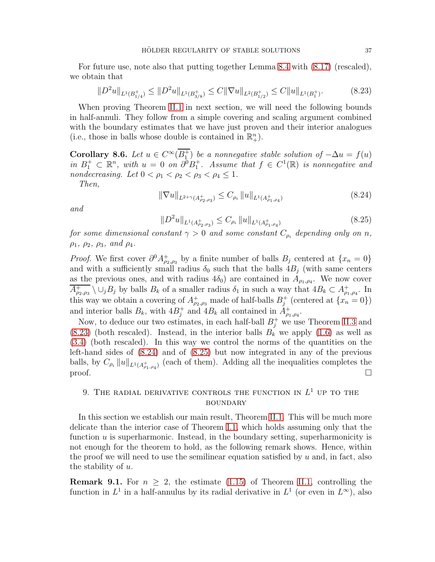For future use, note also that putting together Lemma [8.4](#page-33-2) with [\(8.17\)](#page-32-2) (rescaled), we obtain that

<span id="page-36-2"></span>
$$
||D^2u||_{L^1(B_{1/4}^+)} \le ||D^2u||_{L^1(B_{3/8}^+)} \le C||\nabla u||_{L^2(B_{1/2}^+)} \le C||u||_{L^1(B_1^+)}.
$$
\n(8.23)

When proving Theorem [II.1](#page-7-1) in next section, we will need the following bounds in half-annuli. They follow from a simple covering and scaling argument combined with the boundary estimates that we have just proven and their interior analogues (i.e., those in balls whose double is contained in  $\mathbb{R}^n_+$ ).

<span id="page-36-5"></span>**Corollary 8.6.** *Let*  $u \in C^{\infty}(B_1^+)$  *be a nonnegative stable solution of*  $-\Delta u = f(u)$  $in B_1^+ \subset \mathbb{R}^n$ , with  $u = 0$  *on*  $\partial^0 B_1^+$ . Assume that  $f \in C^1(\mathbb{R})$  is nonnegative and *nondecreasing.* Let  $0 < \rho_1 < \rho_2 < \rho_3 < \rho_4 \leq 1$ .

*Then,*

<span id="page-36-3"></span>
$$
\|\nabla u\|_{L^{2+\gamma}(A^+_{\rho_2,\rho_3})} \le C_{\rho_i} \|u\|_{L^1(A^+_{\rho_1,\rho_4})} \tag{8.24}
$$

*and*

<span id="page-36-4"></span>
$$
||D^2u||_{L^1(A^+_{\rho_2,\rho_3})} \leq C_{\rho_i} ||u||_{L^1(A^+_{\rho_1,\rho_4})}
$$
\n(8.25)

*for some dimensional constant*  $\gamma > 0$  *and some constant*  $C_{\rho_i}$  *depending only on*  $n$ *,*  $\rho_1, \rho_2, \rho_3, \text{ and } \rho_4.$ 

*Proof.* We first cover  $\partial^0 A^+_{\rho_2,\rho_3}$  by a finite number of balls  $B_j$  centered at  $\{x_n = 0\}$ and with a sufficiently small radius  $\delta_0$  such that the balls  $4B_j$  (with same centers as the previous ones, and with radius  $4\delta_0$ ) are contained in  $A_{\rho_1,\rho_4}$ . We now cover  $\overline{A_{\rho_2,\rho_3}^+} \setminus \cup_j B_j$  by balls  $B_k$  of a smaller radius  $\delta_1$  in such a way that  $4B_k \subset A_{\rho_1,\rho_4}^+$ . In this way we obtain a covering of  $A^+_{\rho_2,\rho_3}$  made of half-balls  $B^+_j$  (centered at  $\{x_n = 0\}$ ) and interior balls  $B_k$ , with  $4B_j^+$  and  $4B_k$  all contained in  $A_{\rho_1,\rho_4}^+$ .

Now, to deduce our two estimates, in each half-ball  $B_j^+$  we use Theorem [II.3](#page-11-1) and  $(8.23)$  (both rescaled). Instead, in the interior balls  $B_k$  we apply  $(1.6)$  as well as [\(3.4\)](#page-16-3) (both rescaled). In this way we control the norms of the quantities on the left-hand sides of [\(8.24\)](#page-36-3) and of [\(8.25\)](#page-36-4) but now integrated in any of the previous balls, by  $C_{\rho_i} ||u||_{L^1(A_{\rho_1,\rho_4}^+)}$  (each of them). Adding all the inequalities completes the proof.  $\Box$ 

### <span id="page-36-0"></span>9. THE RADIAL DERIVATIVE CONTROLS THE FUNCTION IN  $L^1$  up to the **BOUNDARY**

In this section we establish our main result, Theorem [II.1.](#page-7-1) This will be much more delicate than the interior case of Theorem [I.1,](#page-5-3) which holds assuming only that the function u is superharmonic. Instead, in the boundary setting, superharmonicity is not enough for the theorem to hold, as the following remark shows. Hence, within the proof we will need to use the semilinear equation satisfied by  $u$  and, in fact, also the stability of u.

<span id="page-36-1"></span>**Remark 9.1.** For  $n \geq 2$ , the estimate [\(1.15\)](#page-7-0) of Theorem [II.1,](#page-7-1) controlling the function in  $L^1$  in a half-annulus by its radial derivative in  $L^1$  (or even in  $L^{\infty}$ ), also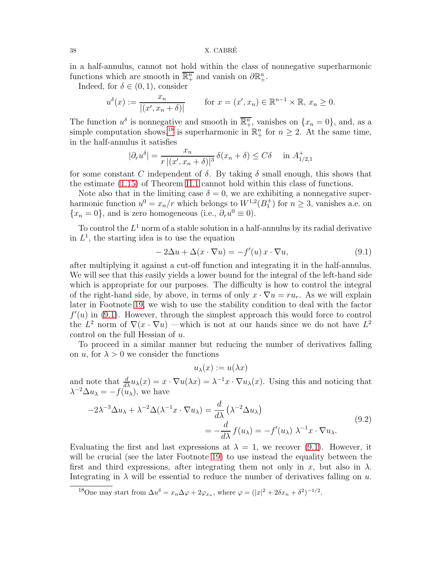### 38 X. CABRE´

in a half-annulus, cannot not hold within the class of nonnegative superharmonic functions which are smooth in  $\overline{\mathbb{R}^n_+}$  and vanish on  $\partial \mathbb{R}^n_+$ .

Indeed, for  $\delta \in (0,1)$ , consider

$$
u^{\delta}(x) := \frac{x_n}{|(x', x_n + \delta)|}
$$
 for  $x = (x', x_n) \in \mathbb{R}^{n-1} \times \mathbb{R}, x_n \ge 0$ .

The function  $u^{\delta}$  is nonnegative and smooth in  $\overline{\mathbb{R}^n_+}$ , vanishes on  $\{x_n = 0\}$ , and, as a simple computation shows,<sup>[18](#page-37-0)</sup> is superharmonic in  $\mathbb{R}^n_+$  for  $n \geq 2$ . At the same time, in the half-annulus it satisfies

$$
|\partial_r u^\delta| = \frac{x_n}{r \, |(x', x_n + \delta)|^3} \, \delta(x_n + \delta) \le C\delta \quad \text{in } A^+_{1/2, 1}
$$

for some constant C independent of  $\delta$ . By taking  $\delta$  small enough, this shows that the estimate [\(1.15\)](#page-7-0) of Theorem [II.1](#page-7-1) cannot hold within this class of functions.

Note also that in the limiting case  $\delta = 0$ , we are exhibiting a nonnegative superharmonic function  $u^0 = x_n/r$  which belongs to  $W^{1,2}(B_1^+)$  for  $n \geq 3$ , vanishes a.e. on  ${x_n = 0}$ , and is zero homogeneous (i.e.,  $\partial_r u^0 \equiv 0$ ).

To control the  $L^1$  norm of a stable solution in a half-annulus by its radial derivative in  $L^1$ , the starting idea is to use the equation

<span id="page-37-1"></span>
$$
-2\Delta u + \Delta(x \cdot \nabla u) = -f'(u)x \cdot \nabla u,
$$
\n(9.1)

after multiplying it against a cut-off function and integrating it in the half-annulus. We will see that this easily yields a lower bound for the integral of the left-hand side which is appropriate for our purposes. The difficulty is how to control the integral of the right-hand side, by above, in terms of only  $x \cdot \nabla u = ru_r$ . As we will explain later in Footnote [19,](#page-40-0) we wish to use the stability condition to deal with the factor  $f'(u)$  in [\(9.1\)](#page-37-1). However, through the simplest approach this would force to control the  $L^2$  norm of  $\nabla(x \cdot \nabla u)$  —which is not at our hands since we do not have  $L^2$ control on the full Hessian of u.

To proceed in a similar manner but reducing the number of derivatives falling on u, for  $\lambda > 0$  we consider the functions

 $u_{\lambda}(x) := u(\lambda x)$ 

and note that  $\frac{d}{dx}u_\lambda(x) = x \cdot \nabla u(\lambda x) = \lambda^{-1}x \cdot \nabla u_\lambda(x)$ . Using this and noticing that  $\lambda^{-2} \Delta u_{\lambda} = -f(u_{\lambda}),$  we have

<span id="page-37-2"></span>
$$
-2\lambda^{-3} \Delta u_{\lambda} + \lambda^{-2} \Delta (\lambda^{-1} x \cdot \nabla u_{\lambda}) = \frac{d}{d\lambda} (\lambda^{-2} \Delta u_{\lambda})
$$
  
= 
$$
-\frac{d}{d\lambda} f(u_{\lambda}) = -f'(u_{\lambda}) \lambda^{-1} x \cdot \nabla u_{\lambda}.
$$
 (9.2)

Evaluating the first and last expressions at  $\lambda = 1$ , we recover [\(9.1\)](#page-37-1). However, it will be crucial (see the later Footnote [19\)](#page-40-0) to use instead the equality between the first and third expressions, after integrating them not only in x, but also in  $\lambda$ . Integrating in  $\lambda$  will be essential to reduce the number of derivatives falling on u.

<span id="page-37-0"></span><sup>&</sup>lt;sup>18</sup>One may start from  $\Delta u^{\delta} = x_n \Delta \varphi + 2\varphi_{x_n}$ , where  $\varphi = (|x|^2 + 2\delta x_n + \delta^2)^{-1/2}$ .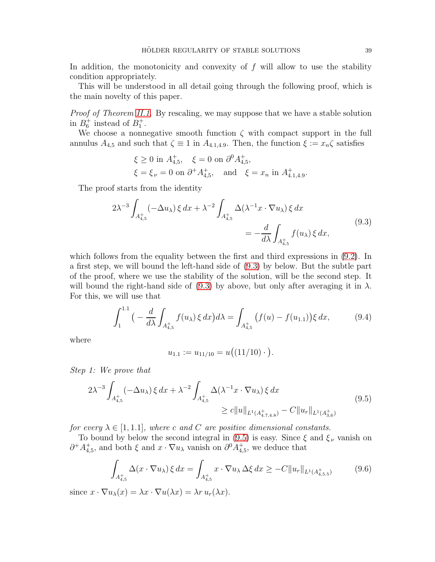In addition, the monotonicity and convexity of  $f$  will allow to use the stability condition appropriately.

This will be understood in all detail going through the following proof, which is the main novelty of this paper.

*Proof of Theorem [II.1.](#page-7-1)* By rescaling, we may suppose that we have a stable solution in  $B_6^+$  instead of  $B_1^+$ .

We choose a nonnegative smooth function  $\zeta$  with compact support in the full annulus  $A_{4,5}$  and such that  $\zeta \equiv 1$  in  $A_{4,1,4,9}$ . Then, the function  $\xi := x_n \zeta$  satisfies

$$
\xi \ge 0
$$
 in  $A_{4,5}^+$ ,  $\xi = 0$  on  $\partial^0 A_{4,5}^+$ ,  
\n $\xi = \xi_{\nu} = 0$  on  $\partial^+ A_{4,5}^+$ , and  $\xi = x_n$  in  $A_{4.1,4.9}^+$ .

The proof starts from the identity

$$
2\lambda^{-3} \int_{A_{4,5}^+} (-\Delta u_\lambda) \xi \, dx + \lambda^{-2} \int_{A_{4,5}^+} \Delta(\lambda^{-1} x \cdot \nabla u_\lambda) \xi \, dx
$$
  
= 
$$
-\frac{d}{d\lambda} \int_{A_{4,5}^+} f(u_\lambda) \xi \, dx,
$$
 (9.3)

<span id="page-38-0"></span>which follows from the equality between the first and third expressions in [\(9.2\)](#page-37-2). In a first step, we will bound the left-hand side of [\(9.3\)](#page-38-0) by below. But the subtle part of the proof, where we use the stability of the solution, will be the second step. It will bound the right-hand side of [\(9.3\)](#page-38-0) by above, but only after averaging it in  $\lambda$ . For this, we will use that

<span id="page-38-3"></span>
$$
\int_{1}^{1.1} \left( -\frac{d}{d\lambda} \int_{A_{4,5}^{+}} f(u_{\lambda}) \xi \, dx \right) d\lambda = \int_{A_{4,5}^{+}} \left( f(u) - f(u_{1.1}) \right) \xi \, dx, \tag{9.4}
$$

where

$$
u_{1.1} := u_{11/10} = u((11/10) \cdot ).
$$

*Step 1: We prove that*

<span id="page-38-1"></span>
$$
2\lambda^{-3} \int_{A_{4,5}^{+}} (-\Delta u_{\lambda}) \xi \, dx + \lambda^{-2} \int_{A_{4,5}^{+}} \Delta(\lambda^{-1} x \cdot \nabla u_{\lambda}) \xi \, dx
$$
  
 
$$
\geq c \|u\|_{L^{1}(A_{4.7,4.8}^{+})} - C \|u_{r}\|_{L^{1}(A_{3,6}^{+})}
$$
(9.5)

*for every*  $\lambda \in [1, 1.1]$ *, where* c and C are positive dimensional constants.

To bound by below the second integral in [\(9.5\)](#page-38-1) is easy. Since  $\xi$  and  $\xi_{\nu}$  vanish on  $\partial^+ A^+_{4,5}$ , and both  $\xi$  and  $x \cdot \nabla u_\lambda$  vanish on  $\partial^0 A^+_{4,5}$ , we deduce that

<span id="page-38-2"></span>
$$
\int_{A_{4,5}^+} \Delta(x \cdot \nabla u_\lambda) \, \xi \, dx = \int_{A_{4,5}^+} x \cdot \nabla u_\lambda \, \Delta \xi \, dx \ge -C \|u_r\|_{L^1(A_{4,5.5}^+)} \tag{9.6}
$$

since  $x \cdot \nabla u_\lambda(x) = \lambda x \cdot \nabla u(\lambda x) = \lambda r u_r(\lambda x)$ .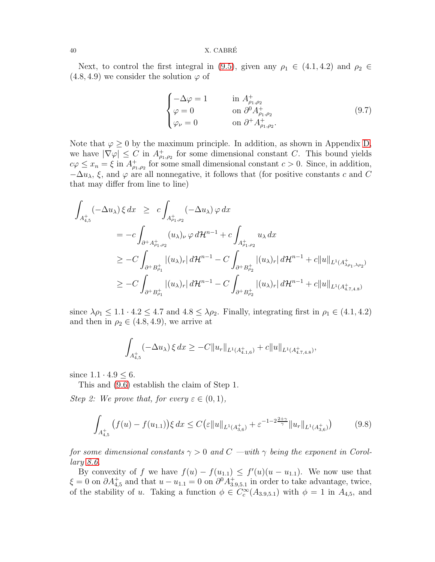### 40 X. CABRE´

Next, to control the first integral in [\(9.5\)](#page-38-1), given any  $\rho_1 \in (4.1, 4.2)$  and  $\rho_2 \in$  $(4.8, 4.9)$  we consider the solution  $\varphi$  of

<span id="page-39-1"></span>
$$
\begin{cases}\n-\Delta \varphi = 1 & \text{in } A^+_{\rho_1, \rho_2} \\
\varphi = 0 & \text{on } \partial^0 A^+_{\rho_1, \rho_2} \\
\varphi_\nu = 0 & \text{on } \partial^+ A^+_{\rho_1, \rho_2}.\n\end{cases}
$$
\n(9.7)

Note that  $\varphi \geq 0$  by the maximum principle. In addition, as shown in Appendix [D,](#page-50-0) we have  $|\nabla \varphi| \leq C$  in  $A_{\rho_1,\rho_2}^+$  for some dimensional constant C. This bound yields  $c\varphi \leq x_n = \xi$  in  $A_{\rho_1,\rho_2}^+$  for some small dimensional constant  $c > 0$ . Since, in addition,  $-\Delta u_\lambda$ ,  $\xi$ , and  $\varphi$  are all nonnegative, it follows that (for positive constants c and C that may differ from line to line)

$$
\int_{A_{4,5}^{+}} (-\Delta u_{\lambda}) \xi dx \geq c \int_{A_{\rho_{1},\rho_{2}}^{+}} (-\Delta u_{\lambda}) \varphi dx
$$
\n
$$
= -c \int_{\partial^{+} A_{\rho_{1},\rho_{2}}^{+}} (u_{\lambda})_{\nu} \varphi d\mathcal{H}^{n-1} + c \int_{A_{\rho_{1},\rho_{2}}^{+}} u_{\lambda} dx
$$
\n
$$
\geq -C \int_{\partial^{+} B_{\rho_{1}}^{+}} |(u_{\lambda})_{r}| d\mathcal{H}^{n-1} - C \int_{\partial^{+} B_{\rho_{2}}^{+}} |(u_{\lambda})_{r}| d\mathcal{H}^{n-1} + c \|u\|_{L^{1}(A_{\lambda_{\rho_{1},\lambda_{\rho_{2}}^{+}}^{+})}
$$
\n
$$
\geq -C \int_{\partial^{+} B_{\rho_{1}}^{+}} |(u_{\lambda})_{r}| d\mathcal{H}^{n-1} - C \int_{\partial^{+} B_{\rho_{2}}^{+}} |(u_{\lambda})_{r}| d\mathcal{H}^{n-1} + c \|u\|_{L^{1}(A_{4,7,4,8}^{+})}
$$

since  $\lambda \rho_1 \leq 1.1 \cdot 4.2 \leq 4.7$  and  $4.8 \leq \lambda \rho_2$ . Finally, integrating first in  $\rho_1 \in (4.1, 4.2)$ and then in  $\rho_2 \in (4.8, 4.9)$ , we arrive at

$$
\int_{A_{4,5}^+} (-\Delta u_\lambda) \, \xi \, dx \geq -C \|u_r\|_{L^1(A_{4,1,6}^+)} + c \|u\|_{L^1(A_{4,7,4,8}^+)},
$$

since  $1.1 \cdot 4.9 \leq 6$ .

This and [\(9.6\)](#page-38-2) establish the claim of Step 1.

*Step 2: We prove that, for every*  $\varepsilon \in (0,1)$ *,* 

<span id="page-39-0"></span>
$$
\int_{A_{4,5}^+} \left(f(u) - f(u_{1,1})\right) \xi \, dx \le C \left(\varepsilon \|u\|_{L^1(A_{3,6}^+)} + \varepsilon^{-1-2\frac{2+\gamma}{\gamma}} \|u_r\|_{L^1(A_{3,6}^+)}\right) \tag{9.8}
$$

*for some dimensional constants*  $\gamma > 0$  *and*  $C$  —with  $\gamma$  *being the exponent in Corollary [8.6.](#page-36-5)*

By convexity of f we have  $f(u) - f(u_{1,1}) \leq f'(u)(u - u_{1,1})$ . We now use that  $\xi = 0$  on  $\partial A_{4,5}^+$  and that  $u - u_{1,1} = 0$  on  $\partial^0 A_{3,9,5,1}^+$  in order to take advantage, twice, of the stability of u. Taking a function  $\phi \in C_c^{\infty}(A_{3.9,5.1})$  with  $\phi = 1$  in  $A_{4,5}$ , and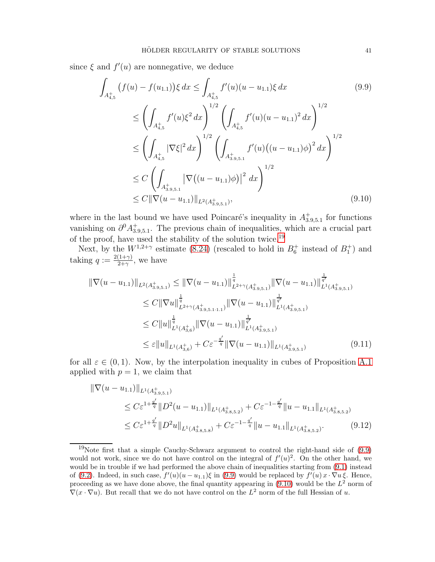since  $\xi$  and  $f'(u)$  are nonnegative, we deduce

<span id="page-40-2"></span><span id="page-40-1"></span>
$$
\int_{A_{4,5}^{+}} (f(u) - f(u_{1,1})) \xi \, dx \le \int_{A_{4,5}^{+}} f'(u)(u - u_{1,1}) \xi \, dx \qquad (9.9)
$$
\n
$$
\le \left( \int_{A_{4,5}^{+}} f'(u) \xi^{2} \, dx \right)^{1/2} \left( \int_{A_{4,5}^{+}} f'(u)(u - u_{1,1})^{2} \, dx \right)^{1/2}
$$
\n
$$
\le \left( \int_{A_{4,5}^{+}} |\nabla \xi|^{2} \, dx \right)^{1/2} \left( \int_{A_{3,9,5,1}^{+}} f'(u)((u - u_{1,1})\phi)^{2} \, dx \right)^{1/2}
$$
\n
$$
\le C \left( \int_{A_{3,9,5,1}^{+}} |\nabla ((u - u_{1,1})\phi)|^{2} \, dx \right)^{1/2}
$$
\n
$$
\le C \|\nabla (u - u_{1,1})\|_{L^{2}(A_{3,9,5,1}^{+})}, \qquad (9.10)
$$

where in the last bound we have used Poincaré's inequality in  $A_{3.9,5.1}^{+}$  for functions vanishing on  $\partial^0 A_{3.9,5.1}^+$ . The previous chain of inequalities, which are a crucial part of the proof, have used the stability of the solution twice.[19](#page-40-0)

Next, by the  $W^{1,2+\gamma}$  estimate [\(8.24\)](#page-36-3) (rescaled to hold in  $B_6^+$  instead of  $B_1^+$ ) and taking  $q := \frac{2(1+\gamma)}{2+\gamma}$  $\frac{(1+\gamma)}{2+\gamma}$ , we have

$$
\|\nabla(u - u_{1,1})\|_{L^{2}(A_{3,9,5,1}^{+})} \leq \|\nabla(u - u_{1,1})\|_{L^{2+\gamma}(A_{3,9,5,1}^{+})}^{\frac{1}{q}} \|\nabla(u - u_{1,1})\|_{L^{1}(A_{3,9,5,1}^{+})}^{\frac{1}{q'}}\n\leq C \|\nabla u\|_{L^{2+\gamma}(A_{3,9,5,1,1,1}^{+})}^{\frac{1}{q}} \|\nabla(u - u_{1,1})\|_{L^{1}(A_{3,9,5,1}^{+})}^{\frac{1}{q'}}\n\leq C \|u\|_{L^{1}(A_{3,6}^{+})}^{\frac{1}{q}} \|\nabla(u - u_{1,1})\|_{L^{1}(A_{3,9,5,1}^{+})}^{\frac{1}{q'}}\n\leq \varepsilon \|u\|_{L^{1}(A_{3,6}^{+})} + C\varepsilon^{-\frac{q'}{q}} \|\nabla(u - u_{1,1})\|_{L^{1}(A_{3,9,5,1}^{+})}
$$
\n(9.11)

for all  $\varepsilon \in (0,1)$ . Now, by the interpolation inequality in cubes of Proposition [A.1](#page-45-0) applied with  $p = 1$ , we claim that

<span id="page-40-4"></span><span id="page-40-3"></span>
$$
\|\nabla(u - u_{1,1})\|_{L^1(A_{3,9,5,1}^+)}\n\leq C\varepsilon^{1+\frac{q'}{q}}\|D^2(u - u_{1,1})\|_{L^1(A_{3,8,5,2}^+)} + C\varepsilon^{-1-\frac{q'}{q}}\|u - u_{1,1}\|_{L^1(A_{3,8,5,2}^+)}\n\leq C\varepsilon^{1+\frac{q'}{q}}\|D^2u\|_{L^1(A_{3,8,5,8}^+)} + C\varepsilon^{-1-\frac{q'}{q}}\|u - u_{1,1}\|_{L^1(A_{3,8,5,2}^+)}.
$$
\n(9.12)

<span id="page-40-0"></span><sup>&</sup>lt;sup>19</sup>Note first that a simple Cauchy-Schwarz argument to control the right-hand side of  $(9.9)$ would not work, since we do not have control on the integral of  $f'(u)^2$ . On the other hand, we would be in trouble if we had performed the above chain of inequalities starting from [\(9.1\)](#page-37-1) instead of [\(9.2\)](#page-37-2). Indeed, in such case,  $f'(u)(u - u_{1,1})\xi$  in [\(9.9\)](#page-40-1) would be replaced by  $f'(u)x \cdot \nabla u \xi$ . Hence, proceeding as we have done above, the final quantity appearing in  $(9.10)$  would be the  $L^2$  norm of  $\nabla(x \cdot \nabla u)$ . But recall that we do not have control on the  $L^2$  norm of the full Hessian of u.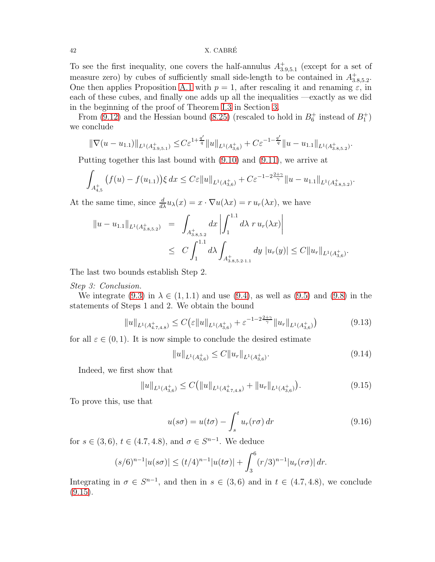### 42 X. CABRE´

To see the first inequality, one covers the half-annulus  $A_{3.9,5.1}^{+}$  (except for a set of measure zero) by cubes of sufficiently small side-length to be contained in  $A_{3.8,5.2}^{+}$ . One then applies Proposition [A.1](#page-45-0) with  $p = 1$ , after rescaling it and renaming  $\varepsilon$ , in each of these cubes, and finally one adds up all the inequalities —exactly as we did in the beginning of the proof of Theorem [I.3](#page-10-1) in Section [3.](#page-15-0)

From [\(9.12\)](#page-40-3) and the Hessian bound [\(8.25\)](#page-36-4) (rescaled to hold in  $B_6^+$  instead of  $B_1^+$ ) we conclude

$$
\|\nabla(u-u_{1.1})\|_{L^1(A_{3.9,5.1}^+)} \leq C \varepsilon^{1+\frac{q'}{q}} \|u\|_{L^1(A_{3,6}^+)} + C \varepsilon^{-1-\frac{q'}{q}} \|u-u_{1.1}\|_{L^1(A_{3.8,5.2}^+)}.
$$

Putting together this last bound with [\(9.10\)](#page-40-2) and [\(9.11\)](#page-40-4), we arrive at

$$
\int_{A_{4,5}^+} \left(f(u) - f(u_{1,1})\right) \xi \, dx \leq C \varepsilon \|u\|_{L^1(A_{3,6}^+)} + C \varepsilon^{-1-2\frac{2+\gamma}{\gamma}} \|u - u_{1,1}\|_{L^1(A_{3,8,5,2}^+)}.
$$

At the same time, since  $\frac{d}{dx}u_\lambda(x) = x \cdot \nabla u(\lambda x) = r u_r(\lambda x)$ , we have

$$
||u - u_{1.1}||_{L^{1}(A_{3.8,5.2}^{+})} = \int_{A_{3.8,5.2}^{+}} dx \left| \int_{1}^{1.1} d\lambda \ r u_{r}(\lambda x) \right|
$$
  
 
$$
\leq C \int_{1}^{1.1} d\lambda \int_{A_{3.8,5.2 \cdot 1.1}^{+}} dy |u_{r}(y)| \leq C ||u_{r}||_{L^{1}(A_{3,6}^{+})}.
$$

The last two bounds establish Step 2.

### *Step 3: Conclusion.*

We integrate [\(9.3\)](#page-38-0) in  $\lambda \in (1, 1.1)$  and use [\(9.4\)](#page-38-3), as well as [\(9.5\)](#page-38-1) and [\(9.8\)](#page-39-0) in the statements of Steps 1 and 2. We obtain the bound

<span id="page-41-1"></span>
$$
||u||_{L^{1}(A^{+}_{4.7,4.8})} \leq C \left(\varepsilon ||u||_{L^{1}(A^{+}_{3,6})} + \varepsilon^{-1-2\frac{2+\gamma}{\gamma}} ||u_{r}||_{L^{1}(A^{+}_{3,6})}\right) \tag{9.13}
$$

for all  $\varepsilon \in (0,1)$ . It is now simple to conclude the desired estimate

<span id="page-41-2"></span>
$$
||u||_{L^{1}(A_{3,6}^{+})} \leq C||u_{r}||_{L^{1}(A_{3,6}^{+})}.
$$
\n(9.14)

Indeed, we first show that

<span id="page-41-0"></span>
$$
||u||_{L^{1}(A_{3,6}^{+})} \leq C(||u||_{L^{1}(A_{4,7,4,8}^{+})} + ||u_{r}||_{L^{1}(A_{3,6}^{+})}).
$$
\n(9.15)

To prove this, use that

<span id="page-41-3"></span>
$$
u(s\sigma) = u(t\sigma) - \int_{s}^{t} u_r(r\sigma) dr \qquad (9.16)
$$

for  $s \in (3,6)$ ,  $t \in (4.7, 4.8)$ , and  $\sigma \in S^{n-1}$ . We deduce

$$
(s/6)^{n-1}|u(s\sigma)| \le (t/4)^{n-1}|u(t\sigma)| + \int_3^6 (r/3)^{n-1}|u_r(r\sigma)| dr.
$$

Integrating in  $\sigma \in S^{n-1}$ , and then in  $s \in (3,6)$  and in  $t \in (4.7, 4.8)$ , we conclude  $(9.15).$  $(9.15).$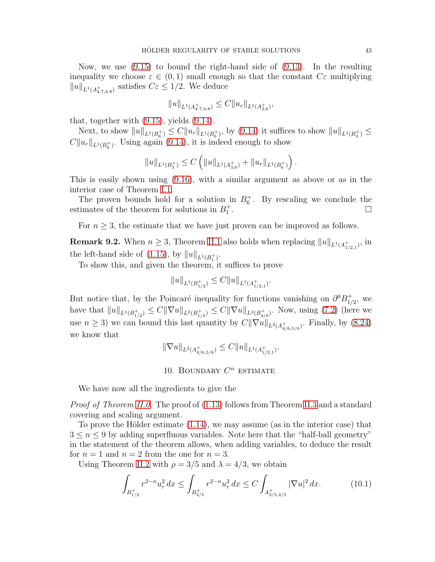Now, we use [\(9.15\)](#page-41-0) to bound the right-hand side of [\(9.13\)](#page-41-1). In the resulting inequality we choose  $\varepsilon \in (0,1)$  small enough so that the constant  $C\varepsilon$  multiplying  $||u||_{L^1(A^+_{4.7,4.8})}$  satisfies  $C\varepsilon \leq 1/2$ . We deduce

$$
||u||_{L^1(A^+_{4.7,4.8})} \leq C||u_r||_{L^1(A^+_{3,6})},
$$

that, together with [\(9.15\)](#page-41-0), yields [\(9.14\)](#page-41-2).

Next, to show  $||u||_{L^1(B_6^+)} \leq C||u_r||_{L^1(B_6^+)}$ , by [\(9.14\)](#page-41-2) it suffices to show  $||u||_{L^1(B_3^+)} \leq$  $C||u_r||_{L^1(B_6^+)}$ . Using again [\(9.14\)](#page-41-2), it is indeed enough to show

$$
||u||_{L^1(B_3^+)} \leq C \left( ||u||_{L^1(A_{3,6}^+)} + ||u_r||_{L^1(B_6^+)} \right).
$$

This is easily shown using [\(9.16\)](#page-41-3), with a similar argument as above or as in the interior case of Theorem [I.1.](#page-5-3)

The proven bounds hold for a solution in  $B_6^+$ . By rescaling we conclude the estimates of the theorem for solutions in  $B_1^+$ .

For  $n \geq 3$ , the estimate that we have just proven can be improved as follows.

<span id="page-42-1"></span>**Remark 9.2.** When  $n \geq 3$ , Theorem [II.1](#page-7-1) also holds when replacing  $||u||_{L^1(A_{1/2,1}^+)}$ , in the left-hand side of  $(1.15)$ , by  $||u||_{L^1(B_1^+)}$ .

To show this, and given the theorem, it suffices to prove

$$
||u||_{L^1(B_{1/2}^+)} \leq C||u||_{L^1(A_{1/2,1}^+)}.
$$

But notice that, by the Poincaré inequality for functions vanishing on  $\partial^0 B_{1/2}^+$  $_{1/2}^+$ , we have that  $||u||_{L^1(B_{1/2}^+)} \leq C||\nabla u||_{L^2(B_{1/2}^+)} \leq C||\nabla u||_{L^2(B_{4/6}^+)}$ . Now, using [\(7.2\)](#page-26-3) (here we use  $n \geq 3$ ) we can bound this last quantity by  $C\|\nabla u\|_{L^2(A^+_{4/6,5/6})}$ . Finally, by  $(8.24)$ we know that

$$
\|\nabla u\|_{L^2(A_{4/6,5/6}^+)} \leq C \|u\|_{L^1(A_{1/2,1}^+)}.
$$

### 10. BOUNDARY  $C^{\alpha}$  estimate

<span id="page-42-0"></span>We have now all the ingredients to give the

*Proof of Theorem [II.0.](#page-6-0)* The proof of [\(1.13\)](#page-6-3) follows from Theorem [II.3](#page-11-1) and a standard covering and scaling argument.

To prove the Hölder estimate  $(1.14)$ , we may assume (as in the interior case) that  $3 \leq n \leq 9$  by adding superfluous variables. Note here that the "half-ball geometry" in the statement of the theorem allows, when adding variables, to deduce the result for  $n = 1$  and  $n = 2$  from the one for  $n = 3$ .

Using Theorem [II.2](#page-11-2) with  $\rho = 3/5$  and  $\lambda = 4/3$ , we obtain

<span id="page-42-2"></span>
$$
\int_{B_{1/2}^+} r^{2-n} u_r^2 dx \le \int_{B_{3/5}^+} r^{2-n} u_r^2 dx \le C \int_{A_{3/5,4/5}^+} |\nabla u|^2 dx.
$$
 (10.1)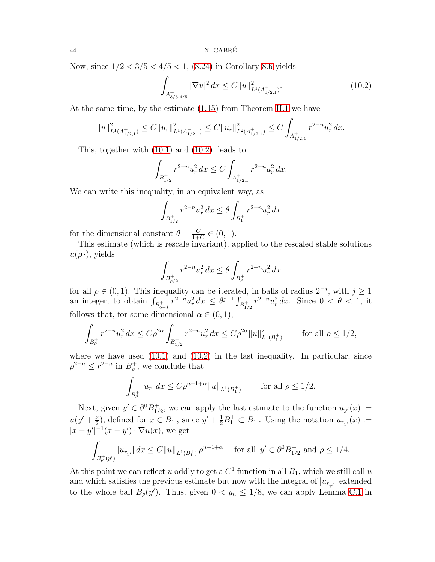Now, since  $1/2 < 3/5 < 4/5 < 1$ , [\(8.24\)](#page-36-3) in Corollary [8.6](#page-36-5) yields

<span id="page-43-0"></span>
$$
\int_{A_{3/5,4/5}^+} |\nabla u|^2 \, dx \le C \|u\|_{L^1(A_{1/2,1}^+)}^2. \tag{10.2}
$$

At the same time, by the estimate [\(1.15\)](#page-7-0) from Theorem [II.1](#page-7-1) we have

$$
||u||_{L^1(A_{1/2,1}^+)}^2 \leq C||u_r||_{L^1(A_{1/2,1}^+)}^2 \leq C||u_r||_{L^2(A_{1/2,1}^+)}^2 \leq C\int_{A_{1/2,1}^+} r^{2-n} u_r^2 dx.
$$

This, together with [\(10.1\)](#page-42-2) and [\(10.2\)](#page-43-0), leads to

$$
\int_{B_{1/2}^+} r^{2-n} u_r^2 dx \le C \int_{A_{1/2,1}^+} r^{2-n} u_r^2 dx.
$$

We can write this inequality, in an equivalent way, as

$$
\int_{B_{1/2}^+} r^{2-n} u_r^2 dx \le \theta \int_{B_1^+} r^{2-n} u_r^2 dx
$$

for the dimensional constant  $\theta = \frac{C}{1+\epsilon}$  $\frac{C}{1+C} \in (0,1).$ 

This estimate (which is rescale invariant), applied to the rescaled stable solutions  $u(\rho \cdot)$ , yields

$$
\int_{B_{\rho/2}^+} r^{2-n} u_r^2\,dx \leq \theta \int_{B_{\rho}^+} r^{2-n} u_r^2\,dx
$$

for all  $\rho \in (0, 1)$ . This inequality can be iterated, in balls of radius  $2^{-j}$ , with  $j \ge 1$ an integer, to obtain  $\int_{B_{2^{-j}}^+} r^{2-n} u_r^2 dx \leq \theta^{j-1} \int_{B_{1/2}^+} r^{2-n} u_r^2 dx$ . Since  $0 < \theta < 1$ , it follows that, for some dimensional  $\alpha \in (0,1)$ ,

$$
\int_{B_{\rho}^+} r^{2-n} u_r^2 dx \le C\rho^{2\alpha} \int_{B_{1/2}^+} r^{2-n} u_r^2 dx \le C\rho^{2\alpha} \|u\|_{L^1(B_1^+)}^2 \qquad \text{for all } \rho \le 1/2,
$$

where we have used  $(10.1)$  and  $(10.2)$  in the last inequality. In particular, since  $\rho^{2-n} \leq r^{2-n}$  in  $B_{\rho}^{+}$ , we conclude that

$$
\int_{B_{\rho}^+} |u_r| \, dx \le C\rho^{n-1+\alpha} \|u\|_{L^1(B_1^+)} \qquad \text{for all } \rho \le 1/2.
$$

Next, given  $y' \in \partial^0 B_{1/2}^+$  $_{1/2}^+$ , we can apply the last estimate to the function  $u_{y'}(x) :=$  $u(y'+\frac{x}{2})$  $(\frac{x}{2})$ , defined for  $x \in B_1^+$ , since  $y' + \frac{1}{2}B_1^+ \subset B_1^+$ . Using the notation  $u_{r_{y'}}(x) :=$  $|x-y'|^{-1}(x-y')\cdot \nabla u(x)$ , we get

$$
\int_{B_{\rho}^+(y')} |u_{r_{y'}}| dx \le C \|u\|_{L^1(B_1^+)} \rho^{n-1+\alpha} \quad \text{ for all } y' \in \partial^0 B_{1/2}^+ \text{ and } \rho \le 1/4.
$$

At this point we can reflect u oddly to get a  $C^1$  function in all  $B_1$ , which we still call u and which satisfies the previous estimate but now with the integral of  $|u_{r_{y'}}|$  extended to the whole ball  $B_{\rho}(y')$ . Thus, given  $0 < y_n \leq 1/8$ , we can apply Lemma [C.1](#page-48-1) in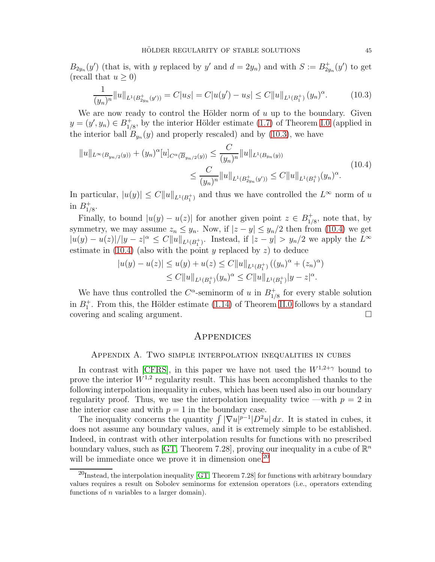$B_{2y_n}(y')$  (that is, with y replaced by y' and  $d = 2y_n$ ) and with  $S := B_{2y_n}^+(y')$  to get (recall that  $u \geq 0$ )

<span id="page-44-1"></span>
$$
\frac{1}{(y_n)^n} \|u\|_{L^1(B_{2y_n}^+(y'))} = C|u_S| = C|u(y') - u_S| \le C \|u\|_{L^1(B_1^+)} (y_n)^\alpha. \tag{10.3}
$$

We are now ready to control the Hölder norm of  $u$  up to the boundary. Given  $y=(y',y_n)\in B_{1/2}^+$  $_{1/8}^+$ , by the interior Hölder estimate [\(1.7\)](#page-3-3) of Theorem [I.0](#page-3-1) (applied in the interior ball  $B_{y_n}(y)$  and properly rescaled) and by [\(10.3\)](#page-44-1), we have

<span id="page-44-2"></span>
$$
||u||_{L^{\infty}(B_{y_n/2}(y))} + (y_n)^{\alpha} [u]_{C^{\alpha}(\overline{B}_{y_n/2}(y))} \leq \frac{C}{(y_n)^n} ||u||_{L^1(B_{y_n}(y))}
$$
  

$$
\leq \frac{C}{(y_n)^n} ||u||_{L^1(B_{2y_n}^+(y'))} \leq C ||u||_{L^1(B_1^+)} (y_n)^{\alpha}.
$$
 (10.4)

In particular,  $|u(y)| \leq C ||u||_{L^1(B_1^+)}$  and thus we have controlled the  $L^{\infty}$  norm of u in  $B_1^+$  $^+_{1/8}.$ 

Finally, to bound  $|u(y) - u(z)|$  for another given point  $z \in B_{1/2}^+$  $_{1/8}^+$ , note that, by symmetry, we may assume  $z_n \leq y_n$ . Now, if  $|z - y| \leq y_n/2$  then from [\(10.4\)](#page-44-2) we get  $|u(y) - u(z)|/|y - z|^{\alpha} \leq C ||u||_{L^1(B_1^+)}$ . Instead, if  $|z - y| > y_n/2$  we apply the  $L^{\infty}$ estimate in  $(10.4)$  (also with the point y replaced by z) to deduce

$$
|u(y) - u(z)| \le u(y) + u(z) \le C ||u||_{L^1(B_1^+)} ((y_n)^\alpha + (z_n)^\alpha)
$$
  
 
$$
\le C ||u||_{L^1(B_1^+)} (y_n)^\alpha \le C ||u||_{L^1(B_1^+)} |y - z|^\alpha.
$$

We have thus controlled the  $C^{\alpha}$ -seminorm of u in  $B_{1}^{+}$  $_{1/8}^+$  for every stable solution in  $B_1^+$ . From this, the Hölder estimate [\(1.14\)](#page-6-4) of Theorem [II.0](#page-6-0) follows by a standard covering and scaling argument.

### **APPENDICES**

### Appendix A. Two simple interpolation inequalities in cubes

<span id="page-44-0"></span>In contrast with [\[CFRS\]](#page-54-8), in this paper we have not used the  $W^{1,2+\gamma}$  bound to prove the interior  $W^{1,2}$  regularity result. This has been accomplished thanks to the following interpolation inequality in cubes, which has been used also in our boundary regularity proof. Thus, we use the interpolation inequality twice —with  $p = 2$  in the interior case and with  $p = 1$  in the boundary case.

The inequality concerns the quantity  $\int |\nabla u|^{p-1} |D^2 u| dx$ . It is stated in cubes, it does not assume any boundary values, and it is extremely simple to be established. Indeed, in contrast with other interpolation results for functions with no prescribed boundary values, such as [\[GT,](#page-54-20) Theorem 7.28], proving our inequality in a cube of  $\mathbb{R}^n$ will be immediate once we prove it in dimension one.<sup>[20](#page-44-3)</sup>

<span id="page-44-3"></span> $^{20}$ Instead, the interpolation inequality [\[GT,](#page-54-20) Theorem 7.28] for functions with arbitrary boundary values requires a result on Sobolev seminorms for extension operators (i.e., operators extending functions of n variables to a larger domain).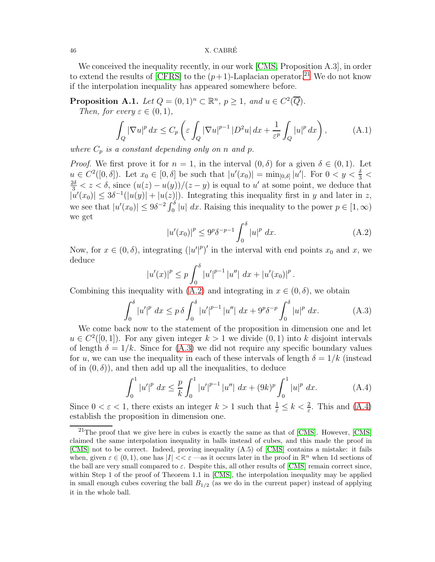#### 46 X. CABRE´

We conceived the inequality recently, in our work [\[CMS,](#page-54-17) Proposition A.3], in order to extend the results of [\[CFRS\]](#page-54-8) to the  $(p+1)$ -Laplacian operator.<sup>[21](#page-45-1)</sup> We do not know if the interpolation inequality has appeared somewhere before.

<span id="page-45-0"></span>**Proposition A.1.** *Let*  $Q = (0, 1)^n \subset \mathbb{R}^n$ ,  $p \ge 1$ , and  $u \in C^2(\overline{Q})$ *.* 

*Then, for every*  $\varepsilon \in (0,1)$ *,* 

<span id="page-45-5"></span>
$$
\int_{Q} |\nabla u|^{p} dx \le C_{p} \left( \varepsilon \int_{Q} |\nabla u|^{p-1} |D^{2} u| dx + \frac{1}{\varepsilon^{p}} \int_{Q} |u|^{p} dx \right), \tag{A.1}
$$

*where*  $C_p$  *is a constant depending only on n and p*.

*Proof.* We first prove it for  $n = 1$ , in the interval  $(0, \delta)$  for a given  $\delta \in (0, 1)$ . Let  $u \in C^2([0,\delta])$ . Let  $x_0 \in [0,\delta]$  be such that  $|u'(x_0)| = \min_{[0,\delta]} |u'|$ . For  $0 < y < \frac{\delta}{3} <$  $\frac{2\delta}{3} < z < \delta$ , since  $(u(z) - u(y))/(z - y)$  is equal to u' at some point, we deduce that  $|u'(x_0)| \leq 3\delta^{-1}(|u(y)| + |u(z)|)$ . Integrating this inequality first in y and later in z, we see that  $|u'(x_0)| \le 9\delta^{-2} \int_0^\delta |u| dx$ . Raising this inequality to the power  $p \in [1, \infty)$ we get

<span id="page-45-2"></span>
$$
|u'(x_0)|^p \le 9^p \delta^{-p-1} \int_0^\delta |u|^p \ dx.
$$
 (A.2)

Now, for  $x \in (0, \delta)$ , integrating  $(|u'|^p)'$  in the interval with end points  $x_0$  and  $x$ , we deduce

$$
|u'(x)|^{p} \le p \int_0^{\delta} |u'|^{p-1} |u''| dx + |u'(x_0)|^{p}.
$$

Combining this inequality with [\(A.2\)](#page-45-2) and integrating in  $x \in (0, \delta)$ , we obtain

<span id="page-45-3"></span>
$$
\int_0^\delta |u'|^p \, dx \le p \, \delta \int_0^\delta |u'|^{p-1} \, |u''| \, dx + 9^p \delta^{-p} \int_0^\delta |u|^p \, dx. \tag{A.3}
$$

We come back now to the statement of the proposition in dimension one and let  $u \in C^2([0,1])$ . For any given integer  $k > 1$  we divide  $(0,1)$  into k disjoint intervals of length  $\delta = 1/k$ . Since for [\(A.3\)](#page-45-3) we did not require any specific boundary values for u, we can use the inequality in each of these intervals of length  $\delta = 1/k$  (instead of in  $(0, \delta)$ , and then add up all the inequalities, to deduce

<span id="page-45-4"></span>
$$
\int_0^1 |u'|^p \ dx \le \frac{p}{k} \int_0^1 |u'|^{p-1} \ |u''| \ dx + (9k)^p \int_0^1 |u|^p \ dx. \tag{A.4}
$$

Since  $0 < \varepsilon < 1$ , there exists an integer  $k > 1$  such that  $\frac{1}{\varepsilon} \leq k < \frac{2}{\varepsilon}$ . This and [\(A.4\)](#page-45-4) establish the proposition in dimension one.

<span id="page-45-1"></span> $^{21}$ The proof that we give here in cubes is exactly the same as that of [\[CMS\]](#page-54-17). However, [CMS] claimed the same interpolation inequality in balls instead of cubes, and this made the proof in [\[CMS\]](#page-54-17) not to be correct. Indeed, proving inequality (A.5) of [\[CMS\]](#page-54-17) contains a mistake: it fails when, given  $\varepsilon \in (0,1)$ , one has  $|I| \ll \varepsilon$  —as it occurs later in the proof in  $\mathbb{R}^n$  when 1d sections of the ball are very small compared to  $\varepsilon$ . Despite this, all other results of [\[CMS\]](#page-54-17) remain correct since, within Step 1 of the proof of Theorem 1.1 in [\[CMS\]](#page-54-17), the interpolation inequality may be applied in small enough cubes covering the ball  $B_{1/2}$  (as we do in the current paper) instead of applying it in the whole ball.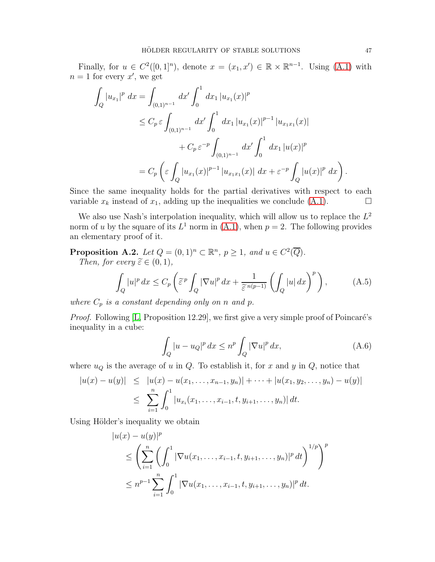Finally, for  $u \in C^2([0,1]^n)$ , denote  $x = (x_1, x') \in \mathbb{R} \times \mathbb{R}^{n-1}$ . Using [\(A.1\)](#page-45-5) with  $n=1$  for every  $x'$ , we get

$$
\int_{Q} |u_{x_{1}}|^{p} dx = \int_{(0,1)^{n-1}} dx' \int_{0}^{1} dx_{1} |u_{x_{1}}(x)|^{p}
$$
\n
$$
\leq C_{p} \varepsilon \int_{(0,1)^{n-1}} dx' \int_{0}^{1} dx_{1} |u_{x_{1}}(x)|^{p-1} |u_{x_{1}x_{1}}(x)|
$$
\n
$$
+ C_{p} \varepsilon^{-p} \int_{(0,1)^{n-1}} dx' \int_{0}^{1} dx_{1} |u(x)|^{p}
$$
\n
$$
= C_{p} \left( \varepsilon \int_{Q} |u_{x_{1}}(x)|^{p-1} |u_{x_{1}x_{1}}(x)| dx + \varepsilon^{-p} \int_{Q} |u(x)|^{p} dx \right).
$$

Since the same inequality holds for the partial derivatives with respect to each variable  $x_k$  instead of  $x_1$ , adding up the inequalities we conclude [\(A.1\)](#page-45-5).

We also use Nash's interpolation inequality, which will allow us to replace the  $L^2$ norm of u by the square of its  $L^1$  norm in  $(A.1)$ , when  $p = 2$ . The following provides an elementary proof of it.

<span id="page-46-0"></span>**Proposition A.2.** *Let*  $Q = (0, 1)^n \subset \mathbb{R}^n$ ,  $p \ge 1$ , and  $u \in C^2(\overline{Q})$ *. Then, for every*  $\tilde{\varepsilon} \in (0, 1)$ *,* 

<span id="page-46-2"></span>
$$
\int_{Q} |u|^{p} dx \leq C_{p} \left( \tilde{\varepsilon}^{p} \int_{Q} |\nabla u|^{p} dx + \frac{1}{\tilde{\varepsilon}^{n(p-1)}} \left( \int_{Q} |u| dx \right)^{p} \right), \tag{A.5}
$$

*where*  $C_p$  *is a constant depending only on n and p*.

*Proof.* Following [\[L,](#page-54-21) Proposition 12.29], we first give a very simple proof of Poincaré's inequality in a cube:

<span id="page-46-1"></span>
$$
\int_{Q} |u - u_{Q}|^{p} dx \leq n^{p} \int_{Q} |\nabla u|^{p} dx,
$$
\n(A.6)

where  $u_Q$  is the average of u in Q. To establish it, for x and y in Q, notice that

$$
|u(x) - u(y)| \le |u(x) - u(x_1, ..., x_{n-1}, y_n)| + \cdots + |u(x_1, y_2, ..., y_n) - u(y)|
$$
  

$$
\le \sum_{i=1}^n \int_0^1 |u_{x_i}(x_1, ..., x_{i-1}, t, y_{i+1}, ..., y_n)| dt.
$$

Using Hölder's inequality we obtain

$$
|u(x) - u(y)|^p
$$
  
\n
$$
\leq \left(\sum_{i=1}^n \left(\int_0^1 |\nabla u(x_1,\ldots,x_{i-1},t,y_{i+1},\ldots,y_n)|^p dt\right)^{1/p}\right)^p
$$
  
\n
$$
\leq n^{p-1} \sum_{i=1}^n \int_0^1 |\nabla u(x_1,\ldots,x_{i-1},t,y_{i+1},\ldots,y_n)|^p dt.
$$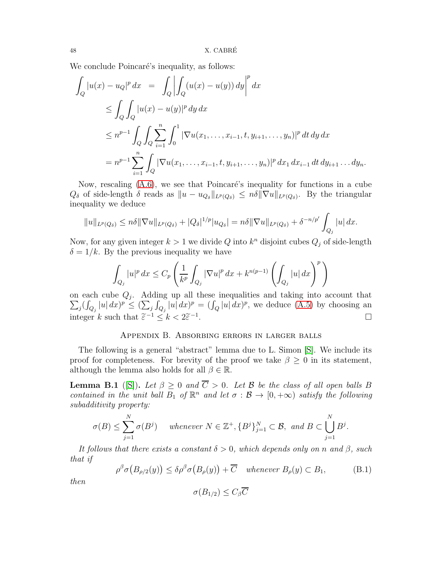We conclude Poincaré's inequality, as follows:

$$
\int_{Q} |u(x) - u_{Q}|^{p} dx = \int_{Q} \left| \int_{Q} (u(x) - u(y)) dy \right|^{p} dx
$$
  
\n
$$
\leq \int_{Q} \int_{Q} |u(x) - u(y)|^{p} dy dx
$$
  
\n
$$
\leq n^{p-1} \int_{Q} \int_{Q} \sum_{i=1}^{n} \int_{0}^{1} |\nabla u(x_{1}, ..., x_{i-1}, t, y_{i+1}, ..., y_{n})|^{p} dt dy dx
$$
  
\n
$$
= n^{p-1} \sum_{i=1}^{n} \int_{Q} |\nabla u(x_{1}, ..., x_{i-1}, t, y_{i+1}, ..., y_{n})|^{p} dx_{1} dx_{i-1} dt dy_{i+1} ... dy_{n}.
$$

Now, rescaling  $(A.6)$ , we see that Poincaré's inequality for functions in a cube  $Q_{\delta}$  of side-length  $\delta$  reads as  $||u - u_{Q_{\delta}}||_{L^p(Q_{\delta})} \leq n\delta ||\nabla u||_{L^p(Q_{\delta})}$ . By the triangular inequality we deduce

$$
||u||_{L^{p}(Q_{\delta})} \leq n\delta ||\nabla u||_{L^{p}(Q_{\delta})} + |Q_{\delta}|^{1/p}|u_{Q_{\delta}}| = n\delta ||\nabla u||_{L^{p}(Q_{\delta})} + \delta^{-n/p'}\int_{Q_{j}}|u| dx.
$$

Now, for any given integer  $k > 1$  we divide Q into  $k<sup>n</sup>$  disjoint cubes  $Q<sub>j</sub>$  of side-length  $\delta = 1/k$ . By the previous inequality we have

$$
\int_{Q_j} |u|^p dx \le C_p \left( \frac{1}{k^p} \int_{Q_j} |\nabla u|^p dx + k^{n(p-1)} \left( \int_{Q_j} |u| dx \right)^p \right)
$$

on each cube  $Q_j$ . Adding up all these inequalities and taking into account that  $\sum_j (\int_{Q_j} |u| dx)^p \leq (\sum_j \int_{Q_j} |u| dx)^p = (\int_Q |u| dx)^p$ , we deduce  $(A.5)$  by choosing an integer k such that  $\tilde{\varepsilon}^{-1} \leq k < 2\tilde{\varepsilon}^{-1}$ .

### Appendix B. Absorbing errors in larger balls

<span id="page-47-0"></span>The following is a general "abstract" lemma due to L. Simon [\[S\]](#page-55-8). We include its proof for completeness. For brevity of the proof we take  $\beta \geq 0$  in its statement, although the lemma also holds for all  $\beta \in \mathbb{R}$ .

<span id="page-47-1"></span>**Lemma B.1** ([\[S\]](#page-55-8)). Let  $\beta \ge 0$  and  $\overline{C} > 0$ . Let  $\beta$  be the class of all open balls B *contained in the unit ball*  $B_1$  *of*  $\mathbb{R}^n$  *and let*  $\sigma : \mathcal{B} \to [0, +\infty)$  *satisfy the following subadditivity property:*

$$
\sigma(B) \le \sum_{j=1}^N \sigma(B^j) \quad \text{ whenever } N \in \mathbb{Z}^+, \{B^j\}_{j=1}^N \subset \mathcal{B}, \text{ and } B \subset \bigcup_{j=1}^N B^j.
$$

*It follows that there exists a constant*  $\delta > 0$ *, which depends only on* n and  $\beta$ *, such that if*

<span id="page-47-2"></span>
$$
\rho^{\beta} \sigma\big(B_{\rho/2}(y)\big) \leq \delta \rho^{\beta} \sigma\big(B_{\rho}(y)\big) + \overline{C} \quad \text{whenever } B_{\rho}(y) \subset B_1,\tag{B.1}
$$

*then*

$$
\sigma(B_{1/2}) \leq C_{\beta} \overline{C}
$$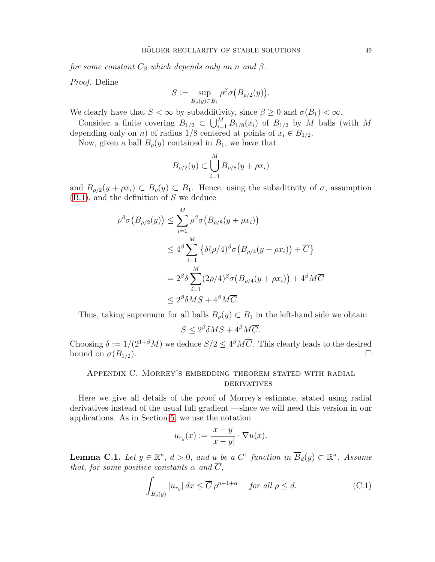*for some constant*  $C_{\beta}$  *which depends only on n and*  $\beta$ .

*Proof.* Define

$$
S := \sup_{B_{\rho}(y) \subset B_1} \rho^{\beta} \sigma\big(B_{\rho/2}(y)\big).
$$

We clearly have that  $S < \infty$  by subadditivity, since  $\beta \geq 0$  and  $\sigma(B_1) < \infty$ .

Consider a finite covering  $B_{1/2} \subset \bigcup_{i=1}^M B_{1/8}(x_i)$  of  $B_{1/2}$  by M balls (with M depending only on *n*) of radius  $1/8$  centered at points of  $x_i \in B_{1/2}$ .

Now, given a ball  $B_{\rho}(y)$  contained in  $B_1$ , we have that

$$
B_{\rho/2}(y) \subset \bigcup_{i=1}^{M} B_{\rho/8}(y + \rho x_i)
$$

and  $B_{\rho/2}(y + \rho x_i) \subset B_{\rho}(y) \subset B_1$ . Hence, using the subaditivity of  $\sigma$ , assumption  $(B.1)$ , and the definition of S we deduce

$$
\rho^{\beta} \sigma\big(B_{\rho/2}(y)\big) \leq \sum_{i=1}^{M} \rho^{\beta} \sigma\big(B_{\rho/8}(y+\rho x_i)\big)
$$
  
\n
$$
\leq 4^{\beta} \sum_{i=1}^{M} \left\{\delta(\rho/4)^{\beta} \sigma\big(B_{\rho/4}(y+\rho x_i)\big) + \overline{C}\right\}
$$
  
\n
$$
= 2^{\beta} \delta \sum_{i=1}^{M} (2\rho/4)^{\beta} \sigma\big(B_{\rho/4}(y+\rho x_i)\big) + 4^{\beta} M \overline{C}
$$
  
\n
$$
\leq 2^{\beta} \delta M S + 4^{\beta} M \overline{C}.
$$

Thus, taking supremum for all balls  $B_{\rho}(y) \subset B_1$  in the left-hand side we obtain

$$
S \le 2^{\beta} \delta MS + 4^{\beta} M \overline{C}.
$$

Choosing  $\delta := 1/(2^{1+\beta}M)$  we deduce  $S/2 \leq 4^{\beta}M\overline{C}$ . This clearly leads to the desired bound on  $\sigma(B_{1/2})$ .

### <span id="page-48-0"></span>Appendix C. Morrey's embedding theorem stated with radial **DERIVATIVES**

Here we give all details of the proof of Morrey's estimate, stated using radial derivatives instead of the usual full gradient —since we will need this version in our applications. As in Section [5,](#page-21-0) we use the notation

$$
u_{r_y}(x) := \frac{x - y}{|x - y|} \cdot \nabla u(x).
$$

<span id="page-48-1"></span>**Lemma C.1.** Let  $y \in \mathbb{R}^n$ ,  $d > 0$ , and u be a  $C^1$  function in  $\overline{B}_d(y) \subset \mathbb{R}^n$ . Assume *that, for some positive constants*  $\alpha$  *and*  $\overline{C}$ *,* 

<span id="page-48-2"></span>
$$
\int_{B_{\rho}(y)} |u_{r_y}| dx \le \overline{C} \rho^{n-1+\alpha} \quad \text{for all } \rho \le d. \tag{C.1}
$$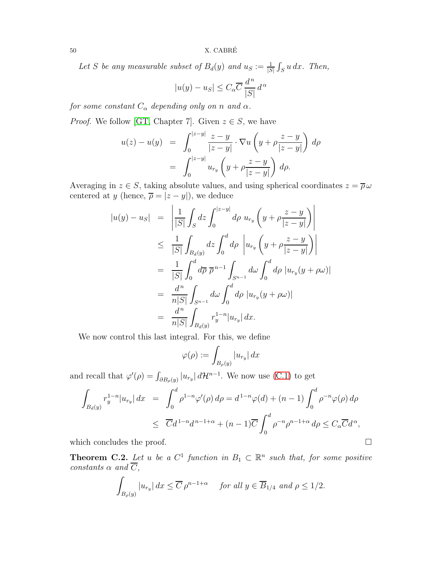50  $X. CABRÉ$ 

Let S be any measurable subset of  $B_d(y)$  and  $u_S := \frac{1}{|S|} \int_S u \, dx$ . Then,

$$
|u(y) - u_S| \le C_{\alpha} \overline{C} \, \frac{d^n}{|S|} \, d^{\alpha}
$$

*for some constant*  $C_{\alpha}$  *depending only on* n *and*  $\alpha$ *.* 

*Proof.* We follow [\[GT,](#page-54-20) Chapter 7]. Given  $z \in S$ , we have

$$
u(z) - u(y) = \int_0^{|z-y|} \frac{z-y}{|z-y|} \cdot \nabla u \left( y + \rho \frac{z-y}{|z-y|} \right) d\rho
$$
  
= 
$$
\int_0^{|z-y|} u_{r_y} \left( y + \rho \frac{z-y}{|z-y|} \right) d\rho.
$$

Averaging in  $z \in S$ , taking absolute values, and using spherical coordinates  $z = \overline{\rho} \omega$ centered at y (hence,  $\overline{\rho} = |z - y|$ ), we deduce

$$
|u(y) - u_S| = \left| \frac{1}{|S|} \int_S dz \int_0^{|z-y|} d\rho u_{r_y} \left( y + \rho \frac{z-y}{|z-y|} \right) \right|
$$
  
\n
$$
\leq \frac{1}{|S|} \int_{B_d(y)} dz \int_0^d d\rho \left| u_{r_y} \left( y + \rho \frac{z-y}{|z-y|} \right) \right|
$$
  
\n
$$
= \frac{1}{|S|} \int_0^d d\overline{\rho} \, \overline{\rho}^{n-1} \int_{S^{n-1}} d\omega \int_0^d d\rho |u_{r_y}(y + \rho \omega)|
$$
  
\n
$$
= \frac{d^n}{n|S|} \int_{S^{n-1}} d\omega \int_0^d d\rho |u_{r_y}(y + \rho \omega)|
$$
  
\n
$$
= \frac{d^n}{n|S|} \int_{B_d(y)} r_y^{1-n} |u_{r_y}| dx.
$$

We now control this last integral. For this, we define

$$
\varphi(\rho) := \int_{B_{\rho}(y)} |u_{r_y}| \, dx
$$

and recall that  $\varphi'(\rho) = \int_{\partial B_{\rho}(y)} |u_{r_y}| d\mathcal{H}^{n-1}$ . We now use [\(C.1\)](#page-48-2) to get

$$
\int_{B_d(y)} r_y^{1-n} |u_{r_y}| dx = \int_0^d \rho^{1-n} \varphi'(\rho) d\rho = d^{1-n} \varphi(d) + (n-1) \int_0^d \rho^{-n} \varphi(\rho) d\rho
$$
  

$$
\leq \overline{C} d^{1-n} d^{n-1+\alpha} + (n-1) \overline{C} \int_0^d \rho^{-n} \rho^{n-1+\alpha} d\rho \leq C_\alpha \overline{C} d^\alpha,
$$

which concludes the proof.  $\Box$ 

<span id="page-49-0"></span>**Theorem C.2.** Let u be a  $C^1$  function in  $B_1 \subset \mathbb{R}^n$  such that, for some positive  $constants \alpha \ and \ C,$ 

$$
\int_{B_{\rho}(y)} |u_{r_y}| dx \leq \overline{C} \rho^{n-1+\alpha} \quad \text{for all } y \in \overline{B}_{1/4} \text{ and } \rho \leq 1/2.
$$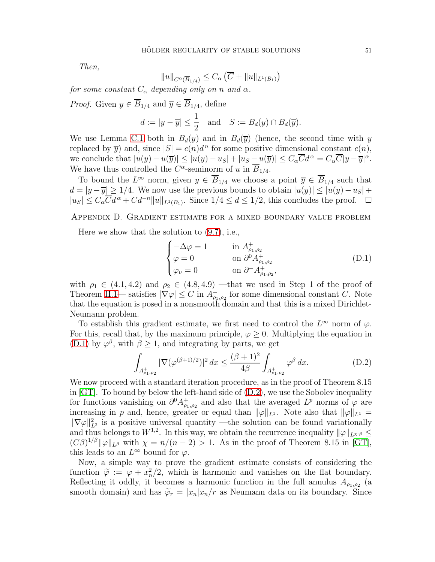*Then,*

$$
||u||_{C^{\alpha}(\overline{B}_{1/4})} \leq C_{\alpha} (\overline{C} + ||u||_{L^{1}(B_{1})})
$$

*for some constant*  $C_{\alpha}$  *depending only on n and*  $\alpha$ *.* 

*Proof.* Given  $y \in \overline{B}_{1/4}$  and  $\overline{y} \in \overline{B}_{1/4}$ , define

$$
d := |y - \overline{y}| \le \frac{1}{2}
$$
 and  $S := B_d(y) \cap B_d(\overline{y}).$ 

We use Lemma [C.1](#page-48-1) both in  $B_d(y)$  and in  $B_d(\overline{y})$  (hence, the second time with y replaced by  $\overline{y}$  and, since  $|S| = c(n)d^n$  for some positive dimensional constant  $c(n)$ , we conclude that  $|u(y) - u(\overline{y})| \le |u(y) - u_S| + |u_S - u(\overline{y})| \le C_\alpha \overline{C} d^\alpha = C_\alpha \overline{C} |y - \overline{y}|^\alpha$ . We have thus controlled the  $C^{\alpha}$ -seminorm of u in  $\overline{B}_{1/4}$ .

To bound the  $L^{\infty}$  norm, given  $y \in B_{1/4}$  we choose a point  $\overline{y} \in B_{1/4}$  such that  $d = |y - \overline{y}| \ge 1/4$ . We now use the previous bounds to obtain  $|u(y)| \le |u(y) - u_S| +$  $|u_S| \leq C_{\alpha} \overline{C} d^{\alpha} + C d^{-n} ||u||_{L^1(B_1)}$ . Since  $1/4 \leq d \leq 1/2$ , this concludes the proof.  $\Box$ 

<span id="page-50-0"></span>Appendix D. Gradient estimate for a mixed boundary value problem

Here we show that the solution to [\(9.7\)](#page-39-1), i.e.,

<span id="page-50-1"></span>
$$
\begin{cases}\n-\Delta \varphi = 1 & \text{in } A^+_{\rho_1, \rho_2} \\
\varphi = 0 & \text{on } \partial^0 A^+_{\rho_1, \rho_2} \\
\varphi_\nu = 0 & \text{on } \partial^+ A^+_{\rho_1, \rho_2},\n\end{cases}
$$
\n(D.1)

with  $\rho_1 \in (4.1, 4.2)$  and  $\rho_2 \in (4.8, 4.9)$  —that we used in Step 1 of the proof of Theorem [II.1—](#page-7-1) satisfies  $|\nabla \varphi| \leq C$  in  $A_{\rho_1,\rho_2}^+$  for some dimensional constant C. Note that the equation is posed in a nonsmooth domain and that this is a mixed Dirichlet-Neumann problem.

To establish this gradient estimate, we first need to control the  $L^{\infty}$  norm of  $\varphi$ . For this, recall that, by the maximum principle,  $\varphi \geq 0$ . Multiplying the equation in [\(D.1\)](#page-50-1) by  $\varphi^{\beta}$ , with  $\beta \geq 1$ , and integrating by parts, we get

<span id="page-50-2"></span>
$$
\int_{A_{\rho_1,\rho_2}^+} |\nabla(\varphi^{(\beta+1)/2})|^2 dx \le \frac{(\beta+1)^2}{4\beta} \int_{A_{\rho_1,\rho_2}^+} \varphi^{\beta} dx.
$$
 (D.2)

We now proceed with a standard iteration procedure, as in the proof of Theorem 8.15 in  $\lbrack GT \rbrack$ . To bound by below the left-hand side of  $(D.2)$ , we use the Sobolev inequality for functions vanishing on  $\partial^0 A^+_{\rho_1,\rho_2}$  and also that the averaged  $L^p$  norms of  $\varphi$  are increasing in p and, hence, greater or equal than  $\|\varphi\|_{L^1}$ . Note also that  $\|\varphi\|_{L^1} =$  $\|\nabla \varphi\|_{L^2}^2$  is a positive universal quantity —the solution can be found variationally and thus belongs to  $W^{1,2}$ . In this way, we obtain the recurrence inequality  $\|\varphi\|_{L^{\chi,\beta}} \leq$  $(C\beta)^{1/\beta} \|\varphi\|_{L^{\beta}}$  with  $\chi = n/(n-2) > 1$ . As in the proof of Theorem 8.15 in [\[GT\]](#page-54-20), this leads to an  $L^{\infty}$  bound for  $\varphi$ .

Now, a simple way to prove the gradient estimate consists of considering the function  $\tilde{\varphi} := \varphi + x_n^2/2$ , which is harmonic and vanishes on the flat boundary. Reflecting it oddly, it becomes a harmonic function in the full annulus  $A_{\rho_1,\rho_2}$  (a smooth domain) and has  $\tilde{\varphi}_r = |x_n|x_n/r$  as Neumann data on its boundary. Since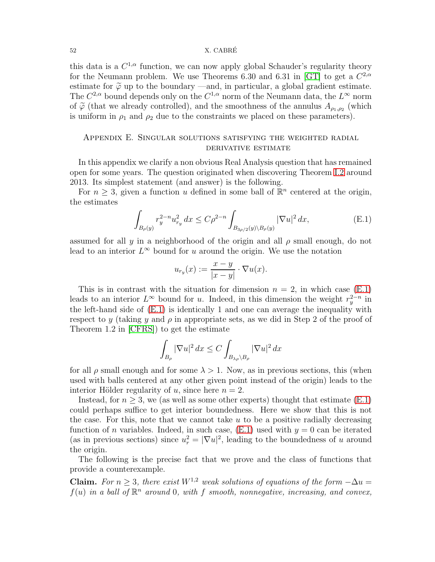#### 52 X. CABRE´

this data is a  $C^{1,\alpha}$  function, we can now apply global Schauder's regularity theory for the Neumann problem. We use Theorems 6.30 and 6.31 in [\[GT\]](#page-54-20) to get a  $C^{2,\alpha}$ estimate for  $\tilde{\varphi}$  up to the boundary —and, in particular, a global gradient estimate. The  $C^{2,\alpha}$  bound depends only on the  $C^{1,\alpha}$  norm of the Neumann data, the  $L^{\infty}$  norm of  $\tilde{\varphi}$  (that we already controlled), and the smoothness of the annulus  $A_{\rho_1,\rho_2}$  (which is uniform in  $\rho_1$  and  $\rho_2$  due to the constraints we placed on these parameters).

### <span id="page-51-0"></span>Appendix E. Singular solutions satisfying the weighted radial derivative estimate

In this appendix we clarify a non obvious Real Analysis question that has remained open for some years. The question originated when discovering Theorem [I.2](#page-9-3) around 2013. Its simplest statement (and answer) is the following.

For  $n \geq 3$ , given a function u defined in some ball of  $\mathbb{R}^n$  centered at the origin, the estimates

<span id="page-51-1"></span>
$$
\int_{B_{\rho}(y)} r_y^{2-n} u_{r_y}^2 dx \le C\rho^{2-n} \int_{B_{3\rho/2}(y)\backslash B_{\rho}(y)} |\nabla u|^2 dx, \tag{E.1}
$$

assumed for all y in a neighborhood of the origin and all  $\rho$  small enough, do not lead to an interior  $L^{\infty}$  bound for u around the origin. We use the notation

$$
u_{r_y}(x) := \frac{x - y}{|x - y|} \cdot \nabla u(x).
$$

This is in contrast with the situation for dimension  $n = 2$ , in which case [\(E.1\)](#page-51-1) leads to an interior  $L^{\infty}$  bound for u. Indeed, in this dimension the weight  $r_y^{2-n}$  in the left-hand side of [\(E.1\)](#page-51-1) is identically 1 and one can average the inequality with respect to y (taking y and  $\rho$  in appropriate sets, as we did in Step 2 of the proof of Theorem 1.2 in [\[CFRS\]](#page-54-8)) to get the estimate

$$
\int_{B_{\rho}} |\nabla u|^2 dx \le C \int_{B_{\lambda\rho}\setminus B_{\rho}} |\nabla u|^2 dx
$$

for all  $\rho$  small enough and for some  $\lambda > 1$ . Now, as in previous sections, this (when used with balls centered at any other given point instead of the origin) leads to the interior Hölder regularity of u, since here  $n = 2$ .

Instead, for  $n \geq 3$ , we (as well as some other experts) thought that estimate [\(E.1\)](#page-51-1) could perhaps suffice to get interior boundedness. Here we show that this is not the case. For this, note that we cannot take  $u$  to be a positive radially decreasing function of *n* variables. Indeed, in such case,  $(E.1)$  used with  $y = 0$  can be iterated (as in previous sections) since  $u_r^2 = |\nabla u|^2$ , leading to the boundedness of u around the origin.

The following is the precise fact that we prove and the class of functions that provide a counterexample.

Claim. *For*  $n \geq 3$ *, there exist*  $W^{1,2}$  *weak solutions of equations of the form*  $-\Delta u =$  $f(u)$  in a ball of  $\mathbb{R}^n$  around 0, with f smooth, nonnegative, increasing, and convex,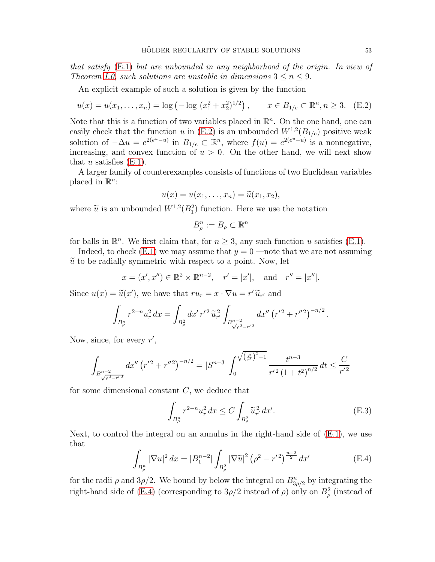*that satisfy* [\(E.1\)](#page-51-1) *but are unbounded in any neighborhood of the origin. In view of Theorem [I.0,](#page-3-1) such solutions are unstable in dimensions*  $3 \leq n \leq 9$ *.* 

An explicit example of such a solution is given by the function

<span id="page-52-0"></span>
$$
u(x) = u(x_1, \dots, x_n) = \log \left( -\log \left( x_1^2 + x_2^2 \right)^{1/2} \right), \qquad x \in B_{1/e} \subset \mathbb{R}^n, n \ge 3. \quad (E.2)
$$

Note that this is a function of two variables placed in  $\mathbb{R}^n$ . On the one hand, one can easily check that the function u in [\(E.2\)](#page-52-0) is an unbounded  $W^{1,2}(B_{1/e})$  positive weak solution of  $-\Delta u = e^{2(e^u - u)}$  in  $B_{1/e} \subset \mathbb{R}^n$ , where  $f(u) = e^{2(e^u - u)}$  is a nonnegative, increasing, and convex function of  $u > 0$ . On the other hand, we will next show that u satisfies  $(E.1)$ .

A larger family of counterexamples consists of functions of two Euclidean variables placed in  $\mathbb{R}^n$ :

$$
u(x) = u(x_1, \ldots, x_n) = \widetilde{u}(x_1, x_2),
$$

where  $\tilde{u}$  is an unbounded  $W^{1,2}(B_1^2)$  function. Here we use the notation

$$
B_{\rho}^{n} := B_{\rho} \subset \mathbb{R}^{n}
$$

for balls in  $\mathbb{R}^n$ . We first claim that, for  $n \geq 3$ , any such function u satisfies [\(E.1\)](#page-51-1).

Indeed, to check  $(E.1)$  we may assume that  $y = 0$  —note that we are not assuming  $\tilde{u}$  to be radially symmetric with respect to a point. Now, let

$$
x = (x', x'') \in \mathbb{R}^2 \times \mathbb{R}^{n-2}
$$
,  $r' = |x'|$ , and  $r'' = |x''|$ .

Since  $u(x) = \tilde{u}(x')$ , we have that  $ru_r = x \cdot \nabla u = r' \tilde{u}_{r'}$  and

$$
\int_{B^n_\rho} r^{2-n} u_r^2 dx = \int_{B^2_\rho} dx' \, r'^2 \, \widetilde{u}_{r'}^2 \int_{B^{n-2}_{\sqrt{\rho^2 - r'^2}}} dx'' \, (r'^2 + r''^2)^{-n/2} \, .
$$

Now, since, for every  $r'$ ,

$$
\int_{B_{\sqrt{\rho^2-r'^2}}^{n-2}} dx'' \left(r'^2 + r''^2\right)^{-n/2} = |S^{n-3}| \int_0^{\sqrt{\left(\frac{\rho}{r'}\right)^2 - 1}} \frac{t^{n-3}}{r'^2 \left(1 + t^2\right)^{n/2}} dt \le \frac{C}{r'^2}
$$

for some dimensional constant C, we deduce that

<span id="page-52-2"></span>
$$
\int_{B_{\rho}^n} r^{2-n} u_r^2 dx \le C \int_{B_{\rho}^2} \widetilde{u}_{r'}^2 dx'.
$$
 (E.3)

Next, to control the integral on an annulus in the right-hand side of  $(E.1)$ , we use that

<span id="page-52-1"></span>
$$
\int_{B^n_{\rho}} |\nabla u|^2 dx = |B_1^{n-2}| \int_{B^2_{\rho}} |\nabla \widetilde{u}|^2 (\rho^2 - r'^2)^{\frac{n-2}{2}} dx'
$$
 (E.4)

for the radii  $\rho$  and  $3\rho/2$ . We bound by below the integral on  $B_{3\rho/2}^n$  by integrating the right-hand side of [\(E.4\)](#page-52-1) (corresponding to  $3\rho/2$  instead of  $\rho$ ) only on  $B^2_\rho$  (instead of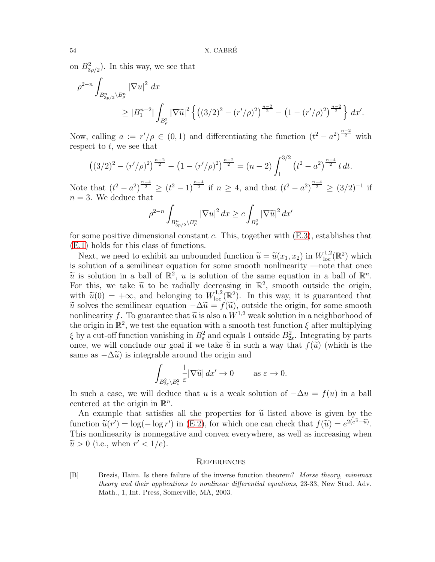on  $B_{3\rho/2}^2$ ). In this way, we see that

$$
\rho^{2-n} \int_{B_{3p/2}^n \setminus B_{\rho}^n} |\nabla u|^2 dx
$$
  
\n
$$
\geq |B_1^{n-2}| \int_{B_{\rho}^2} |\nabla \widetilde{u}|^2 \left\{ \left( (3/2)^2 - (r'/\rho)^2 \right)^{\frac{n-2}{2}} - \left( 1 - (r'/\rho)^2 \right)^{\frac{n-2}{2}} \right\} dx'.
$$

Now, calling  $a := r'/\rho \in (0,1)$  and differentiating the function  $(t^2 - a^2)^{\frac{n-2}{2}}$  with respect to  $t$ , we see that

$$
((3/2)^2 - (r'/\rho)^2)^{\frac{n-2}{2}} - (1 - (r'/\rho)^2)^{\frac{n-2}{2}} = (n-2) \int_1^{3/2} (t^2 - a^2)^{\frac{n-4}{2}} t \, dt.
$$

Note that  $(t^2 - a^2)^{\frac{n-4}{2}} \ge (t^2 - 1)^{\frac{n-4}{2}}$  if  $n \ge 4$ , and that  $(t^2 - a^2)^{\frac{n-4}{2}} \ge (3/2)^{-1}$  if  $n = 3$ . We deduce that

$$
\rho^{2-n} \int_{B_{3p/2}^n \backslash B_{\rho}^n} |\nabla u|^2 dx \ge c \int_{B_{\rho}^2} |\nabla \widetilde{u}|^2 dx'
$$

for some positive dimensional constant c. This, together with  $(E.3)$ , establishes that [\(E.1\)](#page-51-1) holds for this class of functions.

Next, we need to exhibit an unbounded function  $\tilde{u} = \tilde{u}(x_1, x_2)$  in  $W^{1,2}_{loc}(\mathbb{R}^2)$  which is solution of a semilinear equation for some smooth nonlinearity —note that once  $\widetilde{u}$  is solution in a ball of  $\mathbb{R}^2$ , u is solution of the same equation in a ball of  $\mathbb{R}^n$ .<br>Each this we take  $\widetilde{u}$  to be redially decreasing in  $\mathbb{R}^2$  expects outside the evising For this, we take  $\tilde{u}$  to be radially decreasing in  $\mathbb{R}^2$ , smooth outside the origin, with  $\tilde{u}(0) = +\infty$ , and belonging to  $W^{1,2}_{loc}(\mathbb{R}^2)$ . In this way, it is guaranteed that  $\tilde{u}$  solves the semilinear equation  $-\Delta \tilde{u} = f(\tilde{u})$ , outside the origin, for some smooth nonlinearity f. To guarantee that  $\tilde{u}$  is also a  $W^{1,2}$  weak solution in a neighborhood of the origin in  $\mathbb{R}^2$ , we test the equation with a smooth test function  $\xi$  after multiplying  $\xi$  by a cut-off function vanishing in  $B^2_{\varepsilon}$  and equals 1 outside  $B^2_{2\varepsilon}$ . Integrating by parts once, we will conclude our goal if we take  $\tilde{u}$  in such a way that  $f(\tilde{u})$  (which is the same as  $-\Delta\tilde{u}$ ) is integrable around the origin and

$$
\int_{B_{2\varepsilon}^2 \setminus B_{\varepsilon}^2} \frac{1}{\varepsilon} |\nabla \widetilde{u}| \, dx' \to 0 \qquad \text{as } \varepsilon \to 0.
$$

In such a case, we will deduce that u is a weak solution of  $-\Delta u = f(u)$  in a ball centered at the origin in  $\mathbb{R}^n$ .

An example that satisfies all the properties for  $\tilde{u}$  listed above is given by the function  $\tilde{u}(r') = \log(-\log r')$  in [\(E.2\)](#page-52-0), for which one can check that  $f(\tilde{u}) = e^{2(e^{\tilde{u}} - \tilde{u})}$ . This nonlinearity is nonnegative and convex everywhere, as well as increasing when  $\widetilde{u} > 0$  (i.e., when  $r' < 1/e$ ).

### <span id="page-53-0"></span>**REFERENCES**

<span id="page-53-1"></span>[B] Brezis, Haim. Is there failure of the inverse function theorem? Morse theory, minimax theory and their applications to nonlinear differential equations, 23-33, New Stud. Adv. Math., 1, Int. Press, Somerville, MA, 2003.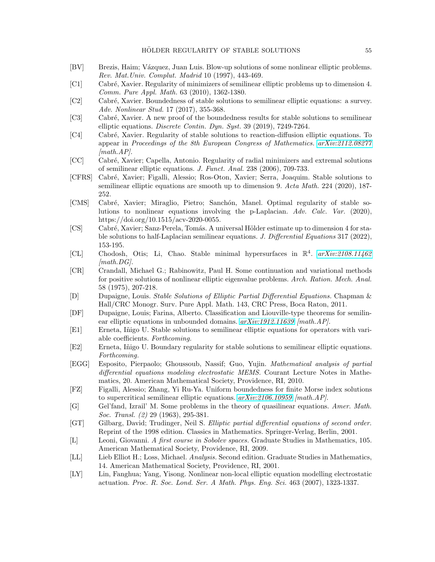- <span id="page-54-12"></span>[BV] Brezis, Haim; Vázquez, Juan Luis. Blow-up solutions of some nonlinear elliptic problems. Rev. Mat.Univ. Complut. Madrid 10 (1997), 443-469.
- <span id="page-54-6"></span>[C1] Cabr´e, Xavier. Regularity of minimizers of semilinear elliptic problems up to dimension 4. Comm. Pure Appl. Math. 63 (2010), 1362-1380.
- <span id="page-54-9"></span>[C2] Cabr´e, Xavier. Boundedness of stable solutions to semilinear elliptic equations: a survey. Adv. Nonlinear Stud. 17 (2017), 355-368.
- <span id="page-54-7"></span>[C3] Cabré, Xavier. A new proof of the boundedness results for stable solutions to semilinear elliptic equations. Discrete Contin. Dyn. Syst. 39  $(2019)$ , 7249-7264.
- <span id="page-54-3"></span>[C4] Cabr´e, Xavier. Regularity of stable solutions to reaction-diffusion elliptic equations. To appear in Proceedings of the 8th European Congress of Mathematics. [arXiv:2112.08277](http://arxiv.org/abs/2112.08277)  $[math.AP]$ .
- <span id="page-54-5"></span>[CC] Cabr´e, Xavier; Capella, Antonio. Regularity of radial minimizers and extremal solutions of semilinear elliptic equations. J. Funct. Anal. 238 (2006), 709-733.
- <span id="page-54-8"></span>[CFRS] Cabr´e, Xavier; Figalli, Alessio; Ros-Oton, Xavier; Serra, Joaquim. Stable solutions to semilinear elliptic equations are smooth up to dimension 9. Acta Math. 224 (2020), 187-252.
- <span id="page-54-17"></span>[CMS] Cabré, Xavier; Miraglio, Pietro; Sanchón, Manel. Optimal regularity of stable solutions to nonlinear equations involving the p-Laplacian. Adv. Calc. Var. (2020), https://doi.org/10.1515/acv-2020-0055.
- <span id="page-54-18"></span>[CS] Cabré, Xavier; Sanz-Perela, Tomás. A universal Hölder estimate up to dimension 4 for stable solutions to half-Laplacian semilinear equations. J. Differential Equations 317 (2022), 153-195.
- <span id="page-54-0"></span>[CL] Chodosh, Otis; Li, Chao. Stable minimal hypersurfaces in  $\mathbb{R}^4$ .  $arXiv:2108.11462$  $[math.DG]$ .
- <span id="page-54-4"></span>[CR] Crandall, Michael G.; Rabinowitz, Paul H. Some continuation and variational methods for positive solutions of nonlinear elliptic eigenvalue problems. Arch. Ration. Mech. Anal. 58 (1975), 207-218.
- <span id="page-54-2"></span>[D] Dupaigne, Louis. Stable Solutions of Elliptic Partial Differential Equations. Chapman & Hall/CRC Monogr. Surv. Pure Appl. Math. 143, CRC Press, Boca Raton, 2011.
- <span id="page-54-16"></span>[DF] Dupaigne, Louis; Farina, Alberto. Classification and Liouville-type theorems for semilinear elliptic equations in unbounded domains.  $arXiv:1912.11639$  [math.AP].
- <span id="page-54-10"></span>[E1] Erneta, Inigo U. Stable solutions to semilinear elliptic equations for operators with variable coefficients. Forthcoming.
- <span id="page-54-11"></span>[E2] Erneta, Iñigo U. Boundary regularity for stable solutions to semilinear elliptic equations. Forthcoming.
- <span id="page-54-13"></span>[EGG] Esposito, Pierpaolo; Ghoussoub, Nassif; Guo, Yujin. Mathematical analysis of partial differential equations modeling electrostatic MEMS. Courant Lecture Notes in Mathematics, 20. American Mathematical Society, Providence, RI, 2010.
- <span id="page-54-15"></span>[FZ] Figalli, Alessio; Zhang, Yi Ru-Ya. Uniform boundedness for finite Morse index solutions to supercritical semilinear elliptic equations.  $arXiv:2106.10959$  [math.AP].
- <span id="page-54-1"></span>[G] Gel'fand, Izrail' M. Some problems in the theory of quasilinear equations. Amer. Math. Soc. Transl. (2) 29 (1963), 295-381.
- <span id="page-54-20"></span>[GT] Gilbarg, David; Trudinger, Neil S. Elliptic partial differential equations of second order. Reprint of the 1998 edition. Classics in Mathematics. Springer-Verlag, Berlin, 2001.
- <span id="page-54-21"></span>[L] Leoni, Giovanni. A first course in Sobolev spaces. Graduate Studies in Mathematics, 105. American Mathematical Society, Providence, RI, 2009.
- <span id="page-54-19"></span>[LL] Lieb Elliot H.; Loss, Michael. Analysis. Second edition. Graduate Studies in Mathematics, 14. American Mathematical Society, Providence, RI, 2001.
- <span id="page-54-14"></span>[LY] Lin, Fanghua; Yang, Yisong. Nonlinear non-local elliptic equation modelling electrostatic actuation. Proc. R. Soc. Lond. Ser. A Math. Phys. Eng. Sci. 463 (2007), 1323-1337.